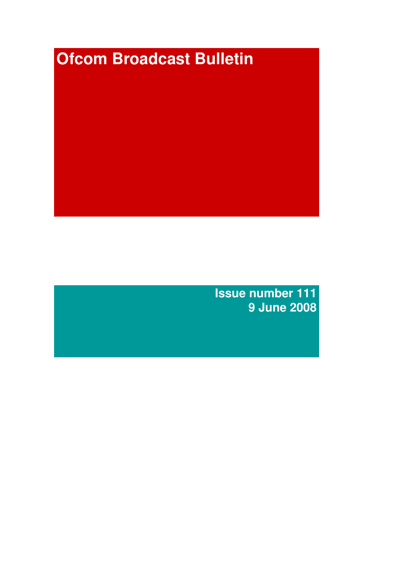# **Ofcom Broadcast Bulletin**

**Issue number 111 9 June 2008**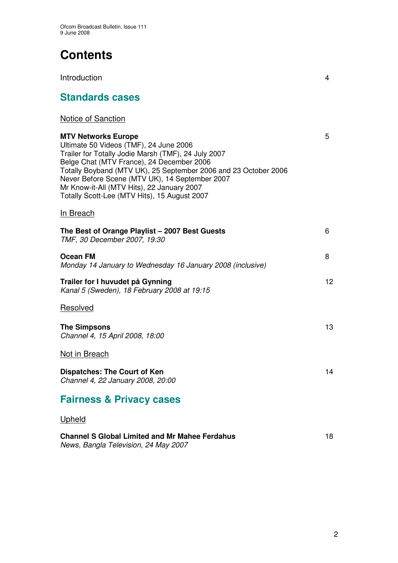# **Contents**

Introduction 4

# **Standards cases**

# Notice of Sanction

**MTV Networks Europe** 5 Ultimate 50 Videos (TMF), 24 June 2006 Trailer for Totally Jodie Marsh (TMF), 24 July 2007 Belge Chat (MTV France), 24 December 2006 Totally Boyband (MTV UK), 25 September 2006 and 23 October 2006 Never Before Scene (MTV UK), 14 September 2007 Mr Know-it-All (MTV Hits), 22 January 2007 Totally Scott-Lee (MTV Hits), 15 August 2007 In Breach **The Best of Orange Playlist – 2007 Best Guests** 6 *TMF, 30 December 2007, 19:30* **Ocean FM** 8 *Monday 14 January to Wednesday 16 January 2008 (inclusive)* **Trailer for I huvudet på Gynning** 12 *Kanal 5 (Sweden), 18 February 2008 at 19:15* Resolved **The Simpsons** 13 *Channel 4, 15 April 2008, 18:00* Not in Breach

**Dispatches: The Court of Ken** 14 *Channel 4, 22 January 2008, 20:00*

# **Fairness & Privacy cases**

# Upheld

| <b>Channel S Global Limited and Mr Mahee Ferdahus</b> |  |
|-------------------------------------------------------|--|
| News, Bangla Television, 24 May 2007                  |  |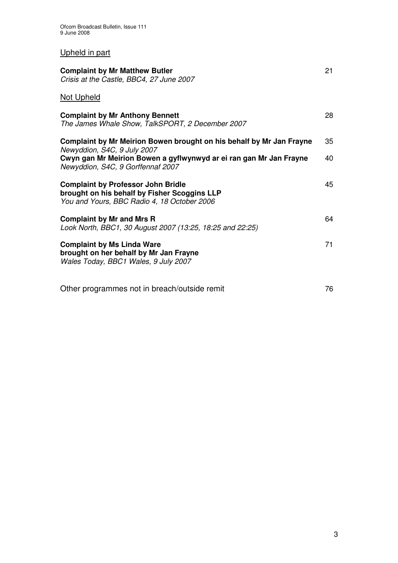# Upheld in part

| <b>Complaint by Mr Matthew Butler</b><br>Crisis at the Castle, BBC4, 27 June 2007                                                        | 21 |
|------------------------------------------------------------------------------------------------------------------------------------------|----|
| <b>Not Upheld</b>                                                                                                                        |    |
| <b>Complaint by Mr Anthony Bennett</b><br>The James Whale Show, TalkSPORT, 2 December 2007                                               | 28 |
| Complaint by Mr Meirion Bowen brought on his behalf by Mr Jan Frayne                                                                     | 35 |
| Newyddion, S4C, 9 July 2007<br>Cwyn gan Mr Meirion Bowen a gyflwynwyd ar ei ran gan Mr Jan Frayne<br>Newyddion, S4C, 9 Gorffennaf 2007   | 40 |
| <b>Complaint by Professor John Bridle</b><br>brought on his behalf by Fisher Scoggins LLP<br>You and Yours, BBC Radio 4, 18 October 2006 | 45 |
| <b>Complaint by Mr and Mrs R</b><br>Look North, BBC1, 30 August 2007 (13:25, 18:25 and 22:25)                                            | 64 |
| <b>Complaint by Ms Linda Ware</b><br>brought on her behalf by Mr Jan Frayne<br>Wales Today, BBC1 Wales, 9 July 2007                      | 71 |
| Other programmes not in breach/outside remit                                                                                             | 76 |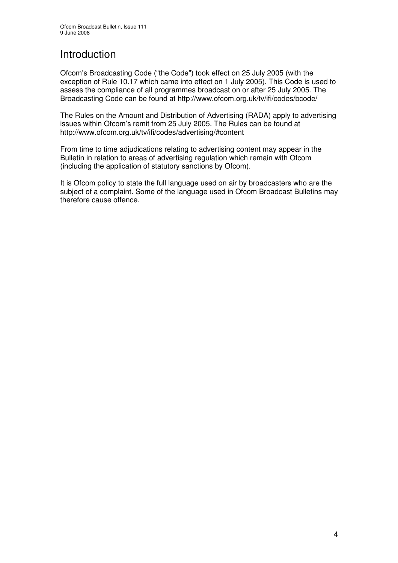# Introduction

Ofcom's Broadcasting Code ("the Code") took effect on 25 July 2005 (with the exception of Rule 10.17 which came into effect on 1 July 2005). This Code is used to assess the compliance of all programmes broadcast on or after 25 July 2005. The Broadcasting Code can be found at http://www.ofcom.org.uk/tv/ifi/codes/bcode/

The Rules on the Amount and Distribution of Advertising (RADA) apply to advertising issues within Ofcom's remit from 25 July 2005. The Rules can be found at http://www.ofcom.org.uk/tv/ifi/codes/advertising/#content

From time to time adjudications relating to advertising content may appear in the Bulletin in relation to areas of advertising regulation which remain with Ofcom (including the application of statutory sanctions by Ofcom).

It is Ofcom policy to state the full language used on air by broadcasters who are the subject of a complaint. Some of the language used in Ofcom Broadcast Bulletins may therefore cause offence.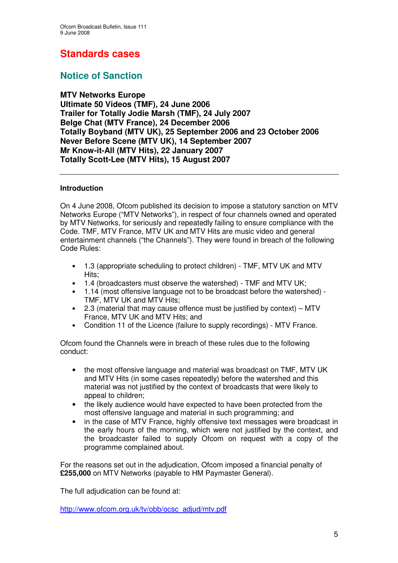# **Standards cases**

# **Notice of Sanction**

# **MTV Networks Europe**

**Ultimate 50 Videos (TMF), 24 June 2006 Trailer for Totally Jodie Marsh (TMF), 24 July 2007 Belge Chat (MTV France), 24 December 2006 Totally Boyband (MTV UK), 25 September 2006 and 23 October 2006 Never Before Scene (MTV UK), 14 September 2007 Mr Know-it-All (MTV Hits), 22 January 2007 Totally Scott-Lee (MTV Hits), 15 August 2007**

## **Introduction**

On 4 June 2008, Ofcom published its decision to impose a statutory sanction on MTV Networks Europe ("MTV Networks"), in respect of four channels owned and operated by MTV Networks, for seriously and repeatedly failing to ensure compliance with the Code. TMF, MTV France, MTV UK and MTV Hits are music video and general entertainment channels ("the Channels"). They were found in breach of the following Code Rules:

- 1.3 (appropriate scheduling to protect children) TMF, MTV UK and MTV Hits;
- 1.4 (broadcasters must observe the watershed) TMF and MTV UK;
- 1.14 (most offensive language not to be broadcast before the watershed) TMF, MTV UK and MTV Hits;
- 2.3 (material that may cause offence must be justified by context) MTV France, MTV UK and MTV Hits; and
- Condition 11 of the Licence (failure to supply recordings) MTV France.

Ofcom found the Channels were in breach of these rules due to the following conduct:

- the most offensive language and material was broadcast on TMF, MTV UK and MTV Hits (in some cases repeatedly) before the watershed and this material was not justified by the context of broadcasts that were likely to appeal to children;
- the likely audience would have expected to have been protected from the most offensive language and material in such programming; and
- in the case of MTV France, highly offensive text messages were broadcast in the early hours of the morning, which were not justified by the context, and the broadcaster failed to supply Ofcom on request with a copy of the programme complained about.

For the reasons set out in the adjudication, Ofcom imposed a financial penalty of **£255,000** on MTV Networks (payable to HM Paymaster General).

The full adjudication can be found at:

http://www.ofcom.org.uk/tv/obb/ocsc\_adjud/mtv.pdf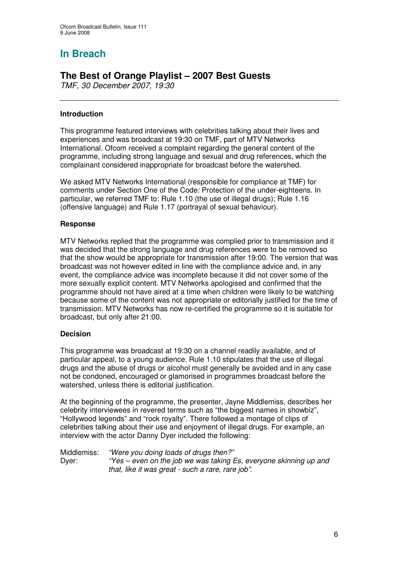# **In Breach**

# **The Best of Orange Playlist – 2007 Best Guests**

*TMF, 30 December 2007, 19:30*

## **Introduction**

This programme featured interviews with celebrities talking about their lives and experiences and was broadcast at 19:30 on TMF, part of MTV Networks International. Ofcom received a complaint regarding the general content of the programme, including strong language and sexual and drug references, which the complainant considered inappropriate for broadcast before the watershed.

We asked MTV Networks International (responsible for compliance at TMF) for comments under Section One of the Code: Protection of the under-eighteens. In particular, we referred TMF to: Rule 1.10 (the use of illegal drugs); Rule 1.16 (offensive language) and Rule 1.17 (portrayal of sexual behaviour).

## **Response**

MTV Networks replied that the programme was complied prior to transmission and it was decided that the strong language and drug references were to be removed so that the show would be appropriate for transmission after 19:00. The version that was broadcast was not however edited in line with the compliance advice and, in any event, the compliance advice was incomplete because it did not cover some of the more sexually explicit content. MTV Networks apologised and confirmed that the programme should not have aired at a time when children were likely to be watching because some of the content was not appropriate or editorially justified for the time of transmission. MTV Networks has now re-certified the programme so it is suitable for broadcast, but only after 21:00.

# **Decision**

This programme was broadcast at 19:30 on a channel readily available, and of particular appeal, to a young audience. Rule 1.10 stipulates that the use of illegal drugs and the abuse of drugs or alcohol must generally be avoided and in any case not be condoned, encouraged or glamorised in programmes broadcast before the watershed, unless there is editorial justification.

At the beginning of the programme, the presenter, Jayne Middlemiss, describes her celebrity interviewees in revered terms such as "the biggest names in showbiz", "Hollywood legends" and "rock royalty". There followed a montage of clips of celebrities talking about their use and enjoyment of illegal drugs. For example, an interview with the actor Danny Dyer included the following:

Middlemiss: *"Were you doing loads of drugs then?"* Dyer: *"Yes – even on the job we was taking Es, everyone skinning up and that, like it was great - such a rare, rare job".*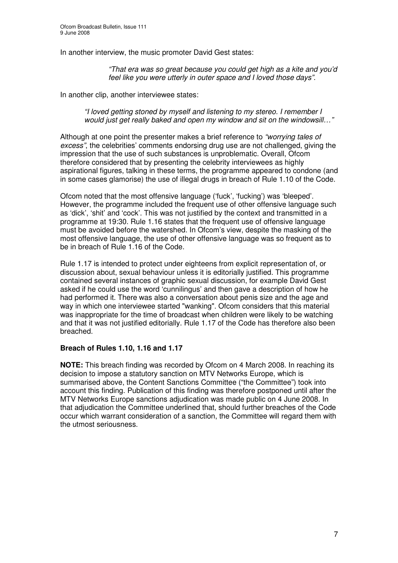In another interview, the music promoter David Gest states:

*"That era was so great because you could get high as a kite and you'd feel like you were utterly in outer space and I loved those days".*

In another clip, another interviewee states:

*"I loved getting stoned by myself and listening to my stereo. I remember I would just get really baked and open my window and sit on the windowsill…"*

Although at one point the presenter makes a brief reference to *"worrying tales of excess"*, the celebrities' comments endorsing drug use are not challenged, giving the impression that the use of such substances is unproblematic. Overall, Ofcom therefore considered that by presenting the celebrity interviewees as highly aspirational figures, talking in these terms, the programme appeared to condone (and in some cases glamorise) the use of illegal drugs in breach of Rule 1.10 of the Code.

Ofcom noted that the most offensive language ('fuck', 'fucking') was 'bleeped'. However, the programme included the frequent use of other offensive language such as 'dick', 'shit' and 'cock'. This was not justified by the context and transmitted in a programme at 19:30. Rule 1.16 states that the frequent use of offensive language must be avoided before the watershed. In Ofcom's view, despite the masking of the most offensive language, the use of other offensive language was so frequent as to be in breach of Rule 1.16 of the Code.

Rule 1.17 is intended to protect under eighteens from explicit representation of, or discussion about, sexual behaviour unless it is editorially justified. This programme contained several instances of graphic sexual discussion, for example David Gest asked if he could use the word 'cunnilingus' and then gave a description of how he had performed it. There was also a conversation about penis size and the age and way in which one interviewee started "wanking". Ofcom considers that this material was inappropriate for the time of broadcast when children were likely to be watching and that it was not justified editorially. Rule 1.17 of the Code has therefore also been breached.

## **Breach of Rules 1.10, 1.16 and 1.17**

**NOTE:** This breach finding was recorded by Ofcom on 4 March 2008. In reaching its decision to impose a statutory sanction on MTV Networks Europe, which is summarised above, the Content Sanctions Committee ("the Committee") took into account this finding. Publication of this finding was therefore postponed until after the MTV Networks Europe sanctions adjudication was made public on 4 June 2008. In that adjudication the Committee underlined that, should further breaches of the Code occur which warrant consideration of a sanction, the Committee will regard them with the utmost seriousness.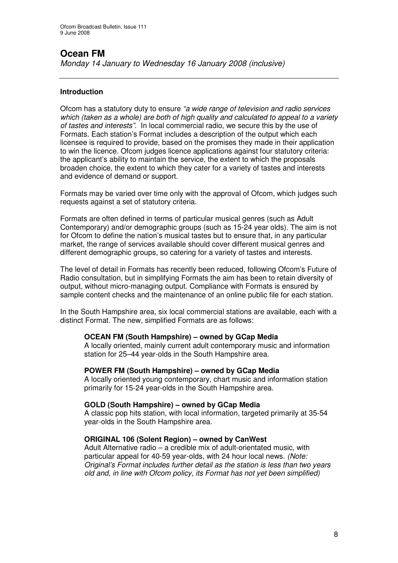# **Ocean FM**

*Monday 14 January to Wednesday 16 January 2008 (inclusive)*

# **Introduction**

Ofcom has a statutory duty to ensure *"a wide range of television and radio services which (taken as a whole) are both of high quality and calculated to appeal to a variety of tastes and interests".* In local commercial radio, we secure this by the use of Formats. Each station's Format includes a description of the output which each licensee is required to provide, based on the promises they made in their application to win the licence. Ofcom judges licence applications against four statutory criteria: the applicant's ability to maintain the service, the extent to which the proposals broaden choice, the extent to which they cater for a variety of tastes and interests and evidence of demand or support.

Formats may be varied over time only with the approval of Ofcom, which judges such requests against a set of statutory criteria.

Formats are often defined in terms of particular musical genres (such as Adult Contemporary) and/or demographic groups (such as 15-24 year olds). The aim is not for Ofcom to define the nation's musical tastes but to ensure that, in any particular market, the range of services available should cover different musical genres and different demographic groups, so catering for a variety of tastes and interests.

The level of detail in Formats has recently been reduced, following Ofcom's Future of Radio consultation, but in simplifying Formats the aim has been to retain diversity of output, without micro-managing output. Compliance with Formats is ensured by sample content checks and the maintenance of an online public file for each station.

In the South Hampshire area, six local commercial stations are available, each with a distinct Format. The new, simplified Formats are as follows:

## **OCEAN FM (South Hampshire) – owned by GCap Media**

A locally oriented, mainly current adult contemporary music and information station for 25–44 year-olds in the South Hampshire area.

## **POWER FM (South Hampshire) – owned by GCap Media**

A locally oriented young contemporary, chart music and information station primarily for 15-24 year-olds in the South Hampshire area.

## **GOLD (South Hampshire) – owned by GCap Media**

A classic pop hits station, with local information, targeted primarily at 35-54 year-olds in the South Hampshire area.

## **ORIGINAL 106 (Solent Region) – owned by CanWest**

Adult Alternative radio – a credible mix of adult-orientated music, with particular appeal for 40-59 year-olds, with 24 hour local news. *(Note: Original's Format includes further detail as the station is less than two years old and, in line with Ofcom policy, its Format has not yet been simplified)*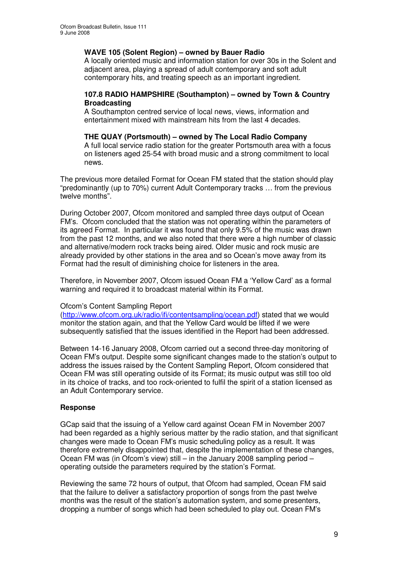## **WAVE 105 (Solent Region) – owned by Bauer Radio**

A locally oriented music and information station for over 30s in the Solent and adjacent area, playing a spread of adult contemporary and soft adult contemporary hits, and treating speech as an important ingredient.

#### **107.8 RADIO HAMPSHIRE (Southampton) – owned by Town & Country Broadcasting**

A Southampton centred service of local news, views, information and entertainment mixed with mainstream hits from the last 4 decades.

## **THE QUAY (Portsmouth) – owned by The Local Radio Company**

A full local service radio station for the greater Portsmouth area with a focus on listeners aged 25-54 with broad music and a strong commitment to local news.

The previous more detailed Format for Ocean FM stated that the station should play "predominantly (up to 70%) current Adult Contemporary tracks … from the previous twelve months".

During October 2007, Ofcom monitored and sampled three days output of Ocean FM's. Ofcom concluded that the station was not operating within the parameters of its agreed Format. In particular it was found that only 9.5% of the music was drawn from the past 12 months, and we also noted that there were a high number of classic and alternative/modern rock tracks being aired. Older music and rock music are already provided by other stations in the area and so Ocean's move away from its Format had the result of diminishing choice for listeners in the area.

Therefore, in November 2007, Ofcom issued Ocean FM a 'Yellow Card' as a formal warning and required it to broadcast material within its Format.

## Ofcom's Content Sampling Report

(http://www.ofcom.org.uk/radio/ifi/contentsampling/ocean.pdf) stated that we would monitor the station again, and that the Yellow Card would be lifted if we were subsequently satisfied that the issues identified in the Report had been addressed.

Between 14-16 January 2008, Ofcom carried out a second three-day monitoring of Ocean FM's output. Despite some significant changes made to the station's output to address the issues raised by the Content Sampling Report, Ofcom considered that Ocean FM was still operating outside of its Format; its music output was still too old in its choice of tracks, and too rock-oriented to fulfil the spirit of a station licensed as an Adult Contemporary service.

# **Response**

GCap said that the issuing of a Yellow card against Ocean FM in November 2007 had been regarded as a highly serious matter by the radio station, and that significant changes were made to Ocean FM's music scheduling policy as a result. It was therefore extremely disappointed that, despite the implementation of these changes, Ocean FM was (in Ofcom's view) still – in the January 2008 sampling period – operating outside the parameters required by the station's Format.

Reviewing the same 72 hours of output, that Ofcom had sampled, Ocean FM said that the failure to deliver a satisfactory proportion of songs from the past twelve months was the result of the station's automation system, and some presenters, dropping a number of songs which had been scheduled to play out. Ocean FM's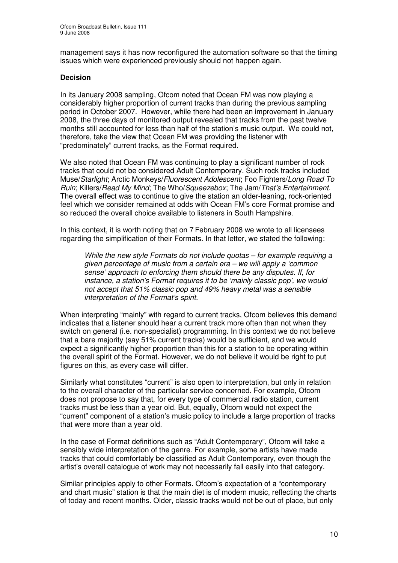management says it has now reconfigured the automation software so that the timing issues which were experienced previously should not happen again.

## **Decision**

In its January 2008 sampling, Ofcom noted that Ocean FM was now playing a considerably higher proportion of current tracks than during the previous sampling period in October 2007. However, while there had been an improvement in January 2008, the three days of monitored output revealed that tracks from the past twelve months still accounted for less than half of the station's music output. We could not, therefore, take the view that Ocean FM was providing the listener with "predominately" current tracks, as the Format required.

We also noted that Ocean FM was continuing to play a significant number of rock tracks that could not be considered Adult Contemporary*.* Such rock tracks included Muse/*Starlight*; Arctic Monkeys/*Fluorescent Adolescent*; Foo Fighters/*Long Road To Ruin*; Killers/*Read My Mind*; The Who/*Squeezebox*; The Jam/*That's Entertainment.* The overall effect was to continue to give the station an older-leaning, rock-oriented feel which we consider remained at odds with Ocean FM's core Format promise and so reduced the overall choice available to listeners in South Hampshire.

In this context, it is worth noting that on 7 February 2008 we wrote to all licensees regarding the simplification of their Formats. In that letter, we stated the following:

*While the new style Formats do not include quotas – for example requiring a given percentage of music from a certain era – we will apply a 'common sense' approach to enforcing them should there be any disputes. If, for instance, a station's Format requires it to be 'mainly classic pop', we would not accept that 51% classic pop and 49% heavy metal was a sensible interpretation of the Format's spirit.*

When interpreting "mainly" with regard to current tracks, Ofcom believes this demand indicates that a listener should hear a current track more often than not when they switch on general (i.e. non-specialist) programming. In this context we do not believe that a bare majority (say 51% current tracks) would be sufficient, and we would expect a significantly higher proportion than this for a station to be operating within the overall spirit of the Format. However, we do not believe it would be right to put figures on this, as every case will differ.

Similarly what constitutes "current" is also open to interpretation, but only in relation to the overall character of the particular service concerned. For example, Ofcom does not propose to say that, for every type of commercial radio station, current tracks must be less than a year old. But, equally, Ofcom would not expect the "current" component of a station's music policy to include a large proportion of tracks that were more than a year old.

In the case of Format definitions such as "Adult Contemporary", Ofcom will take a sensibly wide interpretation of the genre. For example, some artists have made tracks that could comfortably be classified as Adult Contemporary, even though the artist's overall catalogue of work may not necessarily fall easily into that category.

Similar principles apply to other Formats. Ofcom's expectation of a "contemporary and chart music" station is that the main diet is of modern music, reflecting the charts of today and recent months. Older, classic tracks would not be out of place, but only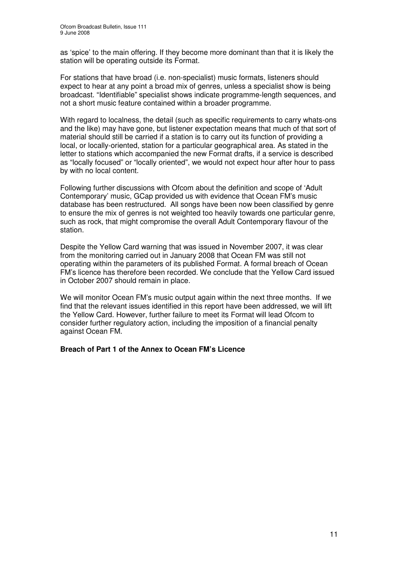as 'spice' to the main offering. If they become more dominant than that it is likely the station will be operating outside its Format.

For stations that have broad (i.e. non-specialist) music formats, listeners should expect to hear at any point a broad mix of genres, unless a specialist show is being broadcast. "Identifiable" specialist shows indicate programme-length sequences, and not a short music feature contained within a broader programme.

With regard to localness, the detail (such as specific requirements to carry whats-ons and the like) may have gone, but listener expectation means that much of that sort of material should still be carried if a station is to carry out its function of providing a local, or locally-oriented, station for a particular geographical area. As stated in the letter to stations which accompanied the new Format drafts, if a service is described as "locally focused" or "locally oriented", we would not expect hour after hour to pass by with no local content.

Following further discussions with Ofcom about the definition and scope of 'Adult Contemporary' music, GCap provided us with evidence that Ocean FM's music database has been restructured. All songs have been now been classified by genre to ensure the mix of genres is not weighted too heavily towards one particular genre, such as rock, that might compromise the overall Adult Contemporary flavour of the station.

Despite the Yellow Card warning that was issued in November 2007, it was clear from the monitoring carried out in January 2008 that Ocean FM was still not operating within the parameters of its published Format. A formal breach of Ocean FM's licence has therefore been recorded. We conclude that the Yellow Card issued in October 2007 should remain in place.

We will monitor Ocean FM's music output again within the next three months. If we find that the relevant issues identified in this report have been addressed, we will lift the Yellow Card. However, further failure to meet its Format will lead Ofcom to consider further regulatory action, including the imposition of a financial penalty against Ocean FM.

## **Breach of Part 1 of the Annex to Ocean FM's Licence**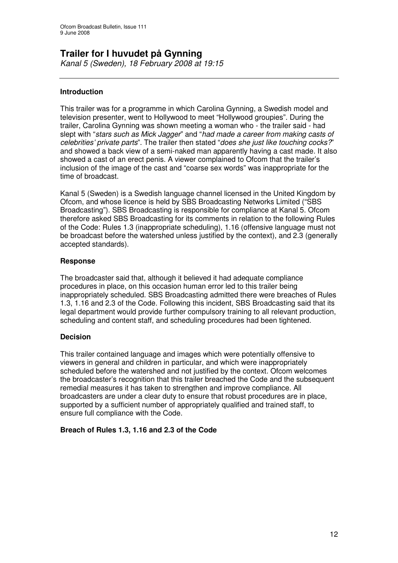# **Trailer for I huvudet på Gynning**

*Kanal 5 (Sweden), 18 February 2008 at 19:15*

# **Introduction**

This trailer was for a programme in which Carolina Gynning, a Swedish model and television presenter, went to Hollywood to meet "Hollywood groupies". During the trailer, Carolina Gynning was shown meeting a woman who - the trailer said - had slept with "*stars such as Mick Jagger*" and "*had made a career from making casts of celebrities' private parts*". The trailer then stated "*does she just like touching cocks?*" and showed a back view of a semi-naked man apparently having a cast made. It also showed a cast of an erect penis. A viewer complained to Ofcom that the trailer's inclusion of the image of the cast and "coarse sex words" was inappropriate for the time of broadcast.

Kanal 5 (Sweden) is a Swedish language channel licensed in the United Kingdom by Ofcom, and whose licence is held by SBS Broadcasting Networks Limited ("SBS Broadcasting"). SBS Broadcasting is responsible for compliance at Kanal 5. Ofcom therefore asked SBS Broadcasting for its comments in relation to the following Rules of the Code: Rules 1.3 (inappropriate scheduling), 1.16 (offensive language must not be broadcast before the watershed unless justified by the context), and 2.3 (generally accepted standards).

## **Response**

The broadcaster said that, although it believed it had adequate compliance procedures in place, on this occasion human error led to this trailer being inappropriately scheduled. SBS Broadcasting admitted there were breaches of Rules 1.3, 1.16 and 2.3 of the Code. Following this incident, SBS Broadcasting said that its legal department would provide further compulsory training to all relevant production, scheduling and content staff, and scheduling procedures had been tightened.

# **Decision**

This trailer contained language and images which were potentially offensive to viewers in general and children in particular, and which were inappropriately scheduled before the watershed and not justified by the context. Ofcom welcomes the broadcaster's recognition that this trailer breached the Code and the subsequent remedial measures it has taken to strengthen and improve compliance. All broadcasters are under a clear duty to ensure that robust procedures are in place, supported by a sufficient number of appropriately qualified and trained staff, to ensure full compliance with the Code.

# **Breach of Rules 1.3, 1.16 and 2.3 of the Code**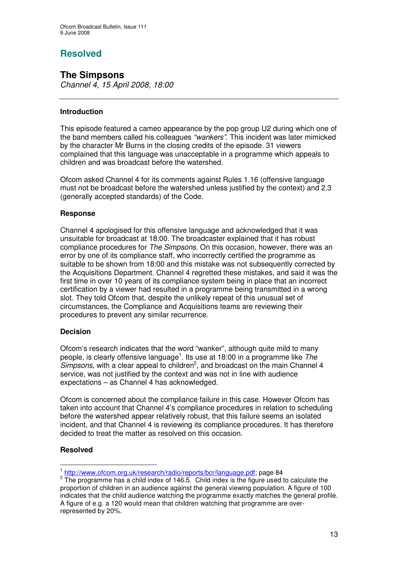# **Resolved**

# **The Simpsons**

*Channel 4, 15 April 2008, 18:00*

# **Introduction**

This episode featured a cameo appearance by the pop group U2 during which one of the band members called his colleagues *"wankers".* This incident was later mimicked by the character Mr Burns in the closing credits of the episode. 31 viewers complained that this language was unacceptable in a programme which appeals to children and was broadcast before the watershed.

Ofcom asked Channel 4 for its comments against Rules 1.16 (offensive language must not be broadcast before the watershed unless justified by the context) and 2.3 (generally accepted standards) of the Code.

# **Response**

Channel 4 apologised for this offensive language and acknowledged that it was unsuitable for broadcast at 18:00. The broadcaster explained that it has robust compliance procedures for *The Simpsons.* On this occasion, however, there was an error by one of its compliance staff, who incorrectly certified the programme as suitable to be shown from 18:00 and this mistake was not subsequently corrected by the Acquisitions Department. Channel 4 regretted these mistakes, and said it was the first time in over 10 years of its compliance system being in place that an incorrect certification by a viewer had resulted in a programme being transmitted in a wrong slot. They told Ofcom that, despite the unlikely repeat of this unusual set of circumstances, the Compliance and Acquisitions teams are reviewing their procedures to prevent any similar recurrence.

## **Decision**

Ofcom's research indicates that the word "wanker", although quite mild to many people, is clearly offensive language 1 . Its use at 18:00 in a programme like *The* Simpsons, with a clear appeal to children<sup>2</sup>, and broadcast on the main Channel 4 service, was not justified by the context and was not in line with audience expectations – as Channel 4 has acknowledged.

Ofcom is concerned about the compliance failure in this case. However Ofcom has taken into account that Channel 4's compliance procedures in relation to scheduling before the watershed appear relatively robust, that this failure seems an isolated incident, and that Channel 4 is reviewing its compliance procedures. It has therefore decided to treat the matter as resolved on this occasion.

## **Resolved**

<sup>&</sup>lt;sup>1</sup> http://www.ofcom.org.uk/research/radio/reports/bcr/language.pdf; page 84

 $2$  The programme has a child index of 146.5. Child index is the figure used to calculate the proportion of children in an audience against the general viewing population. A figure of 100 indicates that the child audience watching the programme exactly matches the general profile. A figure of e.g. a 120 would mean that children watching that programme are overrepresented by 20%.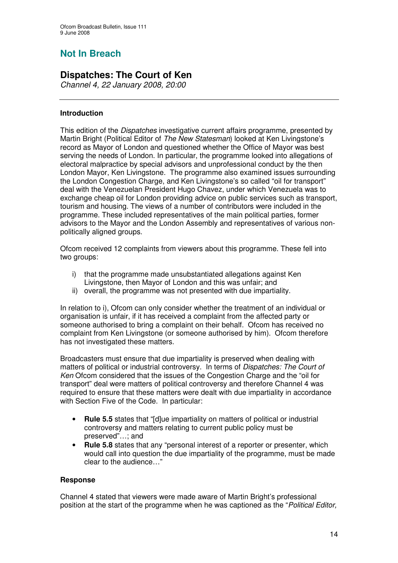# **Not In Breach**

# **Dispatches: The Court of Ken**

*Channel 4, 22 January 2008, 20:00*

# **Introduction**

This edition of the *Dispatches* investigative current affairs programme, presented by Martin Bright (Political Editor of *The New Statesman*) looked at Ken Livingstone's record as Mayor of London and questioned whether the Office of Mayor was best serving the needs of London. In particular, the programme looked into allegations of electoral malpractice by special advisors and unprofessional conduct by the then London Mayor, Ken Livingstone. The programme also examined issues surrounding the London Congestion Charge, and Ken Livingstone's so called "oil for transport" deal with the Venezuelan President Hugo Chavez, under which Venezuela was to exchange cheap oil for London providing advice on public services such as transport, tourism and housing. The views of a number of contributors were included in the programme. These included representatives of the main political parties, former advisors to the Mayor and the London Assembly and representatives of various nonpolitically aligned groups.

Ofcom received 12 complaints from viewers about this programme. These fell into two groups:

- i) that the programme made unsubstantiated allegations against Ken Livingstone, then Mayor of London and this was unfair; and
- ii) overall, the programme was not presented with due impartiality.

In relation to i), Ofcom can only consider whether the treatment of an individual or organisation is unfair, if it has received a complaint from the affected party or someone authorised to bring a complaint on their behalf. Ofcom has received no complaint from Ken Livingstone (or someone authorised by him). Ofcom therefore has not investigated these matters.

Broadcasters must ensure that due impartiality is preserved when dealing with matters of political or industrial controversy. In terms of *Dispatches: The Court of Ken* Ofcom considered that the issues of the Congestion Charge and the "oil for transport" deal were matters of political controversy and therefore Channel 4 was required to ensure that these matters were dealt with due impartiality in accordance with Section Five of the Code. In particular:

- **Rule 5.5** states that "[d]ue impartiality on matters of political or industrial controversy and matters relating to current public policy must be preserved"…; and
- **Rule 5.8** states that any "personal interest of a reporter or presenter, which would call into question the due impartiality of the programme, must be made clear to the audience…"

# **Response**

Channel 4 stated that viewers were made aware of Martin Bright's professional position at the start of the programme when he was captioned as the "*Political Editor,*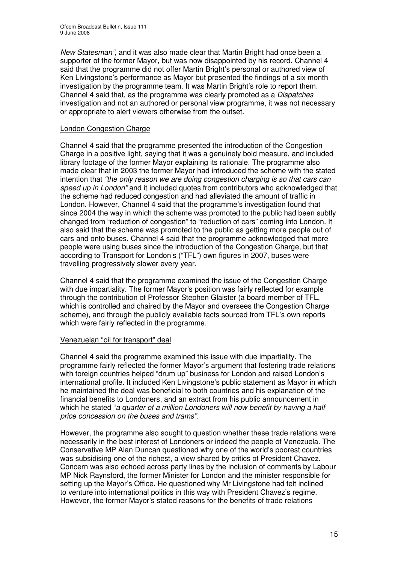*New Statesman"*, and it was also made clear that Martin Bright had once been a supporter of the former Mayor, but was now disappointed by his record. Channel 4 said that the programme did not offer Martin Bright's personal or authored view of Ken Livingstone's performance as Mayor but presented the findings of a six month investigation by the programme team. It was Martin Bright's role to report them. Channel 4 said that, as the programme was clearly promoted as a *Dispatches* investigation and not an authored or personal view programme, it was not necessary or appropriate to alert viewers otherwise from the outset.

## London Congestion Charge

Channel 4 said that the programme presented the introduction of the Congestion Charge in a positive light, saying that it was a genuinely bold measure, and included library footage of the former Mayor explaining its rationale. The programme also made clear that in 2003 the former Mayor had introduced the scheme with the stated intention that *"the only reason we are doing congestion charging is so that cars can speed up in London"* and it included quotes from contributors who acknowledged that the scheme had reduced congestion and had alleviated the amount of traffic in London. However, Channel 4 said that the programme's investigation found that since 2004 the way in which the scheme was promoted to the public had been subtly changed from "reduction of congestion" to "reduction of cars" coming into London. It also said that the scheme was promoted to the public as getting more people out of cars and onto buses. Channel 4 said that the programme acknowledged that more people were using buses since the introduction of the Congestion Charge, but that according to Transport for London's ("TFL") own figures in 2007, buses were travelling progressively slower every year.

Channel 4 said that the programme examined the issue of the Congestion Charge with due impartiality. The former Mayor's position was fairly reflected for example through the contribution of Professor Stephen Glaister (a board member of TFL, which is controlled and chaired by the Mayor and oversees the Congestion Charge scheme), and through the publicly available facts sourced from TFL's own reports which were fairly reflected in the programme.

## Venezuelan "oil for transport" deal

Channel 4 said the programme examined this issue with due impartiality. The programme fairly reflected the former Mayor's argument that fostering trade relations with foreign countries helped "drum up" business for London and raised London's international profile. It included Ken Livingstone's public statement as Mayor in which he maintained the deal was beneficial to both countries and his explanation of the financial benefits to Londoners, and an extract from his public announcement in which he stated "*a quarter of a million Londoners will now benefit by having a half price concession on the buses and trams".*

However, the programme also sought to question whether these trade relations were necessarily in the best interest of Londoners or indeed the people of Venezuela. The Conservative MP Alan Duncan questioned why one of the world's poorest countries was subsidising one of the richest, a view shared by critics of President Chavez. Concern was also echoed across party lines by the inclusion of comments by Labour MP Nick Raynsford, the former Minister for London and the minister responsible for setting up the Mayor's Office. He questioned why Mr Livingstone had felt inclined to venture into international politics in this way with President Chavez's regime*.* However, the former Mayor's stated reasons for the benefits of trade relations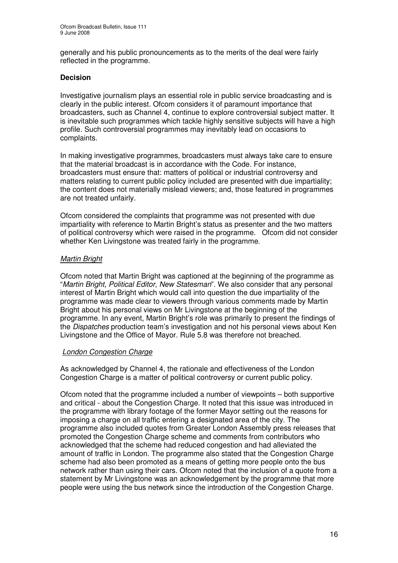generally and his public pronouncements as to the merits of the deal were fairly reflected in the programme.

## **Decision**

Investigative journalism plays an essential role in public service broadcasting and is clearly in the public interest. Ofcom considers it of paramount importance that broadcasters, such as Channel 4, continue to explore controversial subject matter. It is inevitable such programmes which tackle highly sensitive subjects will have a high profile. Such controversial programmes may inevitably lead on occasions to complaints.

In making investigative programmes, broadcasters must always take care to ensure that the material broadcast is in accordance with the Code. For instance, broadcasters must ensure that: matters of political or industrial controversy and matters relating to current public policy included are presented with due impartiality; the content does not materially mislead viewers; and, those featured in programmes are not treated unfairly.

Ofcom considered the complaints that programme was not presented with due impartiality with reference to Martin Bright's status as presenter and the two matters of political controversy which were raised in the programme. Ofcom did not consider whether Ken Livingstone was treated fairly in the programme.

## *Martin Bright*

Ofcom noted that Martin Bright was captioned at the beginning of the programme as "*Martin Bright, Political Editor, New Statesman*". We also consider that any personal interest of Martin Bright which would call into question the due impartiality of the programme was made clear to viewers through various comments made by Martin Bright about his personal views on Mr Livingstone at the beginning of the programme. In any event, Martin Bright's role was primarily to present the findings of the *Dispatches* production team's investigation and not his personal views about Ken Livingstone and the Office of Mayor. Rule 5.8 was therefore not breached.

## *London Congestion Charge*

As acknowledged by Channel 4, the rationale and effectiveness of the London Congestion Charge is a matter of political controversy or current public policy.

Ofcom noted that the programme included a number of viewpoints – both supportive and critical - about the Congestion Charge. It noted that this issue was introduced in the programme with library footage of the former Mayor setting out the reasons for imposing a charge on all traffic entering a designated area of the city. The programme also included quotes from Greater London Assembly press releases that promoted the Congestion Charge scheme and comments from contributors who acknowledged that the scheme had reduced congestion and had alleviated the amount of traffic in London. The programme also stated that the Congestion Charge scheme had also been promoted as a means of getting more people onto the bus network rather than using their cars. Ofcom noted that the inclusion of a quote from a statement by Mr Livingstone was an acknowledgement by the programme that more people were using the bus network since the introduction of the Congestion Charge.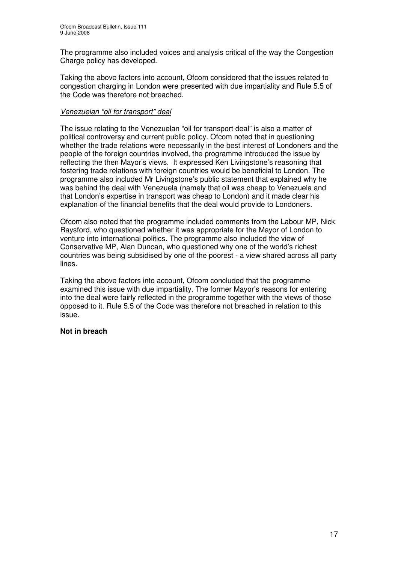The programme also included voices and analysis critical of the way the Congestion Charge policy has developed.

Taking the above factors into account, Ofcom considered that the issues related to congestion charging in London were presented with due impartiality and Rule 5.5 of the Code was therefore not breached.

#### *Venezuelan "oil for transport" deal*

The issue relating to the Venezuelan "oil for transport deal" is also a matter of political controversy and current public policy. Ofcom noted that in questioning whether the trade relations were necessarily in the best interest of Londoners and the people of the foreign countries involved, the programme introduced the issue by reflecting the then Mayor's views. It expressed Ken Livingstone's reasoning that fostering trade relations with foreign countries would be beneficial to London. The programme also included Mr Livingstone's public statement that explained why he was behind the deal with Venezuela (namely that oil was cheap to Venezuela and that London's expertise in transport was cheap to London) and it made clear his explanation of the financial benefits that the deal would provide to Londoners.

Ofcom also noted that the programme included comments from the Labour MP, Nick Raysford, who questioned whether it was appropriate for the Mayor of London to venture into international politics. The programme also included the view of Conservative MP, Alan Duncan, who questioned why one of the world's richest countries was being subsidised by one of the poorest - a view shared across all party lines.

Taking the above factors into account, Ofcom concluded that the programme examined this issue with due impartiality. The former Mayor's reasons for entering into the deal were fairly reflected in the programme together with the views of those opposed to it. Rule 5.5 of the Code was therefore not breached in relation to this issue.

#### **Not in breach**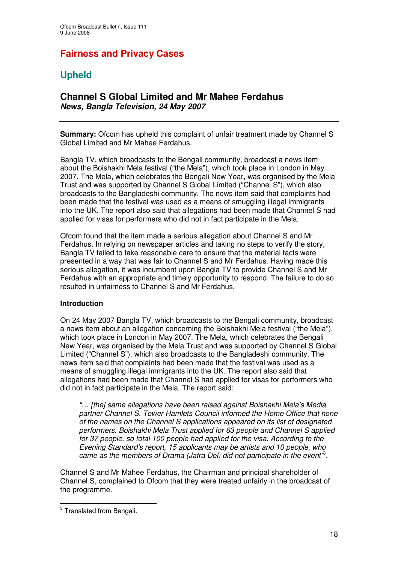# **Fairness and Privacy Cases**

# **Upheld**

# **Channel S Global Limited and Mr Mahee Ferdahus** *News, Bangla Television, 24 May 2007*

**Summary:** Ofcom has upheld this complaint of unfair treatment made by Channel S Global Limited and Mr Mahee Ferdahus.

Bangla TV, which broadcasts to the Bengali community, broadcast a news item about the Boishakhi Mela festival ("the Mela"), which took place in London in May 2007. The Mela, which celebrates the Bengali New Year, was organised by the Mela Trust and was supported by Channel S Global Limited ("Channel S"), which also broadcasts to the Bangladeshi community. The news item said that complaints had been made that the festival was used as a means of smuggling illegal immigrants into the UK. The report also said that allegations had been made that Channel S had applied for visas for performers who did not in fact participate in the Mela.

Ofcom found that the item made a serious allegation about Channel S and Mr Ferdahus. In relying on newspaper articles and taking no steps to verify the story, Bangla TV failed to take reasonable care to ensure that the material facts were presented in a way that was fair to Channel S and Mr Ferdahus. Having made this serious allegation, it was incumbent upon Bangla TV to provide Channel S and Mr Ferdahus with an appropriate and timely opportunity to respond. The failure to do so resulted in unfairness to Channel S and Mr Ferdahus.

## **Introduction**

On 24 May 2007 Bangla TV, which broadcasts to the Bengali community, broadcast a news item about an allegation concerning the Boishakhi Mela festival ("the Mela"), which took place in London in May 2007. The Mela, which celebrates the Bengali New Year, was organised by the Mela Trust and was supported by Channel S Global Limited ("Channel S"), which also broadcasts to the Bangladeshi community. The news item said that complaints had been made that the festival was used as a means of smuggling illegal immigrants into the UK. The report also said that allegations had been made that Channel S had applied for visas for performers who did not in fact participate in the Mela. The report said:

*"… [the] same allegations have been raised against Boishakhi Mela's Media partner Channel S. Tower Hamlets Council informed the Home Office that none of the names on the Channel S applications appeared on its list of designated performers. Boishakhi Mela Trust applied for 63 people and Channel S applied for 37 people, so total 100 people had applied for the visa. According to the Evening Standard's report, 15 applicants may be artists and 10 people, who came as the members of Drama (Jatra Dol) did not participate in the event"* 3 .

Channel S and Mr Mahee Ferdahus, the Chairman and principal shareholder of Channel S, complained to Ofcom that they were treated unfairly in the broadcast of the programme.

<sup>&</sup>lt;sup>3</sup> Translated from Bengali.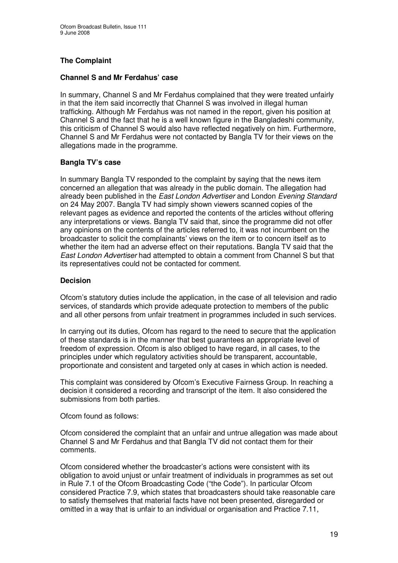# **The Complaint**

## **Channel S and Mr Ferdahus' case**

In summary, Channel S and Mr Ferdahus complained that they were treated unfairly in that the item said incorrectly that Channel S was involved in illegal human trafficking. Although Mr Ferdahus was not named in the report, given his position at Channel S and the fact that he is a well known figure in the Bangladeshi community, this criticism of Channel S would also have reflected negatively on him. Furthermore, Channel S and Mr Ferdahus were not contacted by Bangla TV for their views on the allegations made in the programme.

## **Bangla TV's case**

In summary Bangla TV responded to the complaint by saying that the news item concerned an allegation that was already in the public domain. The allegation had already been published in the *East London Advertiser* and London *Evening Standard* on 24 May 2007. Bangla TV had simply shown viewers scanned copies of the relevant pages as evidence and reported the contents of the articles without offering any interpretations or views. Bangla TV said that, since the programme did not offer any opinions on the contents of the articles referred to, it was not incumbent on the broadcaster to solicit the complainants' views on the item or to concern itself as to whether the item had an adverse effect on their reputations. Bangla TV said that the *East London Advertiser* had attempted to obtain a comment from Channel S but that its representatives could not be contacted for comment.

## **Decision**

Ofcom's statutory duties include the application, in the case of all television and radio services, of standards which provide adequate protection to members of the public and all other persons from unfair treatment in programmes included in such services.

In carrying out its duties, Ofcom has regard to the need to secure that the application of these standards is in the manner that best guarantees an appropriate level of freedom of expression. Ofcom is also obliged to have regard, in all cases, to the principles under which regulatory activities should be transparent, accountable, proportionate and consistent and targeted only at cases in which action is needed.

This complaint was considered by Ofcom's Executive Fairness Group. In reaching a decision it considered a recording and transcript of the item. It also considered the submissions from both parties.

Ofcom found as follows:

Ofcom considered the complaint that an unfair and untrue allegation was made about Channel S and Mr Ferdahus and that Bangla TV did not contact them for their comments.

Ofcom considered whether the broadcaster's actions were consistent with its obligation to avoid unjust or unfair treatment of individuals in programmes as set out in Rule 7.1 of the Ofcom Broadcasting Code ("the Code"). In particular Ofcom considered Practice 7.9, which states that broadcasters should take reasonable care to satisfy themselves that material facts have not been presented, disregarded or omitted in a way that is unfair to an individual or organisation and Practice 7.11,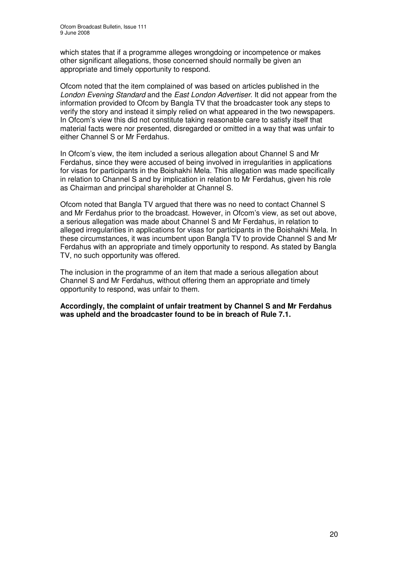which states that if a programme alleges wrongdoing or incompetence or makes other significant allegations, those concerned should normally be given an appropriate and timely opportunity to respond.

Ofcom noted that the item complained of was based on articles published in the *London Evening Standard* and the *East London Advertiser*. It did not appear from the information provided to Ofcom by Bangla TV that the broadcaster took any steps to verify the story and instead it simply relied on what appeared in the two newspapers. In Ofcom's view this did not constitute taking reasonable care to satisfy itself that material facts were nor presented, disregarded or omitted in a way that was unfair to either Channel S or Mr Ferdahus.

In Ofcom's view, the item included a serious allegation about Channel S and Mr Ferdahus, since they were accused of being involved in irregularities in applications for visas for participants in the Boishakhi Mela. This allegation was made specifically in relation to Channel S and by implication in relation to Mr Ferdahus, given his role as Chairman and principal shareholder at Channel S.

Ofcom noted that Bangla TV argued that there was no need to contact Channel S and Mr Ferdahus prior to the broadcast. However, in Ofcom's view, as set out above, a serious allegation was made about Channel S and Mr Ferdahus, in relation to alleged irregularities in applications for visas for participants in the Boishakhi Mela. In these circumstances, it was incumbent upon Bangla TV to provide Channel S and Mr Ferdahus with an appropriate and timely opportunity to respond. As stated by Bangla TV, no such opportunity was offered.

The inclusion in the programme of an item that made a serious allegation about Channel S and Mr Ferdahus, without offering them an appropriate and timely opportunity to respond, was unfair to them.

**Accordingly, the complaint of unfair treatment by Channel S and Mr Ferdahus was upheld and the broadcaster found to be in breach of Rule 7.1.**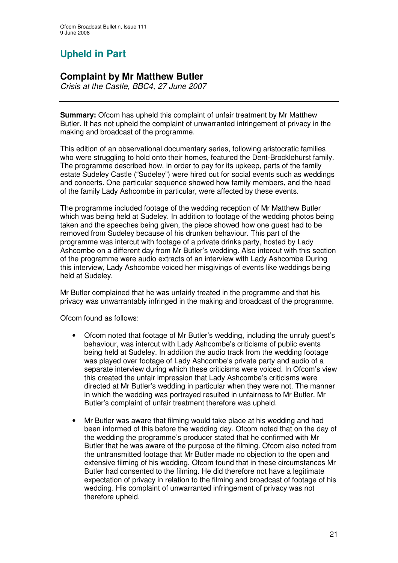# **Upheld in Part**

# **Complaint by Mr Matthew Butler**

*Crisis at the Castle, BBC4, 27 June 2007*

**Summary:** Ofcom has upheld this complaint of unfair treatment by Mr Matthew Butler. It has not upheld the complaint of unwarranted infringement of privacy in the making and broadcast of the programme.

This edition of an observational documentary series, following aristocratic families who were struggling to hold onto their homes, featured the Dent-Brocklehurst family. The programme described how, in order to pay for its upkeep, parts of the family estate Sudeley Castle ("Sudeley") were hired out for social events such as weddings and concerts. One particular sequence showed how family members, and the head of the family Lady Ashcombe in particular, were affected by these events.

The programme included footage of the wedding reception of Mr Matthew Butler which was being held at Sudeley. In addition to footage of the wedding photos being taken and the speeches being given, the piece showed how one guest had to be removed from Sudeley because of his drunken behaviour. This part of the programme was intercut with footage of a private drinks party, hosted by Lady Ashcombe on a different day from Mr Butler's wedding. Also intercut with this section of the programme were audio extracts of an interview with Lady Ashcombe During this interview, Lady Ashcombe voiced her misgivings of events like weddings being held at Sudeley.

Mr Butler complained that he was unfairly treated in the programme and that his privacy was unwarrantably infringed in the making and broadcast of the programme.

Ofcom found as follows:

- Ofcom noted that footage of Mr Butler's wedding, including the unruly guest's behaviour, was intercut with Lady Ashcombe's criticisms of public events being held at Sudeley. In addition the audio track from the wedding footage was played over footage of Lady Ashcombe's private party and audio of a separate interview during which these criticisms were voiced. In Ofcom's view this created the unfair impression that Lady Ashcombe's criticisms were directed at Mr Butler's wedding in particular when they were not. The manner in which the wedding was portrayed resulted in unfairness to Mr Butler. Mr Butler's complaint of unfair treatment therefore was upheld.
- Mr Butler was aware that filming would take place at his wedding and had been informed of this before the wedding day. Ofcom noted that on the day of the wedding the programme's producer stated that he confirmed with Mr Butler that he was aware of the purpose of the filming. Ofcom also noted from the untransmitted footage that Mr Butler made no objection to the open and extensive filming of his wedding. Ofcom found that in these circumstances Mr Butler had consented to the filming. He did therefore not have a legitimate expectation of privacy in relation to the filming and broadcast of footage of his wedding. His complaint of unwarranted infringement of privacy was not therefore upheld.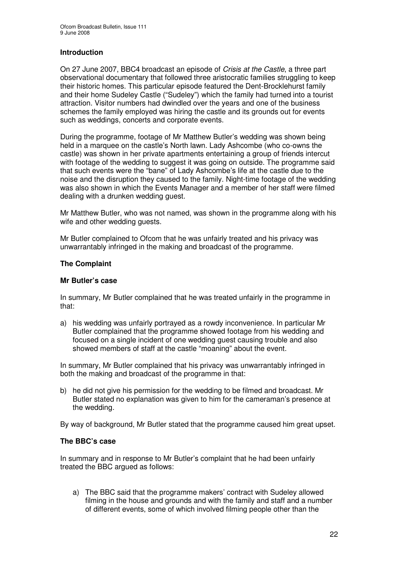## **Introduction**

On 27 June 2007, BBC4 broadcast an episode of *Crisis at the Castle*, a three part observational documentary that followed three aristocratic families struggling to keep their historic homes. This particular episode featured the Dent-Brocklehurst family and their home Sudeley Castle ("Sudeley") which the family had turned into a tourist attraction. Visitor numbers had dwindled over the years and one of the business schemes the family employed was hiring the castle and its grounds out for events such as weddings, concerts and corporate events.

During the programme, footage of Mr Matthew Butler's wedding was shown being held in a marquee on the castle's North lawn. Lady Ashcombe (who co-owns the castle) was shown in her private apartments entertaining a group of friends intercut with footage of the wedding to suggest it was going on outside. The programme said that such events were the "bane" of Lady Ashcombe's life at the castle due to the noise and the disruption they caused to the family. Night-time footage of the wedding was also shown in which the Events Manager and a member of her staff were filmed dealing with a drunken wedding guest.

Mr Matthew Butler, who was not named, was shown in the programme along with his wife and other wedding guests.

Mr Butler complained to Ofcom that he was unfairly treated and his privacy was unwarrantably infringed in the making and broadcast of the programme.

#### **The Complaint**

#### **Mr Butler's case**

In summary, Mr Butler complained that he was treated unfairly in the programme in that:

a) his wedding was unfairly portrayed as a rowdy inconvenience. In particular Mr Butler complained that the programme showed footage from his wedding and focused on a single incident of one wedding guest causing trouble and also showed members of staff at the castle "moaning" about the event.

In summary, Mr Butler complained that his privacy was unwarrantably infringed in both the making and broadcast of the programme in that:

b) he did not give his permission for the wedding to be filmed and broadcast. Mr Butler stated no explanation was given to him for the cameraman's presence at the wedding.

By way of background, Mr Butler stated that the programme caused him great upset.

## **The BBC's case**

In summary and in response to Mr Butler's complaint that he had been unfairly treated the BBC arqued as follows:

a) The BBC said that the programme makers' contract with Sudeley allowed filming in the house and grounds and with the family and staff and a number of different events, some of which involved filming people other than the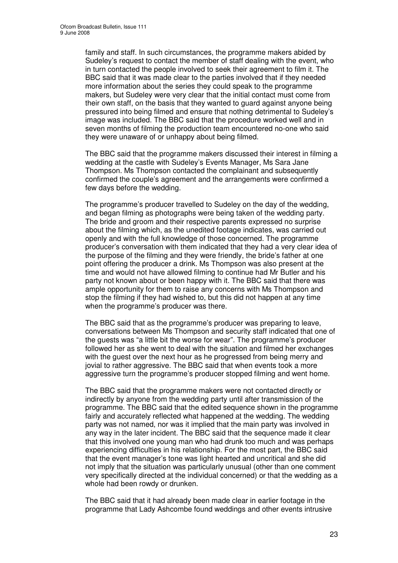family and staff. In such circumstances, the programme makers abided by Sudeley's request to contact the member of staff dealing with the event, who in turn contacted the people involved to seek their agreement to film it. The BBC said that it was made clear to the parties involved that if they needed more information about the series they could speak to the programme makers, but Sudeley were very clear that the initial contact must come from their own staff, on the basis that they wanted to guard against anyone being pressured into being filmed and ensure that nothing detrimental to Sudeley's image was included. The BBC said that the procedure worked well and in seven months of filming the production team encountered no-one who said they were unaware of or unhappy about being filmed.

The BBC said that the programme makers discussed their interest in filming a wedding at the castle with Sudeley's Events Manager, Ms Sara Jane Thompson. Ms Thompson contacted the complainant and subsequently confirmed the couple's agreement and the arrangements were confirmed a few days before the wedding.

The programme's producer travelled to Sudeley on the day of the wedding, and began filming as photographs were being taken of the wedding party. The bride and groom and their respective parents expressed no surprise about the filming which, as the unedited footage indicates, was carried out openly and with the full knowledge of those concerned. The programme producer's conversation with them indicated that they had a very clear idea of the purpose of the filming and they were friendly, the bride's father at one point offering the producer a drink. Ms Thompson was also present at the time and would not have allowed filming to continue had Mr Butler and his party not known about or been happy with it. The BBC said that there was ample opportunity for them to raise any concerns with Ms Thompson and stop the filming if they had wished to, but this did not happen at any time when the programme's producer was there.

The BBC said that as the programme's producer was preparing to leave, conversations between Ms Thompson and security staff indicated that one of the guests was "a little bit the worse for wear". The programme's producer followed her as she went to deal with the situation and filmed her exchanges with the guest over the next hour as he progressed from being merry and jovial to rather aggressive. The BBC said that when events took a more aggressive turn the programme's producer stopped filming and went home.

The BBC said that the programme makers were not contacted directly or indirectly by anyone from the wedding party until after transmission of the programme. The BBC said that the edited sequence shown in the programme fairly and accurately reflected what happened at the wedding. The wedding party was not named, nor was it implied that the main party was involved in any way in the later incident. The BBC said that the sequence made it clear that this involved one young man who had drunk too much and was perhaps experiencing difficulties in his relationship. For the most part, the BBC said that the event manager's tone was light hearted and uncritical and she did not imply that the situation was particularly unusual (other than one comment very specifically directed at the individual concerned) or that the wedding as a whole had been rowdy or drunken.

The BBC said that it had already been made clear in earlier footage in the programme that Lady Ashcombe found weddings and other events intrusive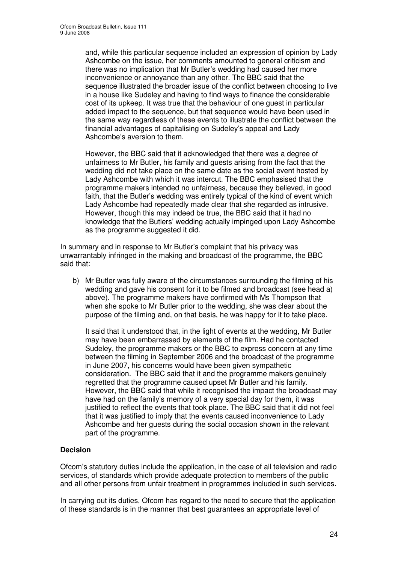and, while this particular sequence included an expression of opinion by Lady Ashcombe on the issue, her comments amounted to general criticism and there was no implication that Mr Butler's wedding had caused her more inconvenience or annoyance than any other. The BBC said that the sequence illustrated the broader issue of the conflict between choosing to live in a house like Sudeley and having to find ways to finance the considerable cost of its upkeep. It was true that the behaviour of one guest in particular added impact to the sequence, but that sequence would have been used in the same way regardless of these events to illustrate the conflict between the financial advantages of capitalising on Sudeley's appeal and Lady Ashcombe's aversion to them.

However, the BBC said that it acknowledged that there was a degree of unfairness to Mr Butler, his family and guests arising from the fact that the wedding did not take place on the same date as the social event hosted by Lady Ashcombe with which it was intercut. The BBC emphasised that the programme makers intended no unfairness, because they believed, in good faith, that the Butler's wedding was entirely typical of the kind of event which Lady Ashcombe had repeatedly made clear that she regarded as intrusive. However, though this may indeed be true, the BBC said that it had no knowledge that the Butlers' wedding actually impinged upon Lady Ashcombe as the programme suggested it did.

In summary and in response to Mr Butler's complaint that his privacy was unwarrantably infringed in the making and broadcast of the programme, the BBC said that:

b) Mr Butler was fully aware of the circumstances surrounding the filming of his wedding and gave his consent for it to be filmed and broadcast (see head a) above). The programme makers have confirmed with Ms Thompson that when she spoke to Mr Butler prior to the wedding, she was clear about the purpose of the filming and, on that basis, he was happy for it to take place.

It said that it understood that, in the light of events at the wedding, Mr Butler may have been embarrassed by elements of the film. Had he contacted Sudeley, the programme makers or the BBC to express concern at any time between the filming in September 2006 and the broadcast of the programme in June 2007, his concerns would have been given sympathetic consideration. The BBC said that it and the programme makers genuinely regretted that the programme caused upset Mr Butler and his family. However, the BBC said that while it recognised the impact the broadcast may have had on the family's memory of a very special day for them, it was justified to reflect the events that took place. The BBC said that it did not feel that it was justified to imply that the events caused inconvenience to Lady Ashcombe and her guests during the social occasion shown in the relevant part of the programme.

## **Decision**

Ofcom's statutory duties include the application, in the case of all television and radio services, of standards which provide adequate protection to members of the public and all other persons from unfair treatment in programmes included in such services.

In carrying out its duties, Ofcom has regard to the need to secure that the application of these standards is in the manner that best guarantees an appropriate level of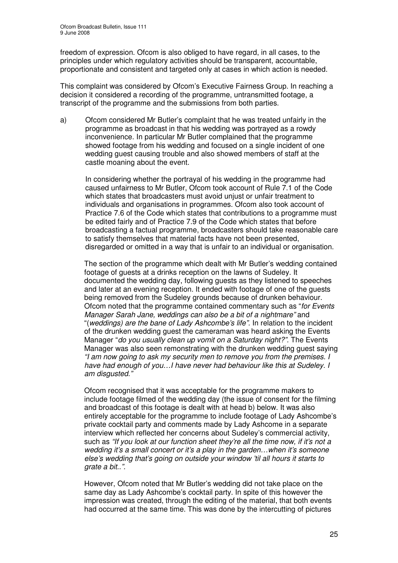freedom of expression. Ofcom is also obliged to have regard, in all cases, to the principles under which regulatory activities should be transparent, accountable, proportionate and consistent and targeted only at cases in which action is needed.

This complaint was considered by Ofcom's Executive Fairness Group. In reaching a decision it considered a recording of the programme, untransmitted footage, a transcript of the programme and the submissions from both parties.

a) Ofcom considered Mr Butler's complaint that he was treated unfairly in the programme as broadcast in that his wedding was portrayed as a rowdy inconvenience. In particular Mr Butler complained that the programme showed footage from his wedding and focused on a single incident of one wedding guest causing trouble and also showed members of staff at the castle moaning about the event.

In considering whether the portrayal of his wedding in the programme had caused unfairness to Mr Butler, Ofcom took account of Rule 7.1 of the Code which states that broadcasters must avoid uniust or unfair treatment to individuals and organisations in programmes. Ofcom also took account of Practice 7.6 of the Code which states that contributions to a programme must be edited fairly and of Practice 7.9 of the Code which states that before broadcasting a factual programme, broadcasters should take reasonable care to satisfy themselves that material facts have not been presented, disregarded or omitted in a way that is unfair to an individual or organisation.

The section of the programme which dealt with Mr Butler's wedding contained footage of guests at a drinks reception on the lawns of Sudeley. It documented the wedding day, following guests as they listened to speeches and later at an evening reception. It ended with footage of one of the guests being removed from the Sudeley grounds because of drunken behaviour. Ofcom noted that the programme contained commentary such as "*for Events Manager Sarah Jane, weddings can also be a bit of a nightmare"* and "(*weddings) are the bane of Lady Ashcombe's life".* In relation to the incident of the drunken wedding guest the cameraman was heard asking the Events Manager "*do you usually clean up vomit on a Saturday night?".* The Events Manager was also seen remonstrating with the drunken wedding guest saying *"I am now going to ask my security men to remove you from the premises. I have had enough of you…I have never had behaviour like this at Sudeley. I am disgusted."*

Ofcom recognised that it was acceptable for the programme makers to include footage filmed of the wedding day (the issue of consent for the filming and broadcast of this footage is dealt with at head b) below. It was also entirely acceptable for the programme to include footage of Lady Ashcombe's private cocktail party and comments made by Lady Ashcome in a separate interview which reflected her concerns about Sudeley's commercial activity, such as *"If you look at our function sheet they're all the time now, if it's not a wedding it's a small concert or it's a play in the garden…when it's someone else's wedding that's going on outside your window 'til all hours it starts to grate a bit..".*

However, Ofcom noted that Mr Butler's wedding did not take place on the same day as Lady Ashcombe's cocktail party. In spite of this however the impression was created, through the editing of the material, that both events had occurred at the same time. This was done by the intercutting of pictures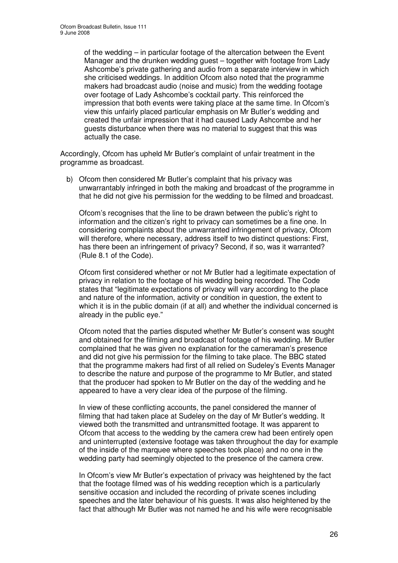of the wedding – in particular footage of the altercation between the Event Manager and the drunken wedding guest – together with footage from Lady Ashcombe's private gathering and audio from a separate interview in which she criticised weddings. In addition Ofcom also noted that the programme makers had broadcast audio (noise and music) from the wedding footage over footage of Lady Ashcombe's cocktail party. This reinforced the impression that both events were taking place at the same time. In Ofcom's view this unfairly placed particular emphasis on Mr Butler's wedding and created the unfair impression that it had caused Lady Ashcombe and her guests disturbance when there was no material to suggest that this was actually the case.

Accordingly, Ofcom has upheld Mr Butler's complaint of unfair treatment in the programme as broadcast.

b) Ofcom then considered Mr Butler's complaint that his privacy was unwarrantably infringed in both the making and broadcast of the programme in that he did not give his permission for the wedding to be filmed and broadcast.

Ofcom's recognises that the line to be drawn between the public's right to information and the citizen's right to privacy can sometimes be a fine one. In considering complaints about the unwarranted infringement of privacy, Ofcom will therefore, where necessary, address itself to two distinct questions: First, has there been an infringement of privacy? Second, if so, was it warranted? (Rule 8.1 of the Code).

Ofcom first considered whether or not Mr Butler had a legitimate expectation of privacy in relation to the footage of his wedding being recorded. The Code states that "legitimate expectations of privacy will vary according to the place and nature of the information, activity or condition in question, the extent to which it is in the public domain (if at all) and whether the individual concerned is already in the public eye."

Ofcom noted that the parties disputed whether Mr Butler's consent was sought and obtained for the filming and broadcast of footage of his wedding. Mr Butler complained that he was given no explanation for the cameraman's presence and did not give his permission for the filming to take place. The BBC stated that the programme makers had first of all relied on Sudeley's Events Manager to describe the nature and purpose of the programme to Mr Butler, and stated that the producer had spoken to Mr Butler on the day of the wedding and he appeared to have a very clear idea of the purpose of the filming.

In view of these conflicting accounts, the panel considered the manner of filming that had taken place at Sudeley on the day of Mr Butler's wedding. It viewed both the transmitted and untransmitted footage. It was apparent to Ofcom that access to the wedding by the camera crew had been entirely open and uninterrupted (extensive footage was taken throughout the day for example of the inside of the marquee where speeches took place) and no one in the wedding party had seemingly objected to the presence of the camera crew.

In Ofcom's view Mr Butler's expectation of privacy was heightened by the fact that the footage filmed was of his wedding reception which is a particularly sensitive occasion and included the recording of private scenes including speeches and the later behaviour of his guests. It was also heightened by the fact that although Mr Butler was not named he and his wife were recognisable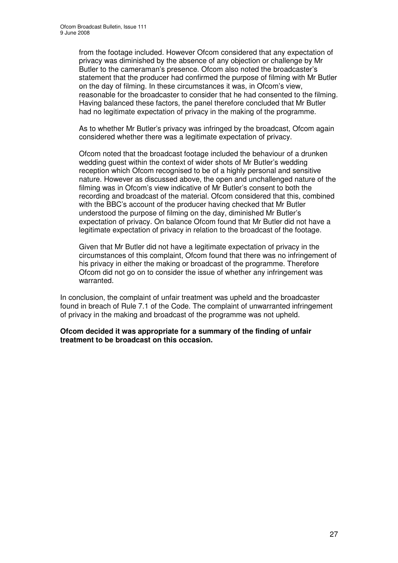from the footage included. However Ofcom considered that any expectation of privacy was diminished by the absence of any objection or challenge by Mr Butler to the cameraman's presence. Ofcom also noted the broadcaster's statement that the producer had confirmed the purpose of filming with Mr Butler on the day of filming. In these circumstances it was, in Ofcom's view, reasonable for the broadcaster to consider that he had consented to the filming. Having balanced these factors, the panel therefore concluded that Mr Butler had no legitimate expectation of privacy in the making of the programme.

As to whether Mr Butler's privacy was infringed by the broadcast, Ofcom again considered whether there was a legitimate expectation of privacy.

Ofcom noted that the broadcast footage included the behaviour of a drunken wedding guest within the context of wider shots of Mr Butler's wedding reception which Ofcom recognised to be of a highly personal and sensitive nature. However as discussed above, the open and unchallenged nature of the filming was in Ofcom's view indicative of Mr Butler's consent to both the recording and broadcast of the material. Ofcom considered that this, combined with the BBC's account of the producer having checked that Mr Butler understood the purpose of filming on the day, diminished Mr Butler's expectation of privacy. On balance Ofcom found that Mr Butler did not have a legitimate expectation of privacy in relation to the broadcast of the footage.

Given that Mr Butler did not have a legitimate expectation of privacy in the circumstances of this complaint, Ofcom found that there was no infringement of his privacy in either the making or broadcast of the programme. Therefore Ofcom did not go on to consider the issue of whether any infringement was warranted.

In conclusion, the complaint of unfair treatment was upheld and the broadcaster found in breach of Rule 7.1 of the Code. The complaint of unwarranted infringement of privacy in the making and broadcast of the programme was not upheld.

**Ofcom decided it was appropriate for a summary of the finding of unfair treatment to be broadcast on this occasion.**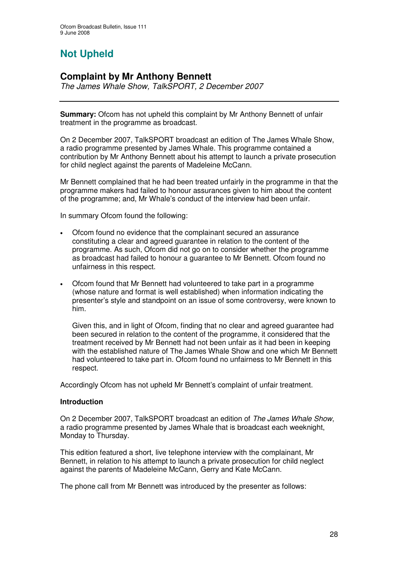# **Not Upheld**

# **Complaint by Mr Anthony Bennett**

*The James Whale Show, TalkSPORT, 2 December 2007*

**Summary:** Ofcom has not upheld this complaint by Mr Anthony Bennett of unfair treatment in the programme as broadcast.

On 2 December 2007, TalkSPORT broadcast an edition of The James Whale Show, a radio programme presented by James Whale. This programme contained a contribution by Mr Anthony Bennett about his attempt to launch a private prosecution for child neglect against the parents of Madeleine McCann.

Mr Bennett complained that he had been treated unfairly in the programme in that the programme makers had failed to honour assurances given to him about the content of the programme; and, Mr Whale's conduct of the interview had been unfair.

In summary Ofcom found the following:

- Ofcom found no evidence that the complainant secured an assurance constituting a clear and agreed guarantee in relation to the content of the programme. As such, Ofcom did not go on to consider whether the programme as broadcast had failed to honour a guarantee to Mr Bennett. Ofcom found no unfairness in this respect.
- Ofcom found that Mr Bennett had volunteered to take part in a programme (whose nature and format is well established) when information indicating the presenter's style and standpoint on an issue of some controversy, were known to him.

Given this, and in light of Ofcom, finding that no clear and agreed guarantee had been secured in relation to the content of the programme, it considered that the treatment received by Mr Bennett had not been unfair as it had been in keeping with the established nature of The James Whale Show and one which Mr Bennett had volunteered to take part in. Ofcom found no unfairness to Mr Bennett in this respect.

Accordingly Ofcom has not upheld Mr Bennett's complaint of unfair treatment.

## **Introduction**

On 2 December 2007, TalkSPORT broadcast an edition of *The James Whale Show*, a radio programme presented by James Whale that is broadcast each weeknight, Monday to Thursday.

This edition featured a short, live telephone interview with the complainant, Mr Bennett, in relation to his attempt to launch a private prosecution for child neglect against the parents of Madeleine McCann, Gerry and Kate McCann.

The phone call from Mr Bennett was introduced by the presenter as follows: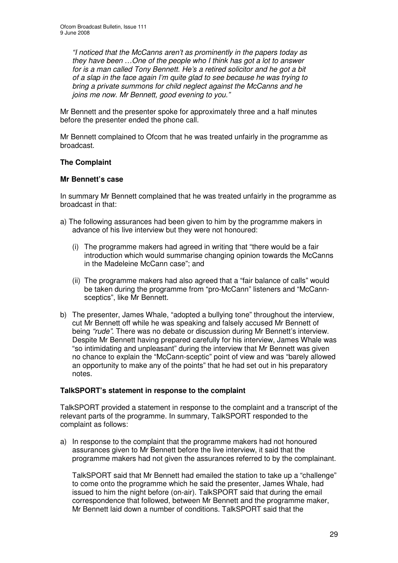*"I noticed that the McCanns aren't as prominently in the papers today as they have been …One of the people who I think has got a lot to answer for is a man called Tony Bennett. He's a retired solicitor and he got a bit of a slap in the face again I'm quite glad to see because he was trying to bring a private summons for child neglect against the McCanns and he joins me now. Mr Bennett, good evening to you."*

Mr Bennett and the presenter spoke for approximately three and a half minutes before the presenter ended the phone call.

Mr Bennett complained to Ofcom that he was treated unfairly in the programme as broadcast.

## **The Complaint**

## **Mr Bennett's case**

In summary Mr Bennett complained that he was treated unfairly in the programme as broadcast in that:

- a) The following assurances had been given to him by the programme makers in advance of his live interview but they were not honoured:
	- (i) The programme makers had agreed in writing that "there would be a fair introduction which would summarise changing opinion towards the McCanns in the Madeleine McCann case"; and
	- (ii) The programme makers had also agreed that a "fair balance of calls" would be taken during the programme from "pro-McCann" listeners and "McCannsceptics", like Mr Bennett.
- b) The presenter, James Whale, "adopted a bullying tone" throughout the interview, cut Mr Bennett off while he was speaking and falsely accused Mr Bennett of being *"rude"*. There was no debate or discussion during Mr Bennett's interview. Despite Mr Bennett having prepared carefully for his interview, James Whale was "so intimidating and unpleasant" during the interview that Mr Bennett was given no chance to explain the "McCann-sceptic" point of view and was "barely allowed an opportunity to make any of the points" that he had set out in his preparatory notes.

## **TalkSPORT's statement in response to the complaint**

TalkSPORT provided a statement in response to the complaint and a transcript of the relevant parts of the programme. In summary, TalkSPORT responded to the complaint as follows:

a) In response to the complaint that the programme makers had not honoured assurances given to Mr Bennett before the live interview, it said that the programme makers had not given the assurances referred to by the complainant.

TalkSPORT said that Mr Bennett had emailed the station to take up a "challenge" to come onto the programme which he said the presenter, James Whale, had issued to him the night before (on-air). TalkSPORT said that during the email correspondence that followed, between Mr Bennett and the programme maker, Mr Bennett laid down a number of conditions. TalkSPORT said that the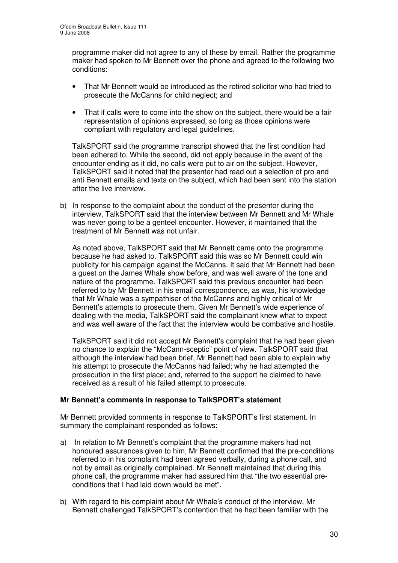programme maker did not agree to any of these by email. Rather the programme maker had spoken to Mr Bennett over the phone and agreed to the following two conditions:

- That Mr Bennett would be introduced as the retired solicitor who had tried to prosecute the McCanns for child neglect; and
- That if calls were to come into the show on the subject, there would be a fair representation of opinions expressed, so long as those opinions were compliant with regulatory and legal guidelines.

TalkSPORT said the programme transcript showed that the first condition had been adhered to. While the second, did not apply because in the event of the encounter ending as it did, no calls were put to air on the subject. However, TalkSPORT said it noted that the presenter had read out a selection of pro and anti Bennett emails and texts on the subject, which had been sent into the station after the live interview.

b) In response to the complaint about the conduct of the presenter during the interview, TalkSPORT said that the interview between Mr Bennett and Mr Whale was never going to be a genteel encounter. However, it maintained that the treatment of Mr Bennett was not unfair.

As noted above, TalkSPORT said that Mr Bennett came onto the programme because he had asked to. TalkSPORT said this was so Mr Bennett could win publicity for his campaign against the McCanns. It said that Mr Bennett had been a guest on the James Whale show before, and was well aware of the tone and nature of the programme. TalkSPORT said this previous encounter had been referred to by Mr Bennett in his email correspondence, as was, his knowledge that Mr Whale was a sympathiser of the McCanns and highly critical of Mr Bennett's attempts to prosecute them. Given Mr Bennett's wide experience of dealing with the media, TalkSPORT said the complainant knew what to expect and was well aware of the fact that the interview would be combative and hostile.

TalkSPORT said it did not accept Mr Bennett's complaint that he had been given no chance to explain the "McCann-sceptic" point of view. TalkSPORT said that although the interview had been brief, Mr Bennett had been able to explain why his attempt to prosecute the McCanns had failed; why he had attempted the prosecution in the first place; and, referred to the support he claimed to have received as a result of his failed attempt to prosecute.

## **Mr Bennett's comments in response to TalkSPORT's statement**

Mr Bennett provided comments in response to TalkSPORT's first statement. In summary the complainant responded as follows:

- a) In relation to Mr Bennett's complaint that the programme makers had not honoured assurances given to him, Mr Bennett confirmed that the pre-conditions referred to in his complaint had been agreed verbally, during a phone call, and not by email as originally complained. Mr Bennett maintained that during this phone call, the programme maker had assured him that "the two essential preconditions that I had laid down would be met".
- b) With regard to his complaint about Mr Whale's conduct of the interview, Mr Bennett challenged TalkSPORT's contention that he had been familiar with the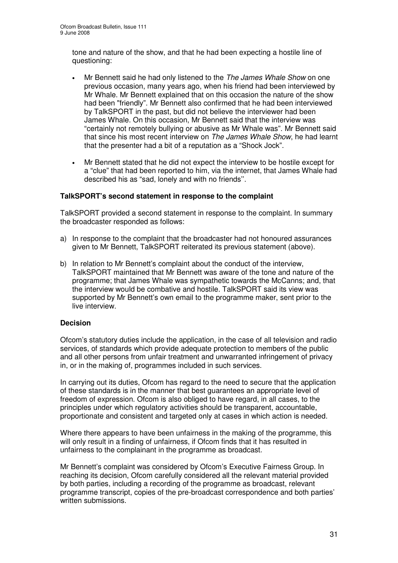tone and nature of the show, and that he had been expecting a hostile line of questioning:

- Mr Bennett said he had only listened to the *The James Whale Show* on one previous occasion, many years ago, when his friend had been interviewed by Mr Whale. Mr Bennett explained that on this occasion the nature of the show had been "friendly". Mr Bennett also confirmed that he had been interviewed by TalkSPORT in the past, but did not believe the interviewer had been James Whale. On this occasion, Mr Bennett said that the interview was "certainly not remotely bullying or abusive as Mr Whale was". Mr Bennett said that since his most recent interview on *The James Whale Show*, he had learnt that the presenter had a bit of a reputation as a "Shock Jock".
- Mr Bennett stated that he did not expect the interview to be hostile except for a "clue" that had been reported to him, via the internet, that James Whale had described his as "sad, lonely and with no friends''.

## **TalkSPORT's second statement in response to the complaint**

TalkSPORT provided a second statement in response to the complaint. In summary the broadcaster responded as follows:

- a) In response to the complaint that the broadcaster had not honoured assurances given to Mr Bennett, TalkSPORT reiterated its previous statement (above).
- b) In relation to Mr Bennett's complaint about the conduct of the interview, TalkSPORT maintained that Mr Bennett was aware of the tone and nature of the programme; that James Whale was sympathetic towards the McCanns; and, that the interview would be combative and hostile. TalkSPORT said its view was supported by Mr Bennett's own email to the programme maker, sent prior to the live interview.

## **Decision**

Ofcom's statutory duties include the application, in the case of all television and radio services, of standards which provide adequate protection to members of the public and all other persons from unfair treatment and unwarranted infringement of privacy in, or in the making of, programmes included in such services.

In carrying out its duties, Ofcom has regard to the need to secure that the application of these standards is in the manner that best guarantees an appropriate level of freedom of expression. Ofcom is also obliged to have regard, in all cases, to the principles under which regulatory activities should be transparent, accountable, proportionate and consistent and targeted only at cases in which action is needed.

Where there appears to have been unfairness in the making of the programme, this will only result in a finding of unfairness, if Ofcom finds that it has resulted in unfairness to the complainant in the programme as broadcast.

Mr Bennett's complaint was considered by Ofcom's Executive Fairness Group. In reaching its decision, Ofcom carefully considered all the relevant material provided by both parties, including a recording of the programme as broadcast, relevant programme transcript, copies of the pre-broadcast correspondence and both parties' written submissions.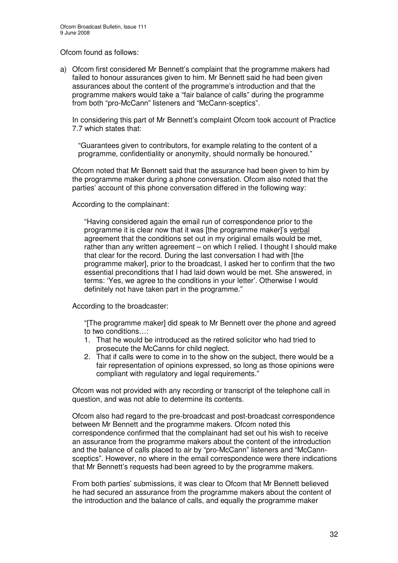Ofcom found as follows:

a) Ofcom first considered Mr Bennett's complaint that the programme makers had failed to honour assurances given to him. Mr Bennett said he had been given assurances about the content of the programme's introduction and that the programme makers would take a "fair balance of calls" during the programme from both "pro-McCann" listeners and "McCann-sceptics".

In considering this part of Mr Bennett's complaint Ofcom took account of Practice 7.7 which states that:

"Guarantees given to contributors, for example relating to the content of a programme, confidentiality or anonymity, should normally be honoured."

Ofcom noted that Mr Bennett said that the assurance had been given to him by the programme maker during a phone conversation. Ofcom also noted that the parties' account of this phone conversation differed in the following way:

According to the complainant:

"Having considered again the email run of correspondence prior to the programme it is clear now that it was [the programme maker]'s verbal agreement that the conditions set out in my original emails would be met, rather than any written agreement – on which I relied. I thought I should make that clear for the record. During the last conversation I had with [the programme maker], prior to the broadcast, I asked her to confirm that the two essential preconditions that I had laid down would be met. She answered, in terms: 'Yes, we agree to the conditions in your letter'. Otherwise I would definitely not have taken part in the programme."

According to the broadcaster:

"[The programme maker] did speak to Mr Bennett over the phone and agreed to two conditions…:

- 1. That he would be introduced as the retired solicitor who had tried to prosecute the McCanns for child neglect.
- 2. That if calls were to come in to the show on the subject, there would be a fair representation of opinions expressed, so long as those opinions were compliant with regulatory and legal requirements."

Ofcom was not provided with any recording or transcript of the telephone call in question, and was not able to determine its contents.

Ofcom also had regard to the pre-broadcast and post-broadcast correspondence between Mr Bennett and the programme makers. Ofcom noted this correspondence confirmed that the complainant had set out his wish to receive an assurance from the programme makers about the content of the introduction and the balance of calls placed to air by "pro-McCann" listeners and "McCannsceptics". However, no where in the email correspondence were there indications that Mr Bennett's requests had been agreed to by the programme makers.

From both parties' submissions, it was clear to Ofcom that Mr Bennett believed he had secured an assurance from the programme makers about the content of the introduction and the balance of calls, and equally the programme maker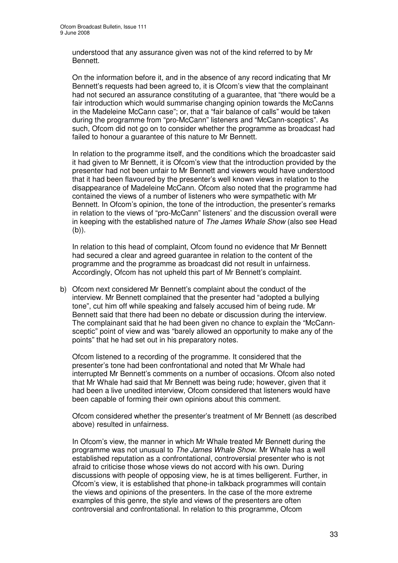understood that any assurance given was not of the kind referred to by Mr Bennett.

On the information before it, and in the absence of any record indicating that Mr Bennett's requests had been agreed to, it is Ofcom's view that the complainant had not secured an assurance constituting of a guarantee, that "there would be a fair introduction which would summarise changing opinion towards the McCanns in the Madeleine McCann case"; or, that a "fair balance of calls" would be taken during the programme from "pro-McCann" listeners and "McCann-sceptics". As such, Ofcom did not go on to consider whether the programme as broadcast had failed to honour a guarantee of this nature to Mr Bennett.

In relation to the programme itself, and the conditions which the broadcaster said it had given to Mr Bennett, it is Ofcom's view that the introduction provided by the presenter had not been unfair to Mr Bennett and viewers would have understood that it had been flavoured by the presenter's well known views in relation to the disappearance of Madeleine McCann. Ofcom also noted that the programme had contained the views of a number of listeners who were sympathetic with Mr Bennett. In Ofcom's opinion, the tone of the introduction, the presenter's remarks in relation to the views of "pro-McCann" listeners' and the discussion overall were in keeping with the established nature of *The James Whale Show* (also see Head (b)).

In relation to this head of complaint, Ofcom found no evidence that Mr Bennett had secured a clear and agreed guarantee in relation to the content of the programme and the programme as broadcast did not result in unfairness. Accordingly, Ofcom has not upheld this part of Mr Bennett's complaint.

b) Ofcom next considered Mr Bennett's complaint about the conduct of the interview. Mr Bennett complained that the presenter had "adopted a bullying tone", cut him off while speaking and falsely accused him of being rude. Mr Bennett said that there had been no debate or discussion during the interview. The complainant said that he had been given no chance to explain the "McCannsceptic" point of view and was "barely allowed an opportunity to make any of the points" that he had set out in his preparatory notes.

Ofcom listened to a recording of the programme. It considered that the presenter's tone had been confrontational and noted that Mr Whale had interrupted Mr Bennett's comments on a number of occasions. Ofcom also noted that Mr Whale had said that Mr Bennett was being rude; however, given that it had been a live unedited interview, Ofcom considered that listeners would have been capable of forming their own opinions about this comment.

Ofcom considered whether the presenter's treatment of Mr Bennett (as described above) resulted in unfairness.

In Ofcom's view, the manner in which Mr Whale treated Mr Bennett during the programme was not unusual to *The James Whale Show*. Mr Whale has a well established reputation as a confrontational, controversial presenter who is not afraid to criticise those whose views do not accord with his own. During discussions with people of opposing view, he is at times belligerent. Further, in Ofcom's view, it is established that phone-in talkback programmes will contain the views and opinions of the presenters. In the case of the more extreme examples of this genre, the style and views of the presenters are often controversial and confrontational. In relation to this programme, Ofcom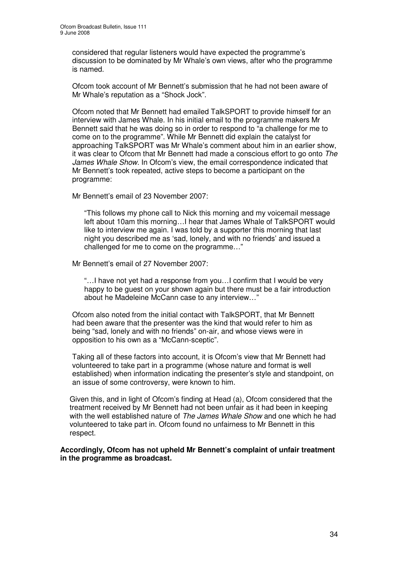considered that regular listeners would have expected the programme's discussion to be dominated by Mr Whale's own views, after who the programme is named.

Ofcom took account of Mr Bennett's submission that he had not been aware of Mr Whale's reputation as a "Shock Jock".

Ofcom noted that Mr Bennett had emailed TalkSPORT to provide himself for an interview with James Whale. In his initial email to the programme makers Mr Bennett said that he was doing so in order to respond to "a challenge for me to come on to the programme". While Mr Bennett did explain the catalyst for approaching TalkSPORT was Mr Whale's comment about him in an earlier show, it was clear to Ofcom that Mr Bennett had made a conscious effort to go onto *The James Whale Show*. In Ofcom's view, the email correspondence indicated that Mr Bennett's took repeated, active steps to become a participant on the programme:

Mr Bennett's email of 23 November 2007:

"This follows my phone call to Nick this morning and my voicemail message left about 10am this morning…I hear that James Whale of TalkSPORT would like to interview me again. I was told by a supporter this morning that last night you described me as 'sad, lonely, and with no friends' and issued a challenged for me to come on the programme…"

Mr Bennett's email of 27 November 2007:

"…I have not yet had a response from you…I confirm that I would be very happy to be guest on your shown again but there must be a fair introduction about he Madeleine McCann case to any interview…"

Ofcom also noted from the initial contact with TalkSPORT, that Mr Bennett had been aware that the presenter was the kind that would refer to him as being "sad, lonely and with no friends" on-air, and whose views were in opposition to his own as a "McCann-sceptic".

Taking all of these factors into account, it is Ofcom's view that Mr Bennett had volunteered to take part in a programme (whose nature and format is well established) when information indicating the presenter's style and standpoint, on an issue of some controversy, were known to him.

Given this, and in light of Ofcom's finding at Head (a), Ofcom considered that the treatment received by Mr Bennett had not been unfair as it had been in keeping with the well established nature of *The James Whale Show* and one which he had volunteered to take part in. Ofcom found no unfairness to Mr Bennett in this respect.

**Accordingly, Ofcom has not upheld Mr Bennett's complaint of unfair treatment in the programme as broadcast.**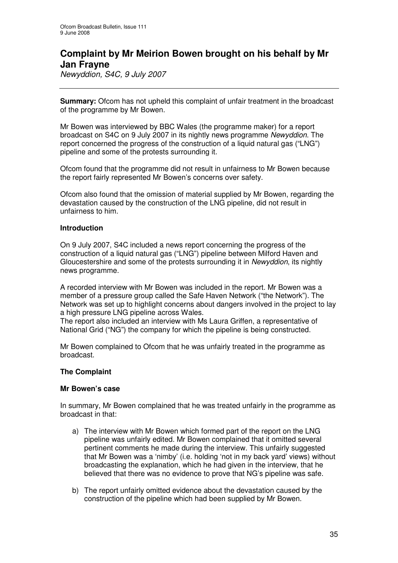# **Complaint by Mr Meirion Bowen brought on his behalf by Mr Jan Frayne**

*Newyddion, S4C, 9 July 2007*

**Summary:** Ofcom has not upheld this complaint of unfair treatment in the broadcast of the programme by Mr Bowen.

Mr Bowen was interviewed by BBC Wales (the programme maker) for a report broadcast on S4C on 9 July 2007 in its nightly news programme *Newyddion*. The report concerned the progress of the construction of a liquid natural gas ("LNG") pipeline and some of the protests surrounding it.

Ofcom found that the programme did not result in unfairness to Mr Bowen because the report fairly represented Mr Bowen's concerns over safety.

Ofcom also found that the omission of material supplied by Mr Bowen, regarding the devastation caused by the construction of the LNG pipeline, did not result in unfairness to him.

## **Introduction**

On 9 July 2007, S4C included a news report concerning the progress of the construction of a liquid natural gas ("LNG") pipeline between Milford Haven and Gloucestershire and some of the protests surrounding it in *Newyddion*, its nightly news programme.

A recorded interview with Mr Bowen was included in the report. Mr Bowen was a member of a pressure group called the Safe Haven Network ("the Network"). The Network was set up to highlight concerns about dangers involved in the project to lay a high pressure LNG pipeline across Wales.

The report also included an interview with Ms Laura Griffen, a representative of National Grid ("NG") the company for which the pipeline is being constructed.

Mr Bowen complained to Ofcom that he was unfairly treated in the programme as broadcast.

## **The Complaint**

#### **Mr Bowen's case**

In summary, Mr Bowen complained that he was treated unfairly in the programme as broadcast in that:

- a) The interview with Mr Bowen which formed part of the report on the LNG pipeline was unfairly edited. Mr Bowen complained that it omitted several pertinent comments he made during the interview. This unfairly suggested that Mr Bowen was a 'nimby' (i.e. holding 'not in my back yard' views) without broadcasting the explanation, which he had given in the interview, that he believed that there was no evidence to prove that NG's pipeline was safe.
- b) The report unfairly omitted evidence about the devastation caused by the construction of the pipeline which had been supplied by Mr Bowen.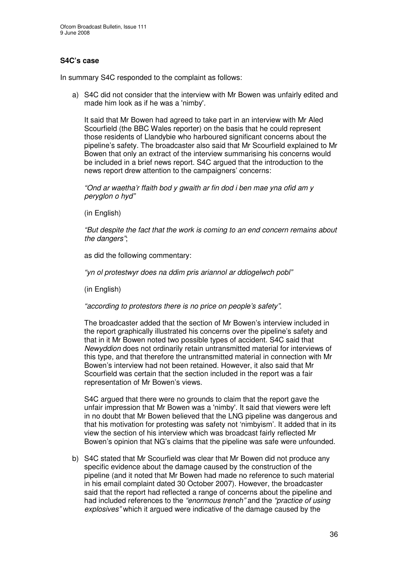## **S4C's case**

In summary S4C responded to the complaint as follows:

a) S4C did not consider that the interview with Mr Bowen was unfairly edited and made him look as if he was a 'nimby'.

It said that Mr Bowen had agreed to take part in an interview with Mr Aled Scourfield (the BBC Wales reporter) on the basis that he could represent those residents of Llandybie who harboured significant concerns about the pipeline's safety. The broadcaster also said that Mr Scourfield explained to Mr Bowen that only an extract of the interview summarising his concerns would be included in a brief news report. S4C argued that the introduction to the news report drew attention to the campaigners' concerns:

*"Ond ar waetha'r ffaith bod y gwaith ar fin dod i ben mae yna ofid am y peryglon o hyd"*

(in English)

*"But despite the fact that the work is coming to an end concern remains about the dangers"*;

as did the following commentary:

*"yn ol protestwyr does na ddim pris ariannol ar ddiogelwch pobl"*

(in English)

*"according to protestors there is no price on people's safety"*.

The broadcaster added that the section of Mr Bowen's interview included in the report graphically illustrated his concerns over the pipeline's safety and that in it Mr Bowen noted two possible types of accident. S4C said that *Newyddion* does not ordinarily retain untransmitted material for interviews of this type, and that therefore the untransmitted material in connection with Mr Bowen's interview had not been retained. However, it also said that Mr Scourfield was certain that the section included in the report was a fair representation of Mr Bowen's views.

S4C argued that there were no grounds to claim that the report gave the unfair impression that Mr Bowen was a 'nimby'. It said that viewers were left in no doubt that Mr Bowen believed that the LNG pipeline was dangerous and that his motivation for protesting was safety not 'nimbyism'. It added that in its view the section of his interview which was broadcast fairly reflected Mr Bowen's opinion that NG's claims that the pipeline was safe were unfounded.

b) S4C stated that Mr Scourfield was clear that Mr Bowen did not produce any specific evidence about the damage caused by the construction of the pipeline (and it noted that Mr Bowen had made no reference to such material in his email complaint dated 30 October 2007). However, the broadcaster said that the report had reflected a range of concerns about the pipeline and had included references to the *"enormous trench"* and the *"practice of using explosives"* which it argued were indicative of the damage caused by the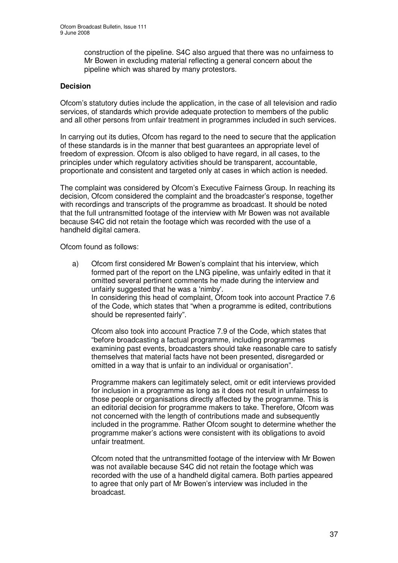construction of the pipeline. S4C also argued that there was no unfairness to Mr Bowen in excluding material reflecting a general concern about the pipeline which was shared by many protestors.

### **Decision**

Ofcom's statutory duties include the application, in the case of all television and radio services, of standards which provide adequate protection to members of the public and all other persons from unfair treatment in programmes included in such services.

In carrying out its duties, Ofcom has regard to the need to secure that the application of these standards is in the manner that best guarantees an appropriate level of freedom of expression. Ofcom is also obliged to have regard, in all cases, to the principles under which regulatory activities should be transparent, accountable, proportionate and consistent and targeted only at cases in which action is needed.

The complaint was considered by Ofcom's Executive Fairness Group. In reaching its decision, Ofcom considered the complaint and the broadcaster's response, together with recordings and transcripts of the programme as broadcast. It should be noted that the full untransmitted footage of the interview with Mr Bowen was not available because S4C did not retain the footage which was recorded with the use of a handheld digital camera.

Ofcom found as follows:

a) Ofcom first considered Mr Bowen's complaint that his interview, which formed part of the report on the LNG pipeline, was unfairly edited in that it omitted several pertinent comments he made during the interview and unfairly suggested that he was a 'nimby'. In considering this head of complaint, Ofcom took into account Practice 7.6 of the Code, which states that "when a programme is edited, contributions should be represented fairly".

Ofcom also took into account Practice 7.9 of the Code, which states that "before broadcasting a factual programme, including programmes examining past events, broadcasters should take reasonable care to satisfy themselves that material facts have not been presented, disregarded or omitted in a way that is unfair to an individual or organisation".

Programme makers can legitimately select, omit or edit interviews provided for inclusion in a programme as long as it does not result in unfairness to those people or organisations directly affected by the programme. This is an editorial decision for programme makers to take. Therefore, Ofcom was not concerned with the length of contributions made and subsequently included in the programme. Rather Ofcom sought to determine whether the programme maker's actions were consistent with its obligations to avoid unfair treatment.

Ofcom noted that the untransmitted footage of the interview with Mr Bowen was not available because S4C did not retain the footage which was recorded with the use of a handheld digital camera. Both parties appeared to agree that only part of Mr Bowen's interview was included in the broadcast.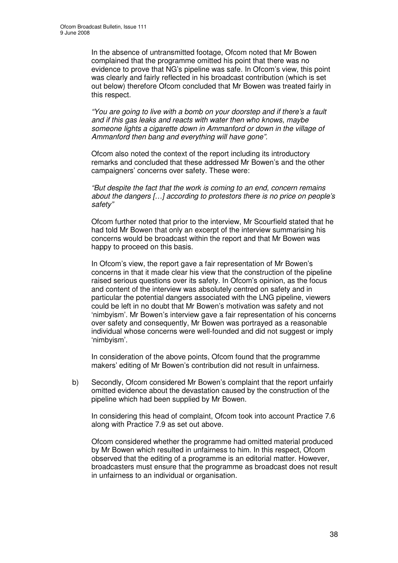In the absence of untransmitted footage, Ofcom noted that Mr Bowen complained that the programme omitted his point that there was no evidence to prove that NG's pipeline was safe. In Ofcom's view, this point was clearly and fairly reflected in his broadcast contribution (which is set out below) therefore Ofcom concluded that Mr Bowen was treated fairly in this respect.

*"You are going to live with a bomb on your doorstep and if there's a fault and if this gas leaks and reacts with water then who knows, maybe someone lights a cigarette down in Ammanford or down in the village of Ammanford then bang and everything will have gone".*

Ofcom also noted the context of the report including its introductory remarks and concluded that these addressed Mr Bowen's and the other campaigners' concerns over safety. These were:

*"But despite the fact that the work is coming to an end, concern remains about the dangers […] according to protestors there is no price on people's safety"*

Ofcom further noted that prior to the interview, Mr Scourfield stated that he had told Mr Bowen that only an excerpt of the interview summarising his concerns would be broadcast within the report and that Mr Bowen was happy to proceed on this basis.

In Ofcom's view, the report gave a fair representation of Mr Bowen's concerns in that it made clear his view that the construction of the pipeline raised serious questions over its safety. In Ofcom's opinion, as the focus and content of the interview was absolutely centred on safety and in particular the potential dangers associated with the LNG pipeline, viewers could be left in no doubt that Mr Bowen's motivation was safety and not 'nimbyism'. Mr Bowen's interview gave a fair representation of his concerns over safety and consequently, Mr Bowen was portrayed as a reasonable individual whose concerns were well-founded and did not suggest or imply 'nimbyism'.

In consideration of the above points, Ofcom found that the programme makers' editing of Mr Bowen's contribution did not result in unfairness.

b) Secondly, Ofcom considered Mr Bowen's complaint that the report unfairly omitted evidence about the devastation caused by the construction of the pipeline which had been supplied by Mr Bowen.

In considering this head of complaint, Ofcom took into account Practice 7.6 along with Practice 7.9 as set out above.

Ofcom considered whether the programme had omitted material produced by Mr Bowen which resulted in unfairness to him. In this respect, Ofcom observed that the editing of a programme is an editorial matter. However, broadcasters must ensure that the programme as broadcast does not result in unfairness to an individual or organisation.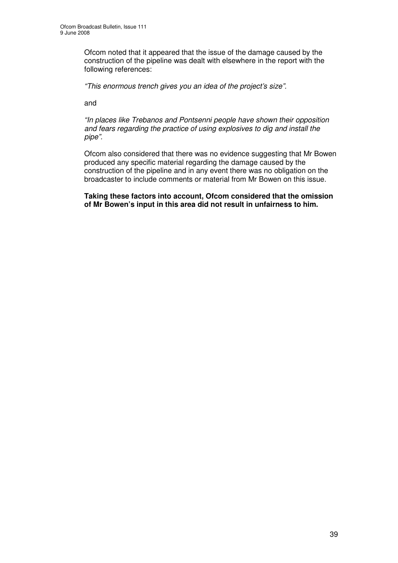Ofcom noted that it appeared that the issue of the damage caused by the construction of the pipeline was dealt with elsewhere in the report with the following references:

*"This enormous trench gives you an idea of the project's size".*

and

*"In places like Trebanos and Pontsenni people have shown their opposition and fears regarding the practice of using explosives to dig and install the pipe".*

Ofcom also considered that there was no evidence suggesting that Mr Bowen produced any specific material regarding the damage caused by the construction of the pipeline and in any event there was no obligation on the broadcaster to include comments or material from Mr Bowen on this issue.

**Taking these factors into account, Ofcom considered that the omission of Mr Bowen's input in this area did not result in unfairness to him.**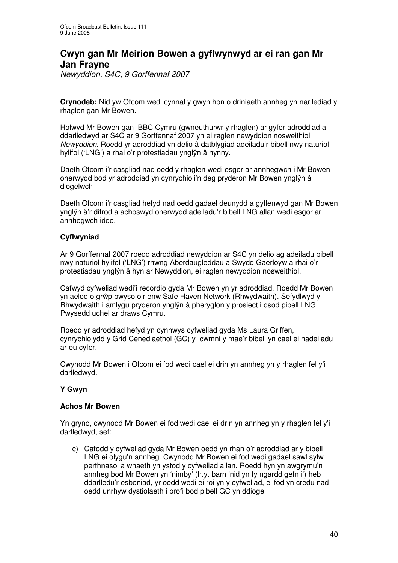# **Cwyn gan Mr Meirion Bowen a gyflwynwyd ar ei ran gan Mr Jan Frayne**

*Newyddion, S4C, 9 Gorffennaf 2007*

**Crynodeb:** Nid yw Ofcom wedi cynnal y gwyn hon o driniaeth annheg yn narllediad y rhaglen gan Mr Bowen.

Holwyd Mr Bowen gan BBC Cymru (gwneuthurwr y rhaglen) ar gyfer adroddiad a ddarlledwyd ar S4C ar 9 Gorffennaf 2007 yn ei raglen newyddion nosweithiol *Newyddion*. Roedd yr adroddiad yn delio â datblygiad adeiladu'r bibell nwy naturiol hylifol ('LNG') a rhai o'r protestiadau ynglŷn â hynny.

Daeth Ofcom i'r casgliad nad oedd y rhaglen wedi esgor ar annhegwch i Mr Bowen oherwydd bod yr adroddiad yn cynrychioli'n deg pryderon Mr Bowen ynglŷn â diogelwch

Daeth Ofcom i'r casgliad hefyd nad oedd gadael deunydd a gyflenwyd gan Mr Bowen ynglŷn â'r difrod a achoswyd oherwydd adeiladu'r bibell LNG allan wedi esgor ar annhegwch iddo.

## **Cyflwyniad**

Ar 9 Gorffennaf 2007 roedd adroddiad newyddion ar S4C yn delio ag adeiladu pibell nwy naturiol hylifol ('LNG') rhwng Aberdaugleddau a Swydd Gaerloyw a rhai o'r protestiadau ynglŷn â hyn ar Newyddion, ei raglen newyddion nosweithiol.

Cafwyd cyfweliad wedi'i recordio gyda Mr Bowen yn yr adroddiad. Roedd Mr Bowen yn aelod o grŵp pwyso o'r enw Safe Haven Network (Rhwydwaith). Sefydlwyd y Rhwydwaith i amlygu pryderon ynglŷn â pheryglon y prosiect i osod pibell LNG Pwysedd uchel ar draws Cymru.

Roedd yr adroddiad hefyd yn cynnwys cyfweliad gyda Ms Laura Griffen, cynrychiolydd y Grid Cenedlaethol (GC) y cwmni y mae'r bibell yn cael ei hadeiladu ar eu cyfer.

Cwynodd Mr Bowen i Ofcom ei fod wedi cael ei drin yn annheg yn y rhaglen fel y'i darlledwyd.

## **Y Gwyn**

#### **Achos Mr Bowen**

Yn gryno, cwynodd Mr Bowen ei fod wedi cael ei drin yn annheg yn y rhaglen fel y'i darlledwyd, sef:

c) Cafodd y cyfweliad gyda Mr Bowen oedd yn rhan o'r adroddiad ar y bibell LNG ei olygu'n annheg. Cwynodd Mr Bowen ei fod wedi gadael sawl sylw perthnasol a wnaeth yn ystod y cyfweliad allan. Roedd hyn yn awgrymu'n annheg bod Mr Bowen yn 'nimby' (h.y. barn 'nid yn fy ngardd gefn i') heb ddarlledu'r esboniad, yr oedd wedi ei roi yn y cyfweliad, ei fod yn credu nad oedd unrhyw dystiolaeth i brofi bod pibell GC yn ddiogel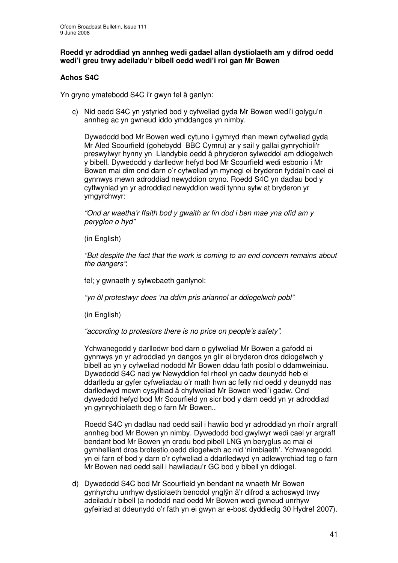#### **Roedd yr adroddiad yn annheg wedi gadael allan dystiolaeth am y difrod oedd wedi'i greu trwy adeiladu'r bibell oedd wedi'i roi gan Mr Bowen**

## **Achos S4C**

Yn gryno ymatebodd S4C i'r gwyn fel â ganlyn:

c) Nid oedd S4C yn ystyried bod y cyfweliad gyda Mr Bowen wedi'i golygu'n annheg ac yn gwneud iddo ymddangos yn nimby.

Dywedodd bod Mr Bowen wedi cytuno i gymryd rhan mewn cyfweliad gyda Mr Aled Scourfield (gohebydd BBC Cymru) ar y sail y gallai gynrychioli'r preswylwyr hynny yn Llandybie oedd â phryderon sylweddol am ddiogelwch y bibell. Dywedodd y darlledwr hefyd bod Mr Scourfield wedi esbonio i Mr Bowen mai dim ond darn o'r cyfweliad yn mynegi ei bryderon fyddai'n cael ei gynnwys mewn adroddiad newyddion cryno. Roedd S4C yn dadlau bod y cyflwyniad yn yr adroddiad newyddion wedi tynnu sylw at bryderon yr ymgyrchwyr:

*"Ond ar waetha'r ffaith bod y gwaith ar fin dod i ben mae yna ofid am y peryglon o hyd"*

(in English)

*"But despite the fact that the work is coming to an end concern remains about the dangers"*;

fel; y gwnaeth y sylwebaeth ganlynol:

*"yn ôl protestwyr does 'na ddim pris ariannol ar ddiogelwch pobl"*

(in English)

*"according to protestors there is no price on people's safety"*.

Ychwanegodd y darlledwr bod darn o gyfweliad Mr Bowen a gafodd ei gynnwys yn yr adroddiad yn dangos yn glir ei bryderon dros ddiogelwch y bibell ac yn y cyfweliad nododd Mr Bowen ddau fath posibl o ddamweiniau. Dywedodd S4C nad yw Newyddion fel rheol yn cadw deunydd heb ei ddarlledu ar gyfer cyfweliadau o'r math hwn ac felly nid oedd y deunydd nas darlledwyd mewn cysylltiad â chyfweliad Mr Bowen wedi'i gadw. Ond dywedodd hefyd bod Mr Scourfield yn sicr bod y darn oedd yn yr adroddiad yn gynrychiolaeth deg o farn Mr Bowen..

Roedd S4C yn dadlau nad oedd sail i hawlio bod yr adroddiad yn rhoi'r argraff annheg bod Mr Bowen yn nimby. Dywedodd bod gwylwyr wedi cael yr argraff bendant bod Mr Bowen yn credu bod pibell LNG yn beryglus ac mai ei gymhelliant dros brotestio oedd diogelwch ac nid 'nimbiaeth'. Ychwanegodd, yn ei farn ef bod y darn o'r cyfweliad a ddarlledwyd yn adlewyrchiad teg o farn Mr Bowen nad oedd sail i hawliadau'r GC bod y bibell yn ddiogel.

d) Dywedodd S4C bod Mr Scourfield yn bendant na wnaeth Mr Bowen gynhyrchu unrhyw dystiolaeth benodol ynglŷn â'r difrod a achoswyd trwy adeiladu'r bibell (a nododd nad oedd Mr Bowen wedi gwneud unrhyw gyfeiriad at ddeunydd o'r fath yn ei gwyn ar e-bost dyddiedig 30 Hydref 2007).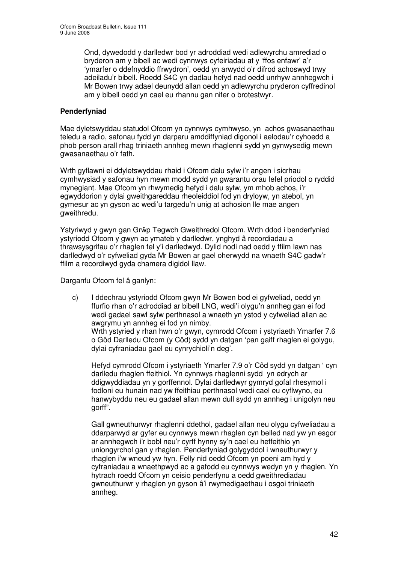Ond, dywedodd y darlledwr bod yr adroddiad wedi adlewyrchu amrediad o bryderon am y bibell ac wedi cynnwys cyfeiriadau at y 'ffos enfawr' a'r 'ymarfer o ddefnyddio ffrwydron', oedd yn arwydd o'r difrod achoswyd trwy adeiladu'r bibell. Roedd S4C yn dadlau hefyd nad oedd unrhyw annhegwch i Mr Bowen trwy adael deunydd allan oedd yn adlewyrchu pryderon cyffredinol am y bibell oedd yn cael eu rhannu gan nifer o brotestwyr.

## **Penderfyniad**

Mae dyletswyddau statudol Ofcom yn cynnwys cymhwyso, yn achos gwasanaethau teledu a radio, safonau fydd yn darparu amddiffyniad digonol i aelodau'r cyhoedd a phob person arall rhag triniaeth annheg mewn rhaglenni sydd yn gynwysedig mewn gwasanaethau o'r fath.

Wrth gyflawni ei ddyletswyddau rhaid i Ofcom dalu sylw i'r angen i sicrhau cymhwysiad y safonau hyn mewn modd sydd yn gwarantu orau lefel priodol o ryddid mynegiant. Mae Ofcom yn rhwymedig hefyd i dalu sylw, ym mhob achos, i'r egwyddorion y dylai gweithgareddau rheoleiddiol fod yn dryloyw, yn atebol, yn gymesur ac yn gyson ac wedi'u targedu'n unig at achosion lle mae angen gweithredu.

Ystyriwyd y gwyn gan Grŵp Tegwch Gweithredol Ofcom. Wrth ddod i benderfyniad ystyriodd Ofcom y gwyn ac ymateb y darlledwr, ynghyd â recordiadau a thrawsysgrifau o'r rhaglen fel y'i darlledwyd. Dylid nodi nad oedd y ffilm lawn nas darlledwyd o'r cyfweliad gyda Mr Bowen ar gael oherwydd na wnaeth S4C gadw'r ffilm a recordiwyd gyda chamera digidol llaw.

Darganfu Ofcom fel â ganlyn:

c) I ddechrau ystyriodd Ofcom gwyn Mr Bowen bod ei gyfweliad, oedd yn ffurfio rhan o'r adroddiad ar bibell LNG, wedi'i olygu'n annheg gan ei fod wedi gadael sawl sylw perthnasol a wnaeth yn ystod y cyfweliad allan ac awgrymu yn annheg ei fod yn nimby. Wrth ystyried y rhan hwn o'r gwyn, cymrodd Ofcom i ystyriaeth Ymarfer 7.6 o Gôd Darlledu Ofcom (y Côd) sydd yn datgan 'pan gaiff rhaglen ei golygu, dylai cyfraniadau gael eu cynrychioli'n deg'.

Hefyd cymrodd Ofcom i ystyriaeth Ymarfer 7.9 o'r Côd sydd yn datgan ' cyn darlledu rhaglen ffeithiol. Yn cynnwys rhaglenni sydd yn edrych ar ddigwyddiadau yn y gorffennol. Dylai darlledwyr gymryd gofal rhesymol i fodloni eu hunain nad yw ffeithiau perthnasol wedi cael eu cyflwyno, eu hanwybyddu neu eu gadael allan mewn dull sydd yn annheg i unigolyn neu gorff".

Gall gwneuthurwyr rhaglenni ddethol, gadael allan neu olygu cyfweliadau a ddarparwyd ar gyfer eu cynnwys mewn rhaglen cyn belled nad yw yn esgor ar annhegwch i'r bobl neu'r cyrff hynny sy'n cael eu heffeithio yn uniongyrchol gan y rhaglen. Penderfyniad golygyddol i wneuthurwyr y rhaglen i'w wneud yw hyn. Felly nid oedd Ofcom yn poeni am hyd y cyfraniadau a wnaethpwyd ac a gafodd eu cynnwys wedyn yn y rhaglen. Yn hytrach roedd Ofcom yn ceisio penderfynu a oedd gweithrediadau gwneuthurwr y rhaglen yn gyson â'i rwymedigaethau i osgoi triniaeth annheg.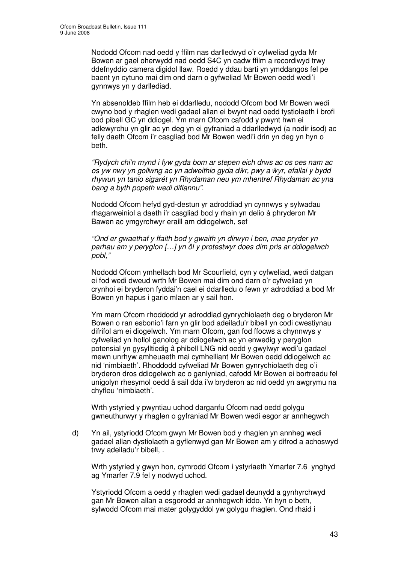Nododd Ofcom nad oedd y ffilm nas darlledwyd o'r cyfweliad gyda Mr Bowen ar gael oherwydd nad oedd S4C yn cadw ffilm a recordiwyd trwy ddefnyddio camera digidol llaw. Roedd y ddau barti yn ymddangos fel pe baent yn cytuno mai dim ond darn o gyfweliad Mr Bowen oedd wedi'i gynnwys yn y darllediad.

Yn absenoldeb ffilm heb ei ddarlledu, nododd Ofcom bod Mr Bowen wedi cwyno bod y rhaglen wedi gadael allan ei bwynt nad oedd tystiolaeth i brofi bod pibell GC yn ddiogel. Ym marn Ofcom cafodd y pwynt hwn ei adlewyrchu yn glir ac yn deg yn ei gyfraniad a ddarlledwyd (a nodir isod) ac felly daeth Ofcom i'r casgliad bod Mr Bowen wedi'i drin yn deg yn hyn o beth.

*"Rydych chi'n mynd i fyw gyda bom ar stepen eich drws ac os oes nam ac os yw nwy yn gollwng ac yn adweithio gyda dr, pwy a yr, efallai y bydd rhywun yn tanio sigarét yn Rhydaman neu ym mhentref Rhydaman ac yna bang a byth popeth wedi diflannu".*

Nododd Ofcom hefyd gyd-destun yr adroddiad yn cynnwys y sylwadau rhagarweiniol a daeth i'r casgliad bod y rhain yn delio â phryderon Mr Bawen ac ymgyrchwyr eraill am ddiogelwch, sef

*"Ond er gwaethaf y ffaith bod y gwaith yn dirwyn i ben, mae pryder yn parhau am y peryglon […] yn ôl y protestwyr does dim pris ar ddiogelwch pobl,"*

Nododd Ofcom ymhellach bod Mr Scourfield, cyn y cyfweliad, wedi datgan ei fod wedi dweud wrth Mr Bowen mai dim ond darn o'r cyfweliad yn crynhoi ei bryderon fyddai'n cael ei ddarlledu o fewn yr adroddiad a bod Mr Bowen yn hapus i gario mlaen ar y sail hon.

Ym marn Ofcom rhoddodd yr adroddiad gynrychiolaeth deg o bryderon Mr Bowen o ran esbonio'i farn yn glir bod adeiladu'r bibell yn codi cwestiynau difrifol am ei diogelwch. Ym marn Ofcom, gan fod ffocws a chynnwys y cyfweliad yn hollol ganolog ar ddiogelwch ac yn enwedig y peryglon potensial yn gysylltiedig â phibell LNG nid oedd y gwylwyr wedi'u gadael mewn unrhyw amheuaeth mai cymhelliant Mr Bowen oedd ddiogelwch ac nid 'nimbiaeth'. Rhoddodd cyfweliad Mr Bowen gynrychiolaeth deg o'i bryderon dros ddiogelwch ac o ganlyniad, cafodd Mr Bowen ei bortreadu fel unigolyn rhesymol oedd â sail dda i'w bryderon ac nid oedd yn awgrymu na chyfleu 'nimbiaeth'.

Wrth ystyried y pwyntiau uchod darganfu Ofcom nad oedd golygu gwneuthurwyr y rhaglen o gyfraniad Mr Bowen wedi esgor ar annhegwch

d) Yn ail, ystyriodd Ofcom gwyn Mr Bowen bod y rhaglen yn annheg wedi gadael allan dystiolaeth a gyflenwyd gan Mr Bowen am y difrod a achoswyd trwy adeiladu'r bibell, .

Wrth ystyried y gwyn hon, cymrodd Ofcom i ystyriaeth Ymarfer 7.6 ynghyd ag Ymarfer 7.9 fel y nodwyd uchod.

Ystyriodd Ofcom a oedd y rhaglen wedi gadael deunydd a gynhyrchwyd gan Mr Bowen allan a esgorodd ar annhegwch iddo. Yn hyn o beth, sylwodd Ofcom mai mater golygyddol yw golygu rhaglen. Ond rhaid i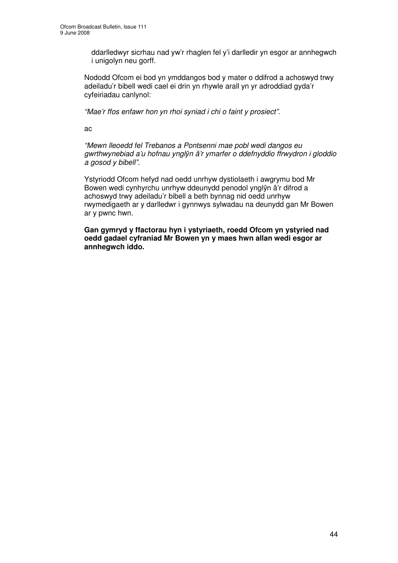ddarlledwyr sicrhau nad yw'r rhaglen fel y'i darlledir yn esgor ar annhegwch i unigolyn neu gorff.

Nododd Ofcom ei bod yn ymddangos bod y mater o ddifrod a achoswyd trwy adeiladu'r bibell wedi cael ei drin yn rhywle arall yn yr adroddiad gyda'r cyfeiriadau canlynol:

*"Mae'r ffos enfawr hon yn rhoi syniad i chi o faint y prosiect".*

ac

*"Mewn lleoedd fel Trebanos a Pontsenni mae pobl wedi dangos eu gwrthwynebiad a'u hofnau yngl*-*n â'r ymarfer o ddefnyddio ffrwydron i gloddio a gosod y bibell".*

Ystyriodd Ofcom hefyd nad oedd unrhyw dystiolaeth i awgrymu bod Mr Bowen wedi cynhyrchu unrhyw ddeunydd penodol ynglŷn â'r difrod a achoswyd trwy adeiladu'r bibell a beth bynnag nid oedd unrhyw rwymedigaeth ar y darlledwr i gynnwys sylwadau na deunydd gan Mr Bowen ar y pwnc hwn.

**Gan gymryd y ffactorau hyn i ystyriaeth, roedd Ofcom yn ystyried nad oedd gadael cyfraniad Mr Bowen yn y maes hwn allan wedi esgor ar annhegwch iddo.**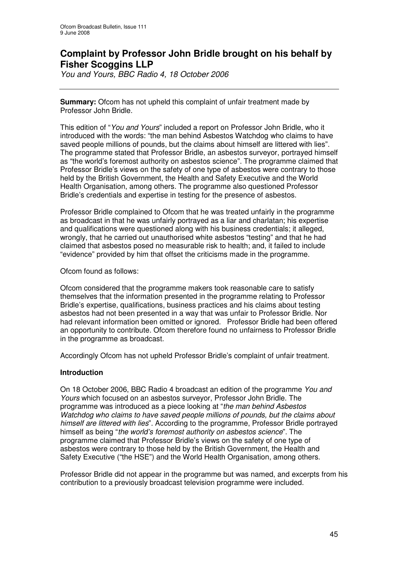# **Complaint by Professor John Bridle brought on his behalf by Fisher Scoggins LLP**

*You and Yours, BBC Radio 4, 18 October 2006*

**Summary:** Ofcom has not upheld this complaint of unfair treatment made by Professor John Bridle.

This edition of "*You and Yours*" included a report on Professor John Bridle, who it introduced with the words: "the man behind Asbestos Watchdog who claims to have saved people millions of pounds, but the claims about himself are littered with lies". The programme stated that Professor Bridle, an asbestos surveyor, portrayed himself as "the world's foremost authority on asbestos science". The programme claimed that Professor Bridle's views on the safety of one type of asbestos were contrary to those held by the British Government, the Health and Safety Executive and the World Health Organisation, among others. The programme also questioned Professor Bridle's credentials and expertise in testing for the presence of asbestos.

Professor Bridle complained to Ofcom that he was treated unfairly in the programme as broadcast in that he was unfairly portrayed as a liar and charlatan; his expertise and qualifications were questioned along with his business credentials; it alleged, wrongly, that he carried out unauthorised white asbestos "testing" and that he had claimed that asbestos posed no measurable risk to health; and, it failed to include "evidence" provided by him that offset the criticisms made in the programme.

Ofcom found as follows:

Ofcom considered that the programme makers took reasonable care to satisfy themselves that the information presented in the programme relating to Professor Bridle's expertise, qualifications, business practices and his claims about testing asbestos had not been presented in a way that was unfair to Professor Bridle. Nor had relevant information been omitted or ignored. Professor Bridle had been offered an opportunity to contribute. Ofcom therefore found no unfairness to Professor Bridle in the programme as broadcast.

Accordingly Ofcom has not upheld Professor Bridle's complaint of unfair treatment.

#### **Introduction**

On 18 October 2006, BBC Radio 4 broadcast an edition of the programme *You and Yours* which focused on an asbestos surveyor, Professor John Bridle. The programme was introduced as a piece looking at "*the man behind Asbestos Watchdog who claims to have saved people millions of pounds, but the claims about himself are littered with lies*". According to the programme, Professor Bridle portrayed himself as being "*the world's foremost authority on asbestos science*". The programme claimed that Professor Bridle's views on the safety of one type of asbestos were contrary to those held by the British Government, the Health and Safety Executive ("the HSE") and the World Health Organisation, among others.

Professor Bridle did not appear in the programme but was named, and excerpts from his contribution to a previously broadcast television programme were included.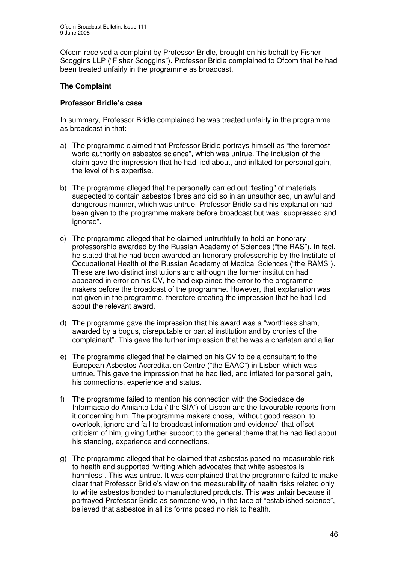Ofcom received a complaint by Professor Bridle, brought on his behalf by Fisher Scoggins LLP ("Fisher Scoggins"). Professor Bridle complained to Ofcom that he had been treated unfairly in the programme as broadcast.

## **The Complaint**

#### **Professor Bridle's case**

In summary, Professor Bridle complained he was treated unfairly in the programme as broadcast in that:

- a) The programme claimed that Professor Bridle portrays himself as "the foremost world authority on asbestos science", which was untrue. The inclusion of the claim gave the impression that he had lied about, and inflated for personal gain, the level of his expertise.
- b) The programme alleged that he personally carried out "testing" of materials suspected to contain asbestos fibres and did so in an unauthorised, unlawful and dangerous manner, which was untrue. Professor Bridle said his explanation had been given to the programme makers before broadcast but was "suppressed and ignored".
- c) The programme alleged that he claimed untruthfully to hold an honorary professorship awarded by the Russian Academy of Sciences ("the RAS"). In fact, he stated that he had been awarded an honorary professorship by the Institute of Occupational Health of the Russian Academy of Medical Sciences ("the RAMS"). These are two distinct institutions and although the former institution had appeared in error on his CV, he had explained the error to the programme makers before the broadcast of the programme. However, that explanation was not given in the programme, therefore creating the impression that he had lied about the relevant award.
- d) The programme gave the impression that his award was a "worthless sham, awarded by a bogus, disreputable or partial institution and by cronies of the complainant". This gave the further impression that he was a charlatan and a liar.
- e) The programme alleged that he claimed on his CV to be a consultant to the European Asbestos Accreditation Centre ("the EAAC") in Lisbon which was untrue. This gave the impression that he had lied, and inflated for personal gain, his connections, experience and status.
- f) The programme failed to mention his connection with the Sociedade de Informacao do Amianto Lda ("the SIA") of Lisbon and the favourable reports from it concerning him. The programme makers chose, "without good reason, to overlook, ignore and fail to broadcast information and evidence" that offset criticism of him, giving further support to the general theme that he had lied about his standing, experience and connections.
- g) The programme alleged that he claimed that asbestos posed no measurable risk to health and supported "writing which advocates that white asbestos is harmless". This was untrue. It was complained that the programme failed to make clear that Professor Bridle's view on the measurability of health risks related only to white asbestos bonded to manufactured products. This was unfair because it portrayed Professor Bridle as someone who, in the face of "established science", believed that asbestos in all its forms posed no risk to health.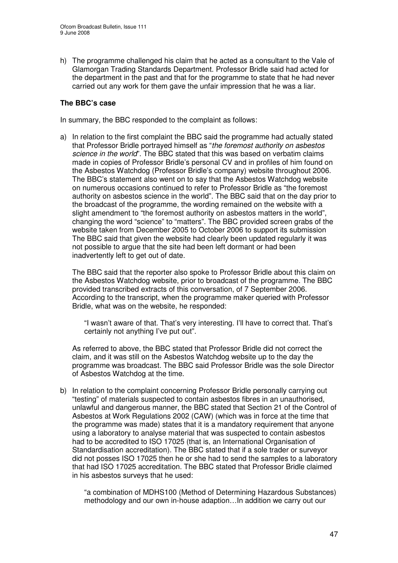h) The programme challenged his claim that he acted as a consultant to the Vale of Glamorgan Trading Standards Department. Professor Bridle said had acted for the department in the past and that for the programme to state that he had never carried out any work for them gave the unfair impression that he was a liar.

## **The BBC's case**

In summary, the BBC responded to the complaint as follows:

a) In relation to the first complaint the BBC said the programme had actually stated that Professor Bridle portrayed himself as "*the foremost authority on asbestos science in the world*". The BBC stated that this was based on verbatim claims made in copies of Professor Bridle's personal CV and in profiles of him found on the Asbestos Watchdog (Professor Bridle's company) website throughout 2006. The BBC's statement also went on to say that the Asbestos Watchdog website on numerous occasions continued to refer to Professor Bridle as "the foremost authority on asbestos science in the world". The BBC said that on the day prior to the broadcast of the programme, the wording remained on the website with a slight amendment to "the foremost authority on asbestos matters in the world", changing the word "science" to "matters". The BBC provided screen grabs of the website taken from December 2005 to October 2006 to support its submission The BBC said that given the website had clearly been updated regularly it was not possible to argue that the site had been left dormant or had been inadvertently left to get out of date.

The BBC said that the reporter also spoke to Professor Bridle about this claim on the Asbestos Watchdog website, prior to broadcast of the programme. The BBC provided transcribed extracts of this conversation, of 7 September 2006. According to the transcript, when the programme maker queried with Professor Bridle, what was on the website, he responded:

"I wasn't aware of that. That's very interesting. I'll have to correct that. That's certainly not anything I've put out".

As referred to above, the BBC stated that Professor Bridle did not correct the claim, and it was still on the Asbestos Watchdog website up to the day the programme was broadcast. The BBC said Professor Bridle was the sole Director of Asbestos Watchdog at the time.

b) In relation to the complaint concerning Professor Bridle personally carrying out "testing" of materials suspected to contain asbestos fibres in an unauthorised, unlawful and dangerous manner, the BBC stated that Section 21 of the Control of Asbestos at Work Regulations 2002 (CAW) (which was in force at the time that the programme was made) states that it is a mandatory requirement that anyone using a laboratory to analyse material that was suspected to contain asbestos had to be accredited to ISO 17025 (that is, an International Organisation of Standardisation accreditation). The BBC stated that if a sole trader or surveyor did not posses ISO 17025 then he or she had to send the samples to a laboratory that had ISO 17025 accreditation. The BBC stated that Professor Bridle claimed in his asbestos surveys that he used:

"a combination of MDHS100 (Method of Determining Hazardous Substances) methodology and our own in-house adaption…In addition we carry out our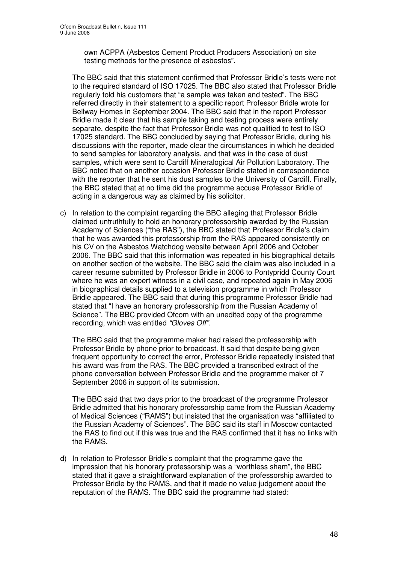own ACPPA (Asbestos Cement Product Producers Association) on site testing methods for the presence of asbestos".

The BBC said that this statement confirmed that Professor Bridle's tests were not to the required standard of ISO 17025. The BBC also stated that Professor Bridle regularly told his customers that "a sample was taken and tested". The BBC referred directly in their statement to a specific report Professor Bridle wrote for Bellway Homes in September 2004. The BBC said that in the report Professor Bridle made it clear that his sample taking and testing process were entirely separate, despite the fact that Professor Bridle was not qualified to test to ISO 17025 standard. The BBC concluded by saying that Professor Bridle, during his discussions with the reporter, made clear the circumstances in which he decided to send samples for laboratory analysis, and that was in the case of dust samples, which were sent to Cardiff Mineralogical Air Pollution Laboratory. The BBC noted that on another occasion Professor Bridle stated in correspondence with the reporter that he sent his dust samples to the University of Cardiff. Finally, the BBC stated that at no time did the programme accuse Professor Bridle of acting in a dangerous way as claimed by his solicitor.

c) In relation to the complaint regarding the BBC alleging that Professor Bridle claimed untruthfully to hold an honorary professorship awarded by the Russian Academy of Sciences ("the RAS"), the BBC stated that Professor Bridle's claim that he was awarded this professorship from the RAS appeared consistently on his CV on the Asbestos Watchdog website between April 2006 and October 2006. The BBC said that this information was repeated in his biographical details on another section of the website. The BBC said the claim was also included in a career resume submitted by Professor Bridle in 2006 to Pontypridd County Court where he was an expert witness in a civil case, and repeated again in May 2006 in biographical details supplied to a television programme in which Professor Bridle appeared. The BBC said that during this programme Professor Bridle had stated that "I have an honorary professorship from the Russian Academy of Science". The BBC provided Ofcom with an unedited copy of the programme recording, which was entitled *"Gloves Off"*.

The BBC said that the programme maker had raised the professorship with Professor Bridle by phone prior to broadcast. It said that despite being given frequent opportunity to correct the error, Professor Bridle repeatedly insisted that his award was from the RAS. The BBC provided a transcribed extract of the phone conversation between Professor Bridle and the programme maker of 7 September 2006 in support of its submission.

The BBC said that two days prior to the broadcast of the programme Professor Bridle admitted that his honorary professorship came from the Russian Academy of Medical Sciences ("RAMS") but insisted that the organisation was "affiliated to the Russian Academy of Sciences". The BBC said its staff in Moscow contacted the RAS to find out if this was true and the RAS confirmed that it has no links with the RAMS.

d) In relation to Professor Bridle's complaint that the programme gave the impression that his honorary professorship was a "worthless sham", the BBC stated that it gave a straightforward explanation of the professorship awarded to Professor Bridle by the RAMS, and that it made no value judgement about the reputation of the RAMS. The BBC said the programme had stated: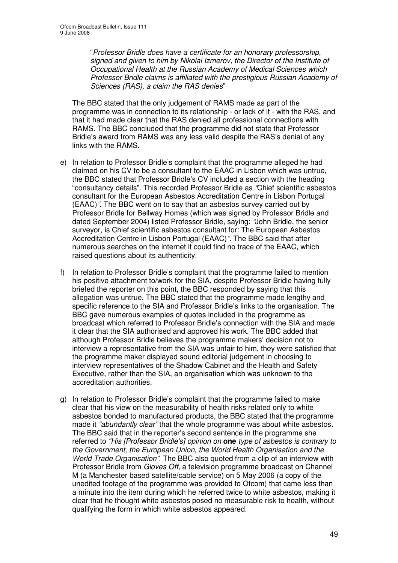"*Professor Bridle does have a certificate for an honorary professorship, signed and given to him by Nikolai Izmerov, the Director of the Institute of Occupational Health at the Russian Academy of Medical Sciences which Professor Bridle claims is affiliated with the prestigious Russian Academy of Sciences (RAS), a claim the RAS denies*"

The BBC stated that the only judgement of RAMS made as part of the programme was in connection to its relationship - or lack of it - with the RAS, and that it had made clear that the RAS denied all professional connections with RAMS. The BBC concluded that the programme did not state that Professor Bridle's award from RAMS was any less valid despite the RAS's denial of any links with the RAMS.

- e) In relation to Professor Bridle's complaint that the programme alleged he had claimed on his CV to be a consultant to the EAAC in Lisbon which was untrue, the BBC stated that Professor Bridle's CV included a section with the heading "consultancy details". This recorded Professor Bridle as *"*Chief scientific asbestos consultant for the European Asbestos Accreditation Centre in Lisbon Portugal (EAAC)*".* The BBC went on to say that an asbestos survey carried out by Professor Bridle for Bellway Homes (which was signed by Professor Bridle and dated September 2004) listed Professor Bridle, saying: *"*John Bridle, the senior surveyor, is Chief scientific asbestos consultant for: The European Asbestos Accreditation Centre in Lisbon Portugal (EAAC)*".* The BBC said that after numerous searches on the internet it could find no trace of the EAAC, which raised questions about its authenticity.
- f) In relation to Professor Bridle's complaint that the programme failed to mention his positive attachment to/work for the SIA, despite Professor Bridle having fully briefed the reporter on this point, the BBC responded by saying that this allegation was untrue. The BBC stated that the programme made lengthy and specific reference to the SIA and Professor Bridle's links to the organisation. The BBC gave numerous examples of quotes included in the programme as broadcast which referred to Professor Bridle's connection with the SIA and made it clear that the SIA authorised and approved his work. The BBC added that although Professor Bridle believes the programme makers' decision not to interview a representative from the SIA was unfair to him, they were satisfied that the programme maker displayed sound editorial judgement in choosing to interview representatives of the Shadow Cabinet and the Health and Safety Executive, rather than the SIA, an organisation which was unknown to the accreditation authorities.
- g) In relation to Professor Bridle's complaint that the programme failed to make clear that his view on the measurability of health risks related only to white asbestos bonded to manufactured products, the BBC stated that the programme made it *"abundantly clear"* that the whole programme was about white asbestos. The BBC said that in the reporter's second sentence in the programme she referred to *"His [Professor Bridle's] opinion on* **one** *type of asbestos is contrary to the Government, the European Union, the World Health Organisation and the World Trade Organisation".* The BBC also quoted from a clip of an interview with Professor Bridle from *Gloves Off,* a television programme broadcast on Channel M (a Manchester based satellite/cable service) on 5 May 2006 (a copy of the unedited footage of the programme was provided to Ofcom) that came less than a minute into the item during which he referred twice to white asbestos, making it clear that he thought white asbestos posed no measurable risk to health, without qualifying the form in which white asbestos appeared.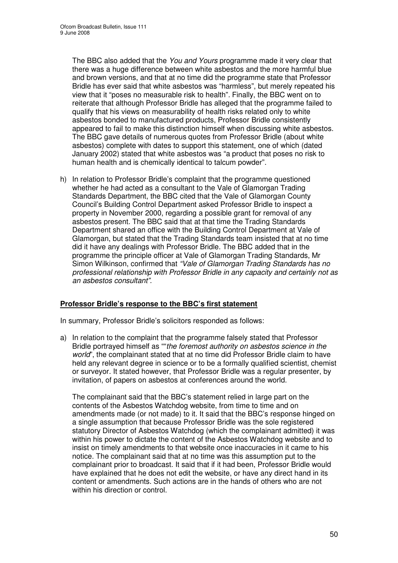The BBC also added that the *You and Yours* programme made it very clear that there was a huge difference between white asbestos and the more harmful blue and brown versions, and that at no time did the programme state that Professor Bridle has ever said that white asbestos was "harmless", but merely repeated his view that it "poses no measurable risk to health"*.* Finally, the BBC went on to reiterate that although Professor Bridle has alleged that the programme failed to qualify that his views on measurability of health risks related only to white asbestos bonded to manufactured products, Professor Bridle consistently appeared to fail to make this distinction himself when discussing white asbestos. The BBC gave details of numerous quotes from Professor Bridle (about white asbestos) complete with dates to support this statement, one of which (dated January 2002) stated that white asbestos was "a product that poses no risk to human health and is chemically identical to talcum powder".

h) In relation to Professor Bridle's complaint that the programme questioned whether he had acted as a consultant to the Vale of Glamorgan Trading Standards Department, the BBC cited that the Vale of Glamorgan County Council's Building Control Department asked Professor Bridle to inspect a property in November 2000, regarding a possible grant for removal of any asbestos present. The BBC said that at that time the Trading Standards Department shared an office with the Building Control Department at Vale of Glamorgan, but stated that the Trading Standards team insisted that at no time did it have any dealings with Professor Bridle. The BBC added that in the programme the principle officer at Vale of Glamorgan Trading Standards, Mr Simon Wilkinson, confirmed that *"Vale of Glamorgan Trading Standards has no professional relationship with Professor Bridle in any capacity and certainly not as an asbestos consultant".*

#### **Professor Bridle's response to the BBC's first statement**

In summary, Professor Bridle's solicitors responded as follows:

a) In relation to the complaint that the programme falsely stated that Professor Bridle portrayed himself as ""*the foremost authority on asbestos science in the world*", the complainant stated that at no time did Professor Bridle claim to have held any relevant degree in science or to be a formally qualified scientist, chemist or surveyor. It stated however, that Professor Bridle was a regular presenter, by invitation, of papers on asbestos at conferences around the world.

The complainant said that the BBC's statement relied in large part on the contents of the Asbestos Watchdog website, from time to time and on amendments made (or not made) to it. It said that the BBC's response hinged on a single assumption that because Professor Bridle was the sole registered statutory Director of Asbestos Watchdog (which the complainant admitted) it was within his power to dictate the content of the Asbestos Watchdog website and to insist on timely amendments to that website once inaccuracies in it came to his notice. The complainant said that at no time was this assumption put to the complainant prior to broadcast. It said that if it had been, Professor Bridle would have explained that he does not edit the website, or have any direct hand in its content or amendments. Such actions are in the hands of others who are not within his direction or control.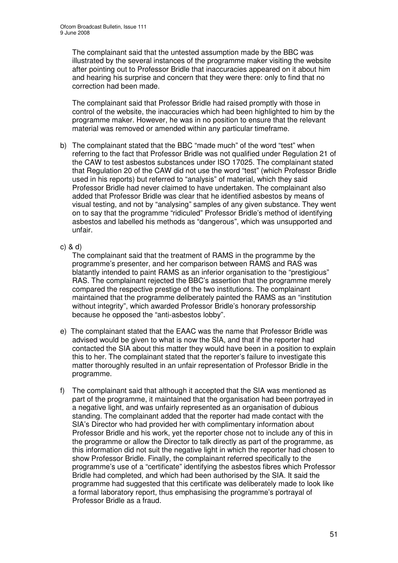The complainant said that the untested assumption made by the BBC was illustrated by the several instances of the programme maker visiting the website after pointing out to Professor Bridle that inaccuracies appeared on it about him and hearing his surprise and concern that they were there: only to find that no correction had been made.

The complainant said that Professor Bridle had raised promptly with those in control of the website, the inaccuracies which had been highlighted to him by the programme maker. However, he was in no position to ensure that the relevant material was removed or amended within any particular timeframe.

- b) The complainant stated that the BBC "made much" of the word "test" when referring to the fact that Professor Bridle was not qualified under Regulation 21 of the CAW to test asbestos substances under ISO 17025. The complainant stated that Regulation 20 of the CAW did not use the word "test" (which Professor Bridle used in his reports) but referred to "analysis" of material, which they said Professor Bridle had never claimed to have undertaken. The complainant also added that Professor Bridle was clear that he identified asbestos by means of visual testing, and not by "analysing" samples of any given substance. They went on to say that the programme "ridiculed" Professor Bridle's method of identifying asbestos and labelled his methods as "dangerous", which was unsupported and unfair.
- c) & d)

The complainant said that the treatment of RAMS in the programme by the programme's presenter, and her comparison between RAMS and RAS was blatantly intended to paint RAMS as an inferior organisation to the "prestigious" RAS. The complainant rejected the BBC's assertion that the programme merely compared the respective prestige of the two institutions. The complainant maintained that the programme deliberately painted the RAMS as an "institution without integrity", which awarded Professor Bridle's honorary professorship because he opposed the "anti-asbestos lobby".

- e) The complainant stated that the EAAC was the name that Professor Bridle was advised would be given to what is now the SIA, and that if the reporter had contacted the SIA about this matter they would have been in a position to explain this to her. The complainant stated that the reporter's failure to investigate this matter thoroughly resulted in an unfair representation of Professor Bridle in the programme.
- f) The complainant said that although it accepted that the SIA was mentioned as part of the programme, it maintained that the organisation had been portrayed in a negative light, and was unfairly represented as an organisation of dubious standing. The complainant added that the reporter had made contact with the SIA's Director who had provided her with complimentary information about Professor Bridle and his work, yet the reporter chose not to include any of this in the programme or allow the Director to talk directly as part of the programme, as this information did not suit the negative light in which the reporter had chosen to show Professor Bridle. Finally, the complainant referred specifically to the programme's use of a "certificate" identifying the asbestos fibres which Professor Bridle had completed, and which had been authorised by the SIA. It said the programme had suggested that this certificate was deliberately made to look like a formal laboratory report, thus emphasising the programme's portrayal of Professor Bridle as a fraud.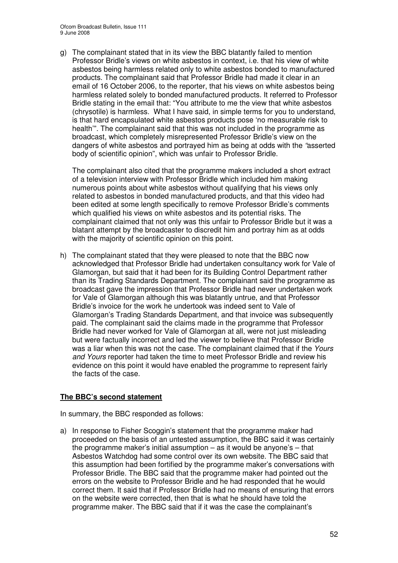g) The complainant stated that in its view the BBC blatantly failed to mention Professor Bridle's views on white asbestos in context, i.e. that his view of white asbestos being harmless related only to white asbestos bonded to manufactured products. The complainant said that Professor Bridle had made it clear in an email of 16 October 2006, to the reporter, that his views on white asbestos being harmless related solely to bonded manufactured products. It referred to Professor Bridle stating in the email that: "You attribute to me the view that white asbestos (chrysotile) is harmless. What I have said, in simple terms for you to understand, is that hard encapsulated white asbestos products pose 'no measurable risk to health'"*.* The complainant said that this was not included in the programme as broadcast, which completely misrepresented Professor Bridle's view on the dangers of white asbestos and portrayed him as being at odds with the *"*asserted body of scientific opinion", which was unfair to Professor Bridle.

The complainant also cited that the programme makers included a short extract of a television interview with Professor Bridle which included him making numerous points about white asbestos without qualifying that his views only related to asbestos in bonded manufactured products, and that this video had been edited at some length specifically to remove Professor Bridle's comments which qualified his views on white asbestos and its potential risks. The complainant claimed that not only was this unfair to Professor Bridle but it was a blatant attempt by the broadcaster to discredit him and portray him as at odds with the majority of scientific opinion on this point.

h) The complainant stated that they were pleased to note that the BBC now acknowledged that Professor Bridle had undertaken consultancy work for Vale of Glamorgan, but said that it had been for its Building Control Department rather than its Trading Standards Department. The complainant said the programme as broadcast gave the impression that Professor Bridle had never undertaken work for Vale of Glamorgan although this was blatantly untrue, and that Professor Bridle's invoice for the work he undertook was indeed sent to Vale of Glamorgan's Trading Standards Department, and that invoice was subsequently paid. The complainant said the claims made in the programme that Professor Bridle had never worked for Vale of Glamorgan at all, were not just misleading but were factually incorrect and led the viewer to believe that Professor Bridle was a liar when this was not the case. The complainant claimed that if the *Yours and Yours* reporter had taken the time to meet Professor Bridle and review his evidence on this point it would have enabled the programme to represent fairly the facts of the case.

## **The BBC's second statement**

In summary, the BBC responded as follows:

a) In response to Fisher Scoggin's statement that the programme maker had proceeded on the basis of an untested assumption, the BBC said it was certainly the programme maker's initial assumption – as it would be anyone's – that Asbestos Watchdog had some control over its own website. The BBC said that this assumption had been fortified by the programme maker's conversations with Professor Bridle. The BBC said that the programme maker had pointed out the errors on the website to Professor Bridle and he had responded that he would correct them. It said that if Professor Bridle had no means of ensuring that errors on the website were corrected, then that is what he should have told the programme maker. The BBC said that if it was the case the complainant's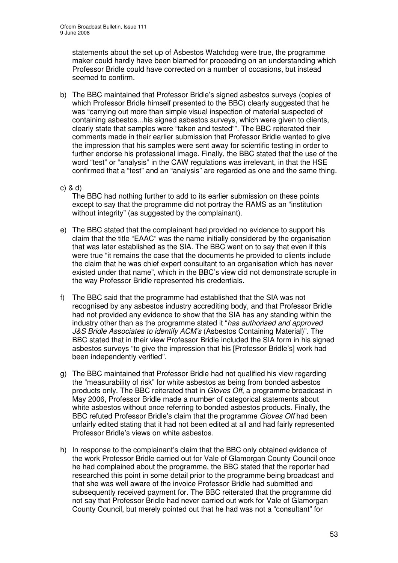statements about the set up of Asbestos Watchdog were true, the programme maker could hardly have been blamed for proceeding on an understanding which Professor Bridle could have corrected on a number of occasions, but instead seemed to confirm.

- b) The BBC maintained that Professor Bridle's signed asbestos surveys (copies of which Professor Bridle himself presented to the BBC) clearly suggested that he was "carrying out more than simple visual inspection of material suspected of containing asbestos...his signed asbestos surveys, which were given to clients, clearly state that samples were "taken and tested"". The BBC reiterated their comments made in their earlier submission that Professor Bridle wanted to give the impression that his samples were sent away for scientific testing in order to further endorse his professional image. Finally, the BBC stated that the use of the word "test" or "analysis" in the CAW regulations was irrelevant, in that the HSE confirmed that a "test" and an "analysis" are regarded as one and the same thing.
- c) & d)

The BBC had nothing further to add to its earlier submission on these points except to say that the programme did not portray the RAMS as an "institution without integrity" (as suggested by the complainant).

- e) The BBC stated that the complainant had provided no evidence to support his claim that the title "EAAC" was the name initially considered by the organisation that was later established as the SIA. The BBC went on to say that even if this were true "it remains the case that the documents he provided to clients include the claim that he was chief expert consultant to an organisation which has never existed under that name", which in the BBC's view did not demonstrate scruple in the way Professor Bridle represented his credentials.
- f) The BBC said that the programme had established that the SIA was not recognised by any asbestos industry accrediting body, and that Professor Bridle had not provided any evidence to show that the SIA has any standing within the industry other than as the programme stated it "*has authorised and approved J&S Bridle Associates to identify ACM's* (Asbestos Containing Material)". The BBC stated that in their view Professor Bridle included the SIA form in his signed asbestos surveys "to give the impression that his [Professor Bridle's] work had been independently verified".
- g) The BBC maintained that Professor Bridle had not qualified his view regarding the "measurability of risk" for white asbestos as being from bonded asbestos products only. The BBC reiterated that in *Gloves Off*, a programme broadcast in May 2006, Professor Bridle made a number of categorical statements about white asbestos without once referring to bonded asbestos products. Finally, the BBC refuted Professor Bridle's claim that the programme *Gloves Off* had been unfairly edited stating that it had not been edited at all and had fairly represented Professor Bridle's views on white asbestos.
- h) In response to the complainant's claim that the BBC only obtained evidence of the work Professor Bridle carried out for Vale of Glamorgan County Council once he had complained about the programme, the BBC stated that the reporter had researched this point in some detail prior to the programme being broadcast and that she was well aware of the invoice Professor Bridle had submitted and subsequently received payment for. The BBC reiterated that the programme did not say that Professor Bridle had never carried out work for Vale of Glamorgan County Council, but merely pointed out that he had was not a "consultant" for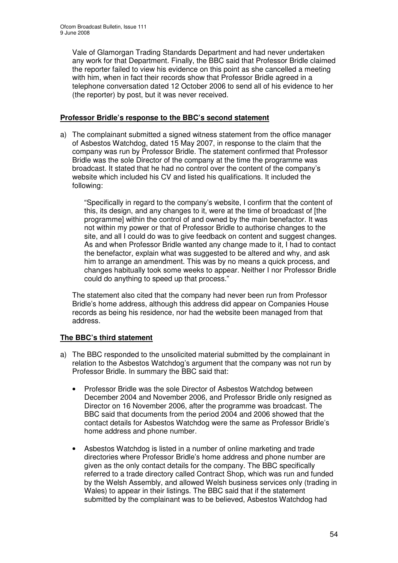Vale of Glamorgan Trading Standards Department and had never undertaken any work for that Department. Finally, the BBC said that Professor Bridle claimed the reporter failed to view his evidence on this point as she cancelled a meeting with him, when in fact their records show that Professor Bridle agreed in a telephone conversation dated 12 October 2006 to send all of his evidence to her (the reporter) by post, but it was never received.

### **Professor Bridle's response to the BBC's second statement**

a) The complainant submitted a signed witness statement from the office manager of Asbestos Watchdog, dated 15 May 2007, in response to the claim that the company was run by Professor Bridle. The statement confirmed that Professor Bridle was the sole Director of the company at the time the programme was broadcast. It stated that he had no control over the content of the company's website which included his CV and listed his qualifications. It included the following:

"Specifically in regard to the company's website, I confirm that the content of this, its design, and any changes to it, were at the time of broadcast of [the programme] within the control of and owned by the main benefactor. It was not within my power or that of Professor Bridle to authorise changes to the site, and all I could do was to give feedback on content and suggest changes. As and when Professor Bridle wanted any change made to it, I had to contact the benefactor, explain what was suggested to be altered and why, and ask him to arrange an amendment. This was by no means a quick process, and changes habitually took some weeks to appear. Neither I nor Professor Bridle could do anything to speed up that process."

The statement also cited that the company had never been run from Professor Bridle's home address, although this address did appear on Companies House records as being his residence, nor had the website been managed from that address.

## **The BBC's third statement**

- a) The BBC responded to the unsolicited material submitted by the complainant in relation to the Asbestos Watchdog's argument that the company was not run by Professor Bridle. In summary the BBC said that:
	- Professor Bridle was the sole Director of Asbestos Watchdog between December 2004 and November 2006, and Professor Bridle only resigned as Director on 16 November 2006, after the programme was broadcast. The BBC said that documents from the period 2004 and 2006 showed that the contact details for Asbestos Watchdog were the same as Professor Bridle's home address and phone number.
	- Asbestos Watchdog is listed in a number of online marketing and trade directories where Professor Bridle's home address and phone number are given as the only contact details for the company. The BBC specifically referred to a trade directory called Contract Shop, which was run and funded by the Welsh Assembly, and allowed Welsh business services only (trading in Wales) to appear in their listings. The BBC said that if the statement submitted by the complainant was to be believed, Asbestos Watchdog had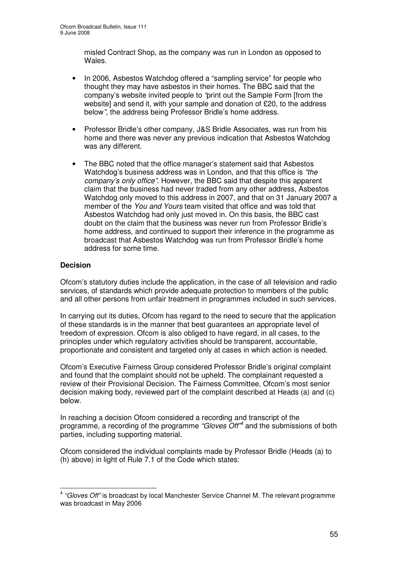misled Contract Shop, as the company was run in London as opposed to Wales.

- In 2006, Asbestos Watchdog offered a "sampling service" for people who thought they may have asbestos in their homes. The BBC said that the company's website invited people to *"*print out the Sample Form [from the website] and send it, with your sample and donation of £20, to the address below*"*, the address being Professor Bridle's home address.
- Professor Bridle's other company, J&S Bridle Associates, was run from his home and there was never any previous indication that Asbestos Watchdog was any different.
- The BBC noted that the office manager's statement said that Asbestos Watchdog's business address was in London, and that this office is *"the company's only office".* However, the BBC said that despite this apparent claim that the business had never traded from any other address, Asbestos Watchdog only moved to this address in 2007, and that on 31 January 2007 a member of the *You and Yours* team visited that office and was told that Asbestos Watchdog had only just moved in. On this basis, the BBC cast doubt on the claim that the business was never run from Professor Bridle's home address, and continued to support their inference in the programme as broadcast that Asbestos Watchdog was run from Professor Bridle's home address for some time.

## **Decision**

Ofcom's statutory duties include the application, in the case of all television and radio services, of standards which provide adequate protection to members of the public and all other persons from unfair treatment in programmes included in such services.

In carrying out its duties, Ofcom has regard to the need to secure that the application of these standards is in the manner that best guarantees an appropriate level of freedom of expression. Ofcom is also obliged to have regard, in all cases, to the principles under which regulatory activities should be transparent, accountable, proportionate and consistent and targeted only at cases in which action is needed.

Ofcom's Executive Fairness Group considered Professor Bridle's original complaint and found that the complaint should not be upheld. The complainant requested a review of their Provisional Decision. The Fairness Committee, Ofcom's most senior decision making body, reviewed part of the complaint described at Heads (a) and (c) below.

In reaching a decision Ofcom considered a recording and transcript of the programme, a recording of the programme *"Gloves Off" 4* and the submissions of both parties, including supporting material.

Ofcom considered the individual complaints made by Professor Bridle (Heads (a) to (h) above) in light of Rule 7.1 of the Code which states:

<sup>4</sup> *"Gloves Off"* is broadcast by local Manchester Service Channel M. The relevant programme was broadcast in May 2006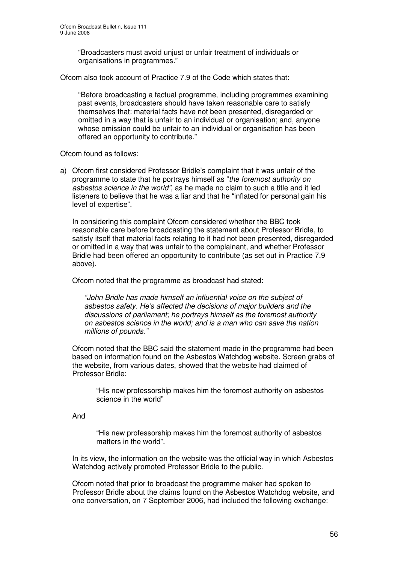"Broadcasters must avoid unjust or unfair treatment of individuals or organisations in programmes."

Ofcom also took account of Practice 7.9 of the Code which states that:

"Before broadcasting a factual programme, including programmes examining past events, broadcasters should have taken reasonable care to satisfy themselves that: material facts have not been presented, disregarded or omitted in a way that is unfair to an individual or organisation; and, anyone whose omission could be unfair to an individual or organisation has been offered an opportunity to contribute."

Ofcom found as follows:

a) Ofcom first considered Professor Bridle's complaint that it was unfair of the programme to state that he portrays himself as "*the foremost authority on asbestos science in the world",* as he made no claim to such a title and it led listeners to believe that he was a liar and that he "inflated for personal gain his level of expertise".

In considering this complaint Ofcom considered whether the BBC took reasonable care before broadcasting the statement about Professor Bridle, to satisfy itself that material facts relating to it had not been presented, disregarded or omitted in a way that was unfair to the complainant, and whether Professor Bridle had been offered an opportunity to contribute (as set out in Practice 7.9 above).

Ofcom noted that the programme as broadcast had stated:

*"John Bridle has made himself an influential voice on the subject of asbestos safety. He's affected the decisions of major builders and the discussions of parliament; he portrays himself as the foremost authority on asbestos science in the world; and is a man who can save the nation millions of pounds."*

Ofcom noted that the BBC said the statement made in the programme had been based on information found on the Asbestos Watchdog website. Screen grabs of the website, from various dates, showed that the website had claimed of Professor Bridle:

"His new professorship makes him the foremost authority on asbestos science in the world"

And

"His new professorship makes him the foremost authority of asbestos matters in the world".

In its view, the information on the website was the official way in which Asbestos Watchdog actively promoted Professor Bridle to the public.

Ofcom noted that prior to broadcast the programme maker had spoken to Professor Bridle about the claims found on the Asbestos Watchdog website, and one conversation, on 7 September 2006, had included the following exchange: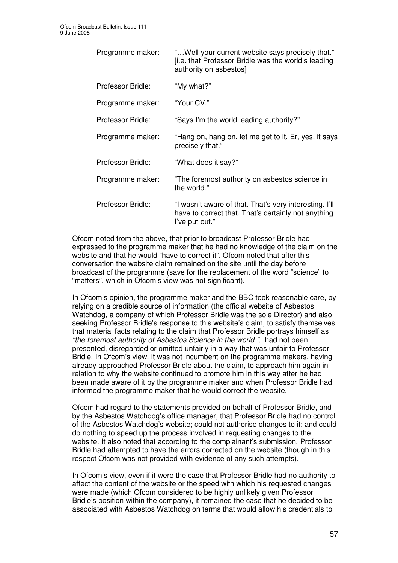| Programme maker:  | " Well your current website says precisely that."<br>[i.e. that Professor Bridle was the world's leading<br>authority on asbestos] |
|-------------------|------------------------------------------------------------------------------------------------------------------------------------|
| Professor Bridle: | "My what?"                                                                                                                         |
| Programme maker:  | "Your CV."                                                                                                                         |
| Professor Bridle: | "Says I'm the world leading authority?"                                                                                            |
| Programme maker:  | "Hang on, hang on, let me get to it. Er, yes, it says<br>precisely that."                                                          |
| Professor Bridle: | "What does it say?"                                                                                                                |
| Programme maker:  | "The foremost authority on asbestos science in<br>the world."                                                                      |
| Professor Bridle: | "I wasn't aware of that. That's very interesting. I'll<br>have to correct that. That's certainly not anything<br>l've put out."    |

Ofcom noted from the above, that prior to broadcast Professor Bridle had expressed to the programme maker that he had no knowledge of the claim on the website and that he would "have to correct it". Ofcom noted that after this conversation the website claim remained on the site until the day before broadcast of the programme (save for the replacement of the word "science" to "matters", which in Ofcom's view was not significant).

In Ofcom's opinion, the programme maker and the BBC took reasonable care, by relying on a credible source of information (the official website of Asbestos Watchdog, a company of which Professor Bridle was the sole Director) and also seeking Professor Bridle's response to this website's claim, to satisfy themselves that material facts relating to the claim that Professor Bridle portrays himself as *"the foremost authority of Asbestos Science in the world "*, had not been presented, disregarded or omitted unfairly in a way that was unfair to Professor Bridle. In Ofcom's view, it was not incumbent on the programme makers, having already approached Professor Bridle about the claim, to approach him again in relation to why the website continued to promote him in this way after he had been made aware of it by the programme maker and when Professor Bridle had informed the programme maker that he would correct the website.

Ofcom had regard to the statements provided on behalf of Professor Bridle, and by the Asbestos Watchdog's office manager, that Professor Bridle had no control of the Asbestos Watchdog's website; could not authorise changes to it; and could do nothing to speed up the process involved in requesting changes to the website. It also noted that according to the complainant's submission, Professor Bridle had attempted to have the errors corrected on the website (though in this respect Ofcom was not provided with evidence of any such attempts).

In Ofcom's view, even if it were the case that Professor Bridle had no authority to affect the content of the website or the speed with which his requested changes were made (which Ofcom considered to be highly unlikely given Professor Bridle's position within the company), it remained the case that he decided to be associated with Asbestos Watchdog on terms that would allow his credentials to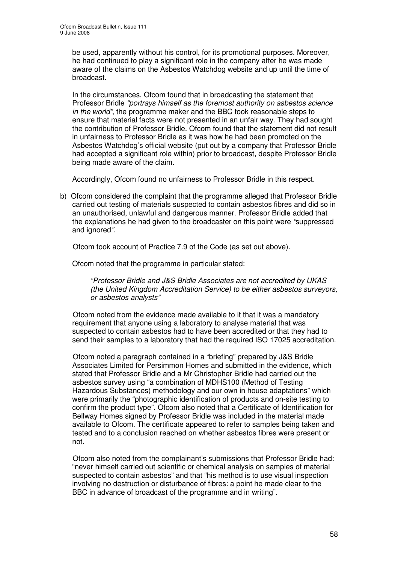be used, apparently without his control, for its promotional purposes. Moreover, he had continued to play a significant role in the company after he was made aware of the claims on the Asbestos Watchdog website and up until the time of broadcast.

In the circumstances, Ofcom found that in broadcasting the statement that Professor Bridle *"portrays himself as the foremost authority on asbestos science in the world"*, the programme maker and the BBC took reasonable steps to ensure that material facts were not presented in an unfair way. They had sought the contribution of Professor Bridle. Ofcom found that the statement did not result in unfairness to Professor Bridle as it was how he had been promoted on the Asbestos Watchdog's official website (put out by a company that Professor Bridle had accepted a significant role within) prior to broadcast, despite Professor Bridle being made aware of the claim.

Accordingly, Ofcom found no unfairness to Professor Bridle in this respect.

b) Ofcom considered the complaint that the programme alleged that Professor Bridle carried out testing of materials suspected to contain asbestos fibres and did so in an unauthorised, unlawful and dangerous manner. Professor Bridle added that the explanations he had given to the broadcaster on this point were *"*suppressed and ignored*"*.

Ofcom took account of Practice 7.9 of the Code (as set out above).

Ofcom noted that the programme in particular stated:

*"Professor Bridle and J&S Bridle Associates are not accredited by UKAS (the United Kingdom Accreditation Service) to be either asbestos surveyors, or asbestos analysts"*

Ofcom noted from the evidence made available to it that it was a mandatory requirement that anyone using a laboratory to analyse material that was suspected to contain asbestos had to have been accredited or that they had to send their samples to a laboratory that had the required ISO 17025 accreditation.

Ofcom noted a paragraph contained in a "briefing" prepared by J&S Bridle Associates Limited for Persimmon Homes and submitted in the evidence, which stated that Professor Bridle and a Mr Christopher Bridle had carried out the asbestos survey using "a combination of MDHS100 (Method of Testing Hazardous Substances) methodology and our own in house adaptations" which were primarily the "photographic identification of products and on-site testing to confirm the product type". Ofcom also noted that a Certificate of Identification for Bellway Homes signed by Professor Bridle was included in the material made available to Ofcom. The certificate appeared to refer to samples being taken and tested and to a conclusion reached on whether asbestos fibres were present or not.

Ofcom also noted from the complainant's submissions that Professor Bridle had: "never himself carried out scientific or chemical analysis on samples of material suspected to contain asbestos" and that "his method is to use visual inspection involving no destruction or disturbance of fibres: a point he made clear to the BBC in advance of broadcast of the programme and in writing".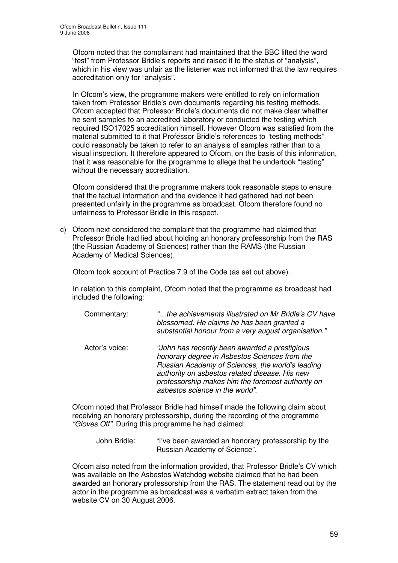Ofcom noted that the complainant had maintained that the BBC lifted the word "test" from Professor Bridle's reports and raised it to the status of "analysis", which in his view was unfair as the listener was not informed that the law requires accreditation only for "analysis".

In Ofcom's view, the programme makers were entitled to rely on information taken from Professor Bridle's own documents regarding his testing methods. Ofcom accepted that Professor Bridle's documents did not make clear whether he sent samples to an accredited laboratory or conducted the testing which required ISO17025 accreditation himself. However Ofcom was satisfied from the material submitted to it that Professor Bridle's references to "testing methods" could reasonably be taken to refer to an analysis of samples rather than to a visual inspection. It therefore appeared to Ofcom, on the basis of this information, that it was reasonable for the programme to allege that he undertook "testing" without the necessary accreditation.

Ofcom considered that the programme makers took reasonable steps to ensure that the factual information and the evidence it had gathered had not been presented unfairly in the programme as broadcast. Ofcom therefore found no unfairness to Professor Bridle in this respect.

c) Ofcom next considered the complaint that the programme had claimed that Professor Bridle had lied about holding an honorary professorship from the RAS (the Russian Academy of Sciences) rather than the RAMS (the Russian Academy of Medical Sciences).

Ofcom took account of Practice 7.9 of the Code (as set out above).

In relation to this complaint, Ofcom noted that the programme as broadcast had included the following:

| Commentary:    | "the achievements illustrated on Mr Bridle's CV have<br>blossomed. He claims he has been granted a<br>substantial honour from a very august organisation."                                                                                                                                   |
|----------------|----------------------------------------------------------------------------------------------------------------------------------------------------------------------------------------------------------------------------------------------------------------------------------------------|
| Actor's voice: | "John has recently been awarded a prestigious<br>honorary degree in Asbestos Sciences from the<br>Russian Academy of Sciences, the world's leading<br>authority on asbestos related disease. His new<br>professorship makes him the foremost authority on<br>asbestos science in the world". |

Ofcom noted that Professor Bridle had himself made the following claim about receiving an honorary professorship, during the recording of the programme *"Gloves Off"*. During this programme he had claimed:

John Bridle: "I've been awarded an honorary professorship by the Russian Academy of Science".

Ofcom also noted from the information provided, that Professor Bridle's CV which was available on the Asbestos Watchdog website claimed that he had been awarded an honorary professorship from the RAS. The statement read out by the actor in the programme as broadcast was a verbatim extract taken from the website CV on 30 August 2006.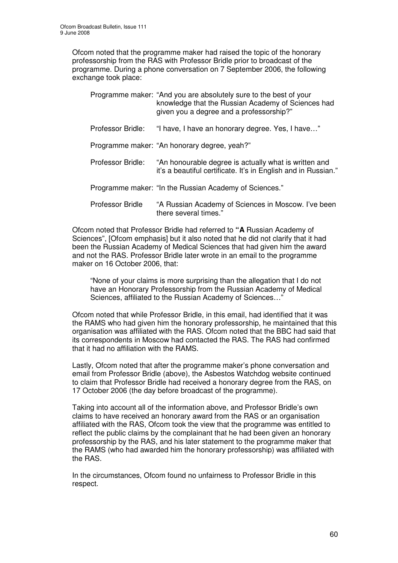Ofcom noted that the programme maker had raised the topic of the honorary professorship from the RAS with Professor Bridle prior to broadcast of the programme. During a phone conversation on 7 September 2006, the following exchange took place:

|                         | Programme maker: "And you are absolutely sure to the best of your<br>knowledge that the Russian Academy of Sciences had<br>given you a degree and a professorship?" |
|-------------------------|---------------------------------------------------------------------------------------------------------------------------------------------------------------------|
| Professor Bridle:       | "I have, I have an honorary degree. Yes, I have"                                                                                                                    |
|                         | Programme maker: "An honorary degree, yeah?"                                                                                                                        |
| Professor Bridle:       | "An honourable degree is actually what is written and<br>it's a beautiful certificate. It's in English and in Russian."                                             |
|                         | Programme maker: "In the Russian Academy of Sciences."                                                                                                              |
| <b>Professor Bridle</b> | "A Russian Academy of Sciences in Moscow. I've been<br>there several times."                                                                                        |

Ofcom noted that Professor Bridle had referred to **"A** Russian Academy of Sciences", [Ofcom emphasis] but it also noted that he did not clarify that it had been the Russian Academy of Medical Sciences that had given him the award and not the RAS. Professor Bridle later wrote in an email to the programme maker on 16 October 2006, that:

"None of your claims is more surprising than the allegation that I do not have an Honorary Professorship from the Russian Academy of Medical Sciences, affiliated to the Russian Academy of Sciences…"

Ofcom noted that while Professor Bridle, in this email, had identified that it was the RAMS who had given him the honorary professorship, he maintained that this organisation was affiliated with the RAS. Ofcom noted that the BBC had said that its correspondents in Moscow had contacted the RAS. The RAS had confirmed that it had no affiliation with the RAMS.

Lastly, Ofcom noted that after the programme maker's phone conversation and email from Professor Bridle (above), the Asbestos Watchdog website continued to claim that Professor Bridle had received a honorary degree from the RAS, on 17 October 2006 (the day before broadcast of the programme).

Taking into account all of the information above, and Professor Bridle's own claims to have received an honorary award from the RAS or an organisation affiliated with the RAS, Ofcom took the view that the programme was entitled to reflect the public claims by the complainant that he had been given an honorary professorship by the RAS, and his later statement to the programme maker that the RAMS (who had awarded him the honorary professorship) was affiliated with the RAS.

In the circumstances, Ofcom found no unfairness to Professor Bridle in this respect.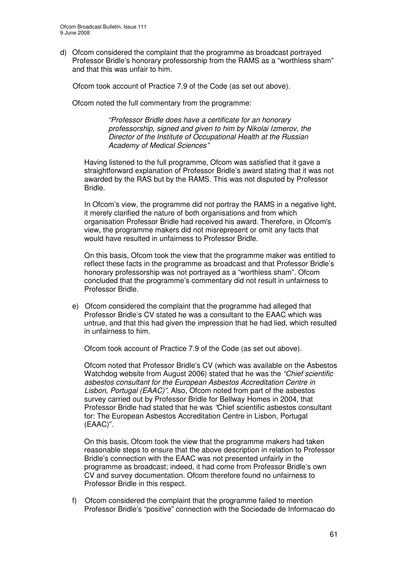d) Ofcom considered the complaint that the programme as broadcast portrayed Professor Bridle's honorary professorship from the RAMS as a "worthless sham" and that this was unfair to him.

Ofcom took account of Practice 7.9 of the Code (as set out above).

Ofcom noted the full commentary from the programme:

*"Professor Bridle does have a certificate for an honorary professorship, signed and given to him by Nikolai Izmerov, the Director of the Institute of Occupational Health at the Russian Academy of Medical Sciences"*

Having listened to the full programme, Ofcom was satisfied that it gave a straightforward explanation of Professor Bridle's award stating that it was not awarded by the RAS but by the RAMS. This was not disputed by Professor Bridle.

In Ofcom's view, the programme did not portray the RAMS in a negative light, it merely clarified the nature of both organisations and from which organisation Professor Bridle had received his award*.* Therefore, in Ofcom's view, the programme makers did not misrepresent or omit any facts that would have resulted in unfairness to Professor Bridle.

On this basis, Ofcom took the view that the programme maker was entitled to reflect these facts in the programme as broadcast and that Professor Bridle's honorary professorship was not portrayed as a "worthless sham". Ofcom concluded that the programme's commentary did not result in unfairness to Professor Bridle.

e) Ofcom considered the complaint that the programme had alleged that Professor Bridle's CV stated he was a consultant to the EAAC which was untrue, and that this had given the impression that he had lied, which resulted in unfairness to him.

Ofcom took account of Practice 7.9 of the Code (as set out above).

Ofcom noted that Professor Bridle's CV (which was available on the Asbestos Watchdog website from August 2006) stated that he was the *"Chief scientific asbestos consultant for the European Asbestos Accreditation Centre in Lisbon, Portugal (EAAC)".* Also, Ofcom noted from part of the asbestos survey carried out by Professor Bridle for Bellway Homes in 2004, that Professor Bridle had stated that he was *"*Chief scientific asbestos consultant for: The European Asbestos Accreditation Centre in Lisbon, Portugal (EAAC)".

On this basis, Ofcom took the view that the programme makers had taken reasonable steps to ensure that the above description in relation to Professor Bridle's connection with the EAAC was not presented unfairly in the programme as broadcast; indeed, it had come from Professor Bridle's own CV and survey documentation. Ofcom therefore found no unfairness to Professor Bridle in this respect.

f) Ofcom considered the complaint that the programme failed to mention Professor Bridle's "positive" connection with the Sociedade de Informacao do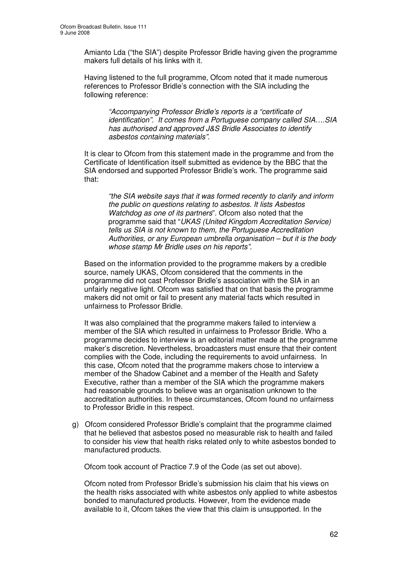Amianto Lda ("the SIA") despite Professor Bridle having given the programme makers full details of his links with it.

Having listened to the full programme, Ofcom noted that it made numerous references to Professor Bridle's connection with the SIA including the following reference:

*"Accompanying Professor Bridle's reports is a "certificate of identification". It comes from a Portuguese company called SIA….SIA has authorised and approved J&S Bridle Associates to identify asbestos containing materials".*

It is clear to Ofcom from this statement made in the programme and from the Certificate of Identification itself submitted as evidence by the BBC that the SIA endorsed and supported Professor Bridle's work. The programme said that:

*"the SIA website says that it was formed recently to clarify and inform the public on questions relating to asbestos. It lists Asbestos Watchdog as one of its partners*". Ofcom also noted that the programme said that "*UKAS (United Kingdom Accreditation Service) tells us SIA is not known to them, the Portuguese Accreditation Authorities, or any European umbrella organisation – but it is the body whose stamp Mr Bridle uses on his reports".*

Based on the information provided to the programme makers by a credible source, namely UKAS, Ofcom considered that the comments in the programme did not cast Professor Bridle's association with the SIA in an unfairly negative light. Ofcom was satisfied that on that basis the programme makers did not omit or fail to present any material facts which resulted in unfairness to Professor Bridle.

It was also complained that the programme makers failed to interview a member of the SIA which resulted in unfairness to Professor Bridle. Who a programme decides to interview is an editorial matter made at the programme maker's discretion. Nevertheless, broadcasters must ensure that their content complies with the Code, including the requirements to avoid unfairness. In this case, Ofcom noted that the programme makers chose to interview a member of the Shadow Cabinet and a member of the Health and Safety Executive, rather than a member of the SIA which the programme makers had reasonable grounds to believe was an organisation unknown to the accreditation authorities. In these circumstances, Ofcom found no unfairness to Professor Bridle in this respect.

g) Ofcom considered Professor Bridle's complaint that the programme claimed that he believed that asbestos posed no measurable risk to health and failed to consider his view that health risks related only to white asbestos bonded to manufactured products.

Ofcom took account of Practice 7.9 of the Code (as set out above).

Ofcom noted from Professor Bridle's submission his claim that his views on the health risks associated with white asbestos only applied to white asbestos bonded to manufactured products. However, from the evidence made available to it, Ofcom takes the view that this claim is unsupported. In the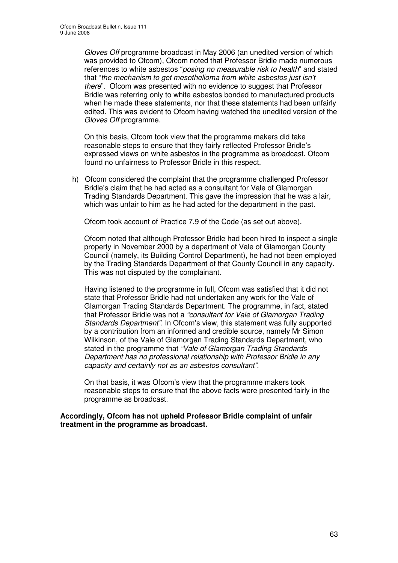*Gloves Off* programme broadcast in May 2006 (an unedited version of which was provided to Ofcom), Ofcom noted that Professor Bridle made numerous references to white asbestos "*posing no measurable risk to health*" and stated that "*the mechanism to get mesothelioma from white asbestos just isn't there*". Ofcom was presented with no evidence to suggest that Professor Bridle was referring only to white asbestos bonded to manufactured products when he made these statements, nor that these statements had been unfairly edited. This was evident to Ofcom having watched the unedited version of the *Gloves Off* programme.

On this basis, Ofcom took view that the programme makers did take reasonable steps to ensure that they fairly reflected Professor Bridle's expressed views on white asbestos in the programme as broadcast. Ofcom found no unfairness to Professor Bridle in this respect.

h) Ofcom considered the complaint that the programme challenged Professor Bridle's claim that he had acted as a consultant for Vale of Glamorgan Trading Standards Department. This gave the impression that he was a lair, which was unfair to him as he had acted for the department in the past.

Ofcom took account of Practice 7.9 of the Code (as set out above).

Ofcom noted that although Professor Bridle had been hired to inspect a single property in November 2000 by a department of Vale of Glamorgan County Council (namely, its Building Control Department), he had not been employed by the Trading Standards Department of that County Council in any capacity. This was not disputed by the complainant.

Having listened to the programme in full, Ofcom was satisfied that it did not state that Professor Bridle had not undertaken any work for the Vale of Glamorgan Trading Standards Department. The programme, in fact, stated that Professor Bridle was not a *"consultant for Vale of Glamorgan Trading Standards Department"*. In Ofcom's view, this statement was fully supported by a contribution from an informed and credible source, namely Mr Simon Wilkinson, of the Vale of Glamorgan Trading Standards Department, who stated in the programme that *"Vale of Glamorgan Trading Standards Department has no professional relationship with Professor Bridle in any capacity and certainly not as an asbestos consultant".*

On that basis, it was Ofcom's view that the programme makers took reasonable steps to ensure that the above facts were presented fairly in the programme as broadcast.

**Accordingly, Ofcom has not upheld Professor Bridle complaint of unfair treatment in the programme as broadcast.**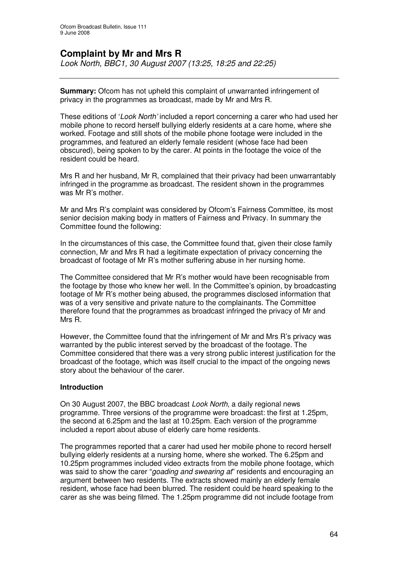# **Complaint by Mr and Mrs R**

*Look North, BBC1, 30 August 2007 (13:25, 18:25 and 22:25)*

**Summary:** Ofcom has not upheld this complaint of unwarranted infringement of privacy in the programmes as broadcast, made by Mr and Mrs R.

These editions of '*Look North'* included a report concerning a carer who had used her mobile phone to record herself bullying elderly residents at a care home, where she worked. Footage and still shots of the mobile phone footage were included in the programmes, and featured an elderly female resident (whose face had been obscured), being spoken to by the carer. At points in the footage the voice of the resident could be heard.

Mrs R and her husband, Mr R, complained that their privacy had been unwarrantably infringed in the programme as broadcast. The resident shown in the programmes was Mr R's mother.

Mr and Mrs R's complaint was considered by Ofcom's Fairness Committee, its most senior decision making body in matters of Fairness and Privacy. In summary the Committee found the following:

In the circumstances of this case, the Committee found that, given their close family connection, Mr and Mrs R had a legitimate expectation of privacy concerning the broadcast of footage of Mr R's mother suffering abuse in her nursing home.

The Committee considered that Mr R's mother would have been recognisable from the footage by those who knew her well. In the Committee's opinion, by broadcasting footage of Mr R's mother being abused, the programmes disclosed information that was of a very sensitive and private nature to the complainants. The Committee therefore found that the programmes as broadcast infringed the privacy of Mr and Mrs R.

However, the Committee found that the infringement of Mr and Mrs R's privacy was warranted by the public interest served by the broadcast of the footage. The Committee considered that there was a very strong public interest justification for the broadcast of the footage, which was itself crucial to the impact of the ongoing news story about the behaviour of the carer.

#### **Introduction**

On 30 August 2007, the BBC broadcast *Look North*, a daily regional news programme. Three versions of the programme were broadcast: the first at 1.25pm, the second at 6.25pm and the last at 10.25pm. Each version of the programme included a report about abuse of elderly care home residents.

The programmes reported that a carer had used her mobile phone to record herself bullying elderly residents at a nursing home, where she worked. The 6.25pm and 10.25pm programmes included video extracts from the mobile phone footage, which was said to show the carer "*goading and swearing at*" residents and encouraging an argument between two residents. The extracts showed mainly an elderly female resident, whose face had been blurred. The resident could be heard speaking to the carer as she was being filmed. The 1.25pm programme did not include footage from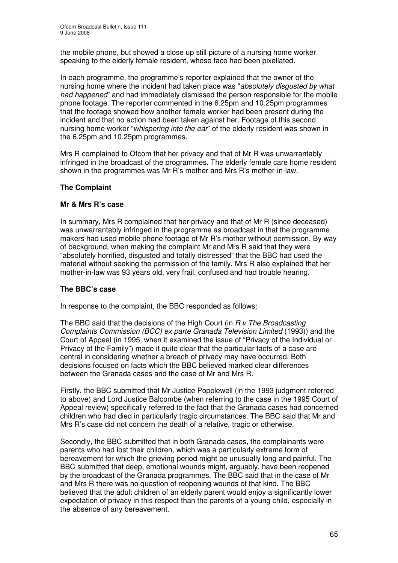the mobile phone, but showed a close up still picture of a nursing home worker speaking to the elderly female resident, whose face had been pixellated.

In each programme, the programme's reporter explained that the owner of the nursing home where the incident had taken place was "*absolutely disgusted by what had happened*" and had immediately dismissed the person responsible for the mobile phone footage. The reporter commented in the 6.25pm and 10.25pm programmes that the footage showed how another female worker had been present during the incident and that no action had been taken against her. Footage of this second nursing home worker "*whispering into the ear*" of the elderly resident was shown in the 6.25pm and 10.25pm programmes.

Mrs R complained to Ofcom that her privacy and that of Mr R was unwarrantably infringed in the broadcast of the programmes. The elderly female care home resident shown in the programmes was Mr R's mother and Mrs R's mother-in-law.

## **The Complaint**

## **Mr & Mrs R's case**

In summary, Mrs R complained that her privacy and that of Mr R (since deceased) was unwarrantably infringed in the programme as broadcast in that the programme makers had used mobile phone footage of Mr R's mother without permission. By way of background, when making the complaint Mr and Mrs R said that they were "absolutely horrified, disgusted and totally distressed" that the BBC had used the material without seeking the permission of the family. Mrs R also explained that her mother-in-law was 93 years old, very frail, confused and had trouble hearing.

#### **The BBC's case**

In response to the complaint, the BBC responded as follows:

The BBC said that the decisions of the High Court (in *R v The Broadcasting Complaints Commission (BCC) ex parte Granada Television Limited* (1993)) and the Court of Appeal (in 1995, when it examined the issue of "Privacy of the Individual or Privacy of the Family") made it quite clear that the particular facts of a case are central in considering whether a breach of privacy may have occurred. Both decisions focused on facts which the BBC believed marked clear differences between the Granada cases and the case of Mr and Mrs R.

Firstly, the BBC submitted that Mr Justice Popplewell (in the 1993 judgment referred to above) and Lord Justice Balcombe (when referring to the case in the 1995 Court of Appeal review) specifically referred to the fact that the Granada cases had concerned children who had died in particularly tragic circumstances. The BBC said that Mr and Mrs R's case did not concern the death of a relative, tragic or otherwise.

Secondly, the BBC submitted that in both Granada cases, the complainants were parents who had lost their children, which was a particularly extreme form of bereavement for which the grieving period might be unusually long and painful. The BBC submitted that deep, emotional wounds might, arguably, have been reopened by the broadcast of the Granada programmes. The BBC said that in the case of Mr and Mrs R there was no question of reopening wounds of that kind. The BBC believed that the adult children of an elderly parent would enjoy a significantly lower expectation of privacy in this respect than the parents of a young child, especially in the absence of any bereavement.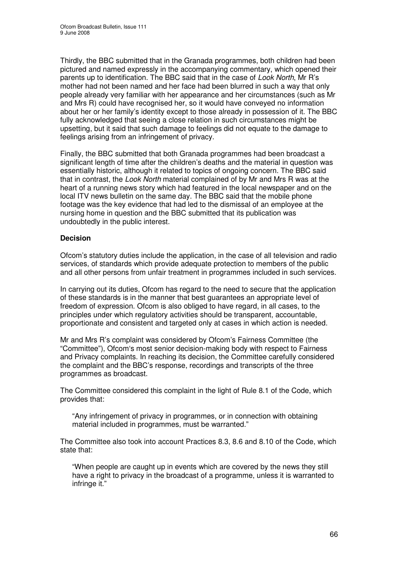Thirdly, the BBC submitted that in the Granada programmes, both children had been pictured and named expressly in the accompanying commentary, which opened their parents up to identification. The BBC said that in the case of *Look North*, Mr R's mother had not been named and her face had been blurred in such a way that only people already very familiar with her appearance and her circumstances (such as Mr and Mrs R) could have recognised her, so it would have conveyed no information about her or her family's identity except to those already in possession of it. The BBC fully acknowledged that seeing a close relation in such circumstances might be upsetting, but it said that such damage to feelings did not equate to the damage to feelings arising from an infringement of privacy.

Finally, the BBC submitted that both Granada programmes had been broadcast a significant length of time after the children's deaths and the material in question was essentially historic, although it related to topics of ongoing concern. The BBC said that in contrast, the *Look North* material complained of by Mr and Mrs R was at the heart of a running news story which had featured in the local newspaper and on the local ITV news bulletin on the same day. The BBC said that the mobile phone footage was the key evidence that had led to the dismissal of an employee at the nursing home in question and the BBC submitted that its publication was undoubtedly in the public interest.

## **Decision**

Ofcom's statutory duties include the application, in the case of all television and radio services, of standards which provide adequate protection to members of the public and all other persons from unfair treatment in programmes included in such services.

In carrying out its duties, Ofcom has regard to the need to secure that the application of these standards is in the manner that best guarantees an appropriate level of freedom of expression. Ofcom is also obliged to have regard, in all cases, to the principles under which regulatory activities should be transparent, accountable, proportionate and consistent and targeted only at cases in which action is needed.

Mr and Mrs R's complaint was considered by Ofcom's Fairness Committee (the "Committee"), Ofcom's most senior decision-making body with respect to Fairness and Privacy complaints. In reaching its decision, the Committee carefully considered the complaint and the BBC's response, recordings and transcripts of the three programmes as broadcast.

The Committee considered this complaint in the light of Rule 8.1 of the Code, which provides that:

"Any infringement of privacy in programmes, or in connection with obtaining material included in programmes, must be warranted."

The Committee also took into account Practices 8.3, 8.6 and 8.10 of the Code, which state that:

"When people are caught up in events which are covered by the news they still have a right to privacy in the broadcast of a programme, unless it is warranted to infringe it."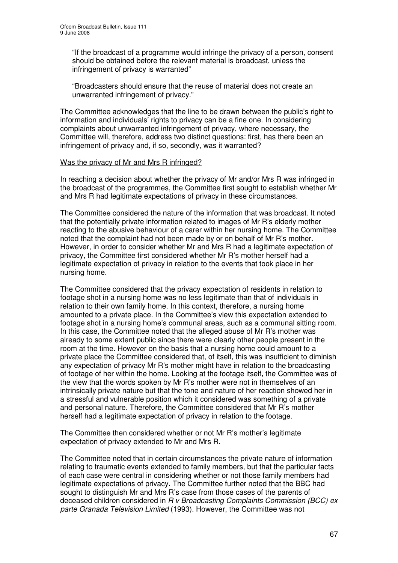"If the broadcast of a programme would infringe the privacy of a person, consent should be obtained before the relevant material is broadcast, unless the infringement of privacy is warranted"

"Broadcasters should ensure that the reuse of material does not create an unwarranted infringement of privacy."

The Committee acknowledges that the line to be drawn between the public's right to information and individuals' rights to privacy can be a fine one. In considering complaints about unwarranted infringement of privacy, where necessary, the Committee will, therefore, address two distinct questions: first, has there been an infringement of privacy and, if so, secondly, was it warranted?

#### Was the privacy of Mr and Mrs R infringed?

In reaching a decision about whether the privacy of Mr and/or Mrs R was infringed in the broadcast of the programmes, the Committee first sought to establish whether Mr and Mrs R had legitimate expectations of privacy in these circumstances.

The Committee considered the nature of the information that was broadcast. It noted that the potentially private information related to images of Mr R's elderly mother reacting to the abusive behaviour of a carer within her nursing home. The Committee noted that the complaint had not been made by or on behalf of Mr R's mother. However, in order to consider whether Mr and Mrs R had a legitimate expectation of privacy, the Committee first considered whether Mr R's mother herself had a legitimate expectation of privacy in relation to the events that took place in her nursing home.

The Committee considered that the privacy expectation of residents in relation to footage shot in a nursing home was no less legitimate than that of individuals in relation to their own family home. In this context, therefore, a nursing home amounted to a private place. In the Committee's view this expectation extended to footage shot in a nursing home's communal areas, such as a communal sitting room. In this case, the Committee noted that the alleged abuse of Mr R's mother was already to some extent public since there were clearly other people present in the room at the time. However on the basis that a nursing home could amount to a private place the Committee considered that, of itself, this was insufficient to diminish any expectation of privacy Mr R's mother might have in relation to the broadcasting of footage of her within the home. Looking at the footage itself, the Committee was of the view that the words spoken by Mr R's mother were not in themselves of an intrinsically private nature but that the tone and nature of her reaction showed her in a stressful and vulnerable position which it considered was something of a private and personal nature. Therefore, the Committee considered that Mr R's mother herself had a legitimate expectation of privacy in relation to the footage.

The Committee then considered whether or not Mr R's mother's legitimate expectation of privacy extended to Mr and Mrs R.

The Committee noted that in certain circumstances the private nature of information relating to traumatic events extended to family members, but that the particular facts of each case were central in considering whether or not those family members had legitimate expectations of privacy. The Committee further noted that the BBC had sought to distinguish Mr and Mrs R's case from those cases of the parents of deceased children considered in *R v Broadcasting Complaints Commission (BCC) ex parte Granada Television Limited* (1993). However, the Committee was not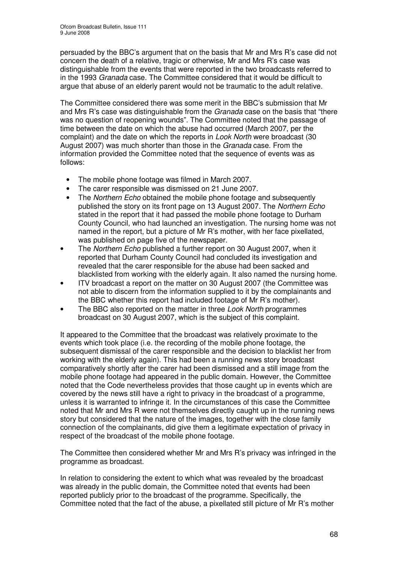persuaded by the BBC's argument that on the basis that Mr and Mrs R's case did not concern the death of a relative, tragic or otherwise, Mr and Mrs R's case was distinguishable from the events that were reported in the two broadcasts referred to in the 1993 *Granada* case. The Committee considered that it would be difficult to argue that abuse of an elderly parent would not be traumatic to the adult relative.

The Committee considered there was some merit in the BBC's submission that Mr and Mrs R's case was distinguishable from the *Granada* case on the basis that "there was no question of reopening wounds". The Committee noted that the passage of time between the date on which the abuse had occurred (March 2007, per the complaint) and the date on which the reports in *Look North* were broadcast (30 August 2007) was much shorter than those in the *Granada* case. From the information provided the Committee noted that the sequence of events was as follows:

- The mobile phone footage was filmed in March 2007.
- The carer responsible was dismissed on 21 June 2007.
- The *Northern Echo* obtained the mobile phone footage and subsequently published the story on its front page on 13 August 2007. The *Northern Echo* stated in the report that it had passed the mobile phone footage to Durham County Council, who had launched an investigation. The nursing home was not named in the report, but a picture of Mr R's mother, with her face pixellated, was published on page five of the newspaper.
- The *Northern Echo* published a further report on 30 August 2007, when it reported that Durham County Council had concluded its investigation and revealed that the carer responsible for the abuse had been sacked and blacklisted from working with the elderly again. It also named the nursing home.
- ITV broadcast a report on the matter on 30 August 2007 (the Committee was not able to discern from the information supplied to it by the complainants and the BBC whether this report had included footage of Mr R's mother).
- The BBC also reported on the matter in three *Look North* programmes broadcast on 30 August 2007, which is the subject of this complaint.

It appeared to the Committee that the broadcast was relatively proximate to the events which took place (i.e. the recording of the mobile phone footage, the subsequent dismissal of the carer responsible and the decision to blacklist her from working with the elderly again). This had been a running news story broadcast comparatively shortly after the carer had been dismissed and a still image from the mobile phone footage had appeared in the public domain. However, the Committee noted that the Code nevertheless provides that those caught up in events which are covered by the news still have a right to privacy in the broadcast of a programme, unless it is warranted to infringe it. In the circumstances of this case the Committee noted that Mr and Mrs R were not themselves directly caught up in the running news story but considered that the nature of the images, together with the close family connection of the complainants, did give them a legitimate expectation of privacy in respect of the broadcast of the mobile phone footage.

The Committee then considered whether Mr and Mrs R's privacy was infringed in the programme as broadcast.

In relation to considering the extent to which what was revealed by the broadcast was already in the public domain, the Committee noted that events had been reported publicly prior to the broadcast of the programme. Specifically, the Committee noted that the fact of the abuse, a pixellated still picture of Mr R's mother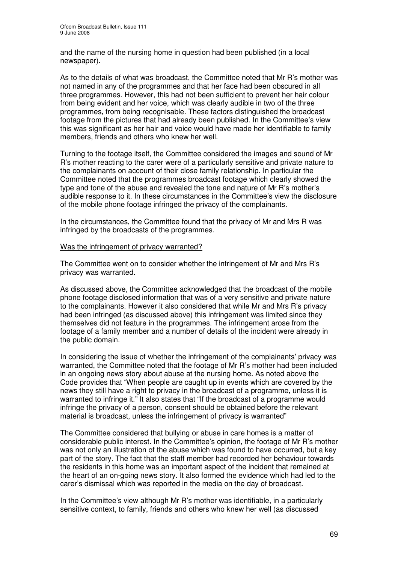and the name of the nursing home in question had been published (in a local newspaper).

As to the details of what was broadcast, the Committee noted that Mr R's mother was not named in any of the programmes and that her face had been obscured in all three programmes. However, this had not been sufficient to prevent her hair colour from being evident and her voice, which was clearly audible in two of the three programmes, from being recognisable. These factors distinguished the broadcast footage from the pictures that had already been published. In the Committee's view this was significant as her hair and voice would have made her identifiable to family members, friends and others who knew her well.

Turning to the footage itself, the Committee considered the images and sound of Mr R's mother reacting to the carer were of a particularly sensitive and private nature to the complainants on account of their close family relationship. In particular the Committee noted that the programmes broadcast footage which clearly showed the type and tone of the abuse and revealed the tone and nature of Mr R's mother's audible response to it. In these circumstances in the Committee's view the disclosure of the mobile phone footage infringed the privacy of the complainants.

In the circumstances, the Committee found that the privacy of Mr and Mrs R was infringed by the broadcasts of the programmes.

#### Was the infringement of privacy warranted?

The Committee went on to consider whether the infringement of Mr and Mrs R's privacy was warranted.

As discussed above, the Committee acknowledged that the broadcast of the mobile phone footage disclosed information that was of a very sensitive and private nature to the complainants. However it also considered that while Mr and Mrs R's privacy had been infringed (as discussed above) this infringement was limited since they themselves did not feature in the programmes. The infringement arose from the footage of a family member and a number of details of the incident were already in the public domain.

In considering the issue of whether the infringement of the complainants' privacy was warranted, the Committee noted that the footage of Mr R's mother had been included in an ongoing news story about abuse at the nursing home. As noted above the Code provides that "When people are caught up in events which are covered by the news they still have a right to privacy in the broadcast of a programme, unless it is warranted to infringe it." It also states that "If the broadcast of a programme would infringe the privacy of a person, consent should be obtained before the relevant material is broadcast, unless the infringement of privacy is warranted"

The Committee considered that bullying or abuse in care homes is a matter of considerable public interest. In the Committee's opinion, the footage of Mr R's mother was not only an illustration of the abuse which was found to have occurred, but a key part of the story. The fact that the staff member had recorded her behaviour towards the residents in this home was an important aspect of the incident that remained at the heart of an on-going news story. It also formed the evidence which had led to the carer's dismissal which was reported in the media on the day of broadcast.

In the Committee's view although Mr R's mother was identifiable, in a particularly sensitive context, to family, friends and others who knew her well (as discussed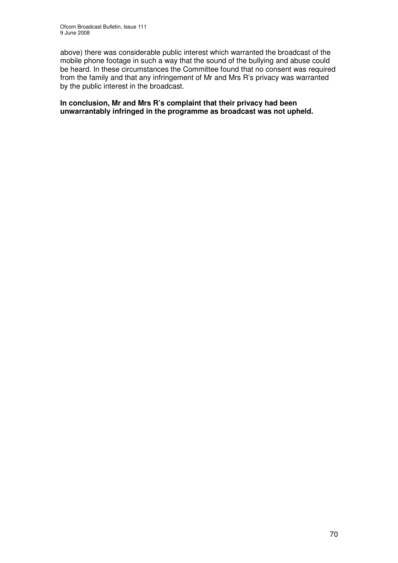above) there was considerable public interest which warranted the broadcast of the mobile phone footage in such a way that the sound of the bullying and abuse could be heard. In these circumstances the Committee found that no consent was required from the family and that any infringement of Mr and Mrs R's privacy was warranted by the public interest in the broadcast.

**In conclusion, Mr and Mrs R's complaint that their privacy had been unwarrantably infringed in the programme as broadcast was not upheld.**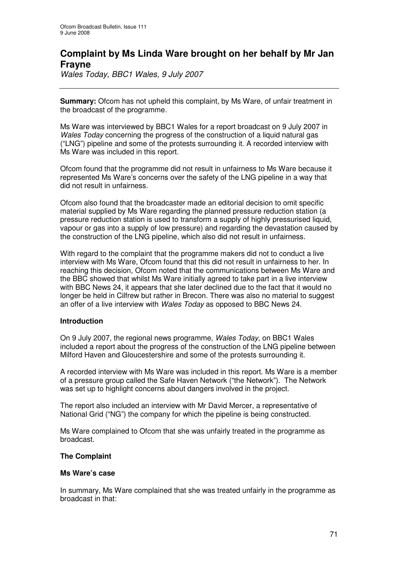# **Complaint by Ms Linda Ware brought on her behalf by Mr Jan Frayne**

*Wales Today, BBC1 Wales, 9 July 2007*

**Summary:** Ofcom has not upheld this complaint, by Ms Ware, of unfair treatment in the broadcast of the programme.

Ms Ware was interviewed by BBC1 Wales for a report broadcast on 9 July 2007 in *Wales Today* concerning the progress of the construction of a liquid natural gas ("LNG") pipeline and some of the protests surrounding it. A recorded interview with Ms Ware was included in this report.

Ofcom found that the programme did not result in unfairness to Ms Ware because it represented Ms Ware's concerns over the safety of the LNG pipeline in a way that did not result in unfairness.

Ofcom also found that the broadcaster made an editorial decision to omit specific material supplied by Ms Ware regarding the planned pressure reduction station (a pressure reduction station is used to transform a supply of highly pressurised liquid, vapour or gas into a supply of low pressure) and regarding the devastation caused by the construction of the LNG pipeline, which also did not result in unfairness.

With regard to the complaint that the programme makers did not to conduct a live interview with Ms Ware, Ofcom found that this did not result in unfairness to her. In reaching this decision, Ofcom noted that the communications between Ms Ware and the BBC showed that whilst Ms Ware initially agreed to take part in a live interview with BBC News 24, it appears that she later declined due to the fact that it would no longer be held in Cilfrew but rather in Brecon. There was also no material to suggest an offer of a live interview with *Wales Today* as opposed to BBC News 24.

#### **Introduction**

On 9 July 2007, the regional news programme, *Wales Today*, on BBC1 Wales included a report about the progress of the construction of the LNG pipeline between Milford Haven and Gloucestershire and some of the protests surrounding it.

A recorded interview with Ms Ware was included in this report. Ms Ware is a member of a pressure group called the Safe Haven Network ("the Network"). The Network was set up to highlight concerns about dangers involved in the project.

The report also included an interview with Mr David Mercer, a representative of National Grid ("NG") the company for which the pipeline is being constructed.

Ms Ware complained to Ofcom that she was unfairly treated in the programme as broadcast.

#### **The Complaint**

#### **Ms Ware's case**

In summary, Ms Ware complained that she was treated unfairly in the programme as broadcast in that: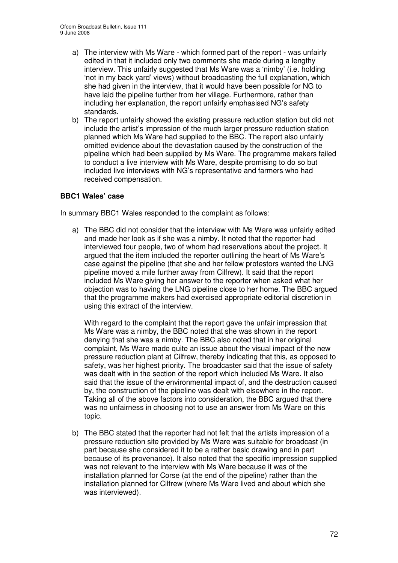- a) The interview with Ms Ware which formed part of the report was unfairly edited in that it included only two comments she made during a lengthy interview. This unfairly suggested that Ms Ware was a 'nimby' (i.e. holding 'not in my back yard' views) without broadcasting the full explanation, which she had given in the interview, that it would have been possible for NG to have laid the pipeline further from her village. Furthermore, rather than including her explanation, the report unfairly emphasised NG's safety standards.
- b) The report unfairly showed the existing pressure reduction station but did not include the artist's impression of the much larger pressure reduction station planned which Ms Ware had supplied to the BBC. The report also unfairly omitted evidence about the devastation caused by the construction of the pipeline which had been supplied by Ms Ware. The programme makers failed to conduct a live interview with Ms Ware, despite promising to do so but included live interviews with NG's representative and farmers who had received compensation.

## **BBC1 Wales' case**

In summary BBC1 Wales responded to the complaint as follows:

a) The BBC did not consider that the interview with Ms Ware was unfairly edited and made her look as if she was a nimby. It noted that the reporter had interviewed four people, two of whom had reservations about the project. It argued that the item included the reporter outlining the heart of Ms Ware's case against the pipeline (that she and her fellow protestors wanted the LNG pipeline moved a mile further away from Cilfrew). It said that the report included Ms Ware giving her answer to the reporter when asked what her objection was to having the LNG pipeline close to her home. The BBC argued that the programme makers had exercised appropriate editorial discretion in using this extract of the interview.

With regard to the complaint that the report gave the unfair impression that Ms Ware was a nimby, the BBC noted that she was shown in the report denying that she was a nimby. The BBC also noted that in her original complaint, Ms Ware made quite an issue about the visual impact of the new pressure reduction plant at Cilfrew, thereby indicating that this, as opposed to safety, was her highest priority. The broadcaster said that the issue of safety was dealt with in the section of the report which included Ms Ware. It also said that the issue of the environmental impact of, and the destruction caused by, the construction of the pipeline was dealt with elsewhere in the report. Taking all of the above factors into consideration, the BBC argued that there was no unfairness in choosing not to use an answer from Ms Ware on this topic.

b) The BBC stated that the reporter had not felt that the artists impression of a pressure reduction site provided by Ms Ware was suitable for broadcast (in part because she considered it to be a rather basic drawing and in part because of its provenance). It also noted that the specific impression supplied was not relevant to the interview with Ms Ware because it was of the installation planned for Corse (at the end of the pipeline) rather than the installation planned for Cilfrew (where Ms Ware lived and about which she was interviewed).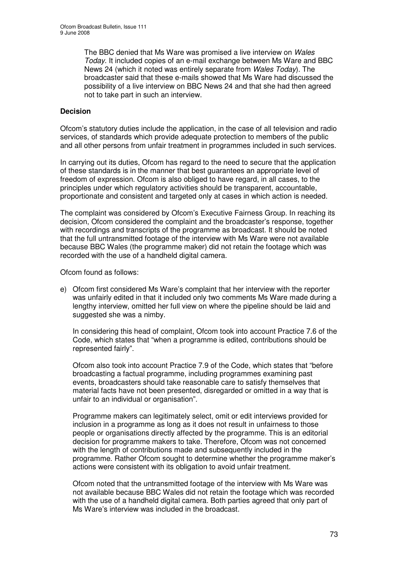The BBC denied that Ms Ware was promised a live interview on *Wales Today*. It included copies of an e-mail exchange between Ms Ware and BBC News 24 (which it noted was entirely separate from *Wales Today*). The broadcaster said that these e-mails showed that Ms Ware had discussed the possibility of a live interview on BBC News 24 and that she had then agreed not to take part in such an interview.

### **Decision**

Ofcom's statutory duties include the application, in the case of all television and radio services, of standards which provide adequate protection to members of the public and all other persons from unfair treatment in programmes included in such services.

In carrying out its duties, Ofcom has regard to the need to secure that the application of these standards is in the manner that best guarantees an appropriate level of freedom of expression. Ofcom is also obliged to have regard, in all cases, to the principles under which regulatory activities should be transparent, accountable, proportionate and consistent and targeted only at cases in which action is needed.

The complaint was considered by Ofcom's Executive Fairness Group. In reaching its decision, Ofcom considered the complaint and the broadcaster's response, together with recordings and transcripts of the programme as broadcast. It should be noted that the full untransmitted footage of the interview with Ms Ware were not available because BBC Wales (the programme maker) did not retain the footage which was recorded with the use of a handheld digital camera.

Ofcom found as follows:

e) Ofcom first considered Ms Ware's complaint that her interview with the reporter was unfairly edited in that it included only two comments Ms Ware made during a lengthy interview, omitted her full view on where the pipeline should be laid and suggested she was a nimby.

In considering this head of complaint, Ofcom took into account Practice 7.6 of the Code, which states that "when a programme is edited, contributions should be represented fairly".

Ofcom also took into account Practice 7.9 of the Code, which states that "before broadcasting a factual programme, including programmes examining past events, broadcasters should take reasonable care to satisfy themselves that material facts have not been presented, disregarded or omitted in a way that is unfair to an individual or organisation".

Programme makers can legitimately select, omit or edit interviews provided for inclusion in a programme as long as it does not result in unfairness to those people or organisations directly affected by the programme. This is an editorial decision for programme makers to take. Therefore, Ofcom was not concerned with the length of contributions made and subsequently included in the programme. Rather Ofcom sought to determine whether the programme maker's actions were consistent with its obligation to avoid unfair treatment.

Ofcom noted that the untransmitted footage of the interview with Ms Ware was not available because BBC Wales did not retain the footage which was recorded with the use of a handheld digital camera. Both parties agreed that only part of Ms Ware's interview was included in the broadcast.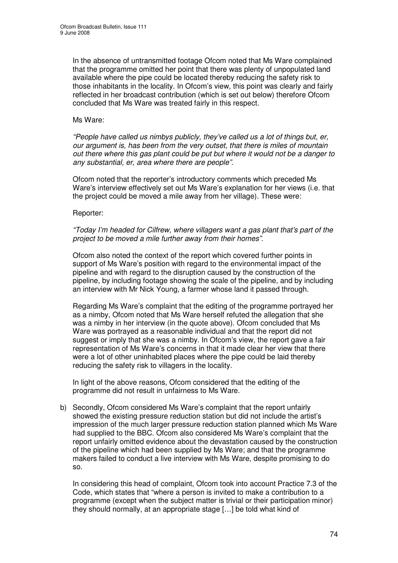In the absence of untransmitted footage Ofcom noted that Ms Ware complained that the programme omitted her point that there was plenty of unpopulated land available where the pipe could be located thereby reducing the safety risk to those inhabitants in the locality. In Ofcom's view, this point was clearly and fairly reflected in her broadcast contribution (which is set out below) therefore Ofcom concluded that Ms Ware was treated fairly in this respect.

#### Ms Ware:

*"People have called us nimbys publicly, they've called us a lot of things but, er, our argument is, has been from the very outset, that there is miles of mountain out there where this gas plant could be put but where it would not be a danger to any substantial, er, area where there are people".*

Ofcom noted that the reporter's introductory comments which preceded Ms Ware's interview effectively set out Ms Ware's explanation for her views (i.e. that the project could be moved a mile away from her village). These were:

#### Reporter:

*"Today I'm headed for Cilfrew, where villagers want a gas plant that's part of the project to be moved a mile further away from their homes".*

Ofcom also noted the context of the report which covered further points in support of Ms Ware's position with regard to the environmental impact of the pipeline and with regard to the disruption caused by the construction of the pipeline, by including footage showing the scale of the pipeline, and by including an interview with Mr Nick Young, a farmer whose land it passed through.

Regarding Ms Ware's complaint that the editing of the programme portrayed her as a nimby, Ofcom noted that Ms Ware herself refuted the allegation that she was a nimby in her interview (in the quote above). Ofcom concluded that Ms Ware was portrayed as a reasonable individual and that the report did not suggest or imply that she was a nimby. In Ofcom's view, the report gave a fair representation of Ms Ware's concerns in that it made clear her view that there were a lot of other uninhabited places where the pipe could be laid thereby reducing the safety risk to villagers in the locality.

In light of the above reasons, Ofcom considered that the editing of the programme did not result in unfairness to Ms Ware.

b) Secondly, Ofcom considered Ms Ware's complaint that the report unfairly showed the existing pressure reduction station but did not include the artist's impression of the much larger pressure reduction station planned which Ms Ware had supplied to the BBC. Ofcom also considered Ms Ware's complaint that the report unfairly omitted evidence about the devastation caused by the construction of the pipeline which had been supplied by Ms Ware; and that the programme makers failed to conduct a live interview with Ms Ware, despite promising to do so.

In considering this head of complaint, Ofcom took into account Practice 7.3 of the Code, which states that "where a person is invited to make a contribution to a programme (except when the subject matter is trivial or their participation minor) they should normally, at an appropriate stage […] be told what kind of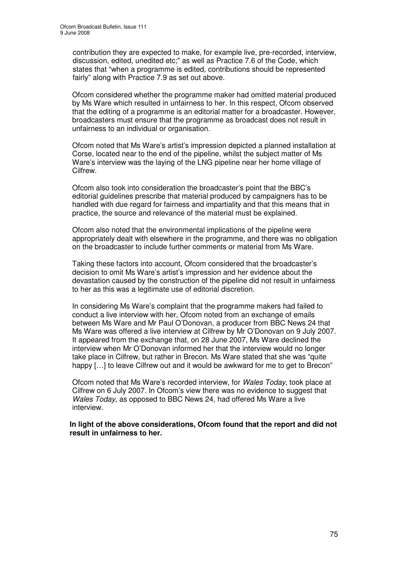contribution they are expected to make, for example live, pre-recorded, interview, discussion, edited, unedited etc;" as well as Practice 7.6 of the Code, which states that "when a programme is edited, contributions should be represented fairly" along with Practice 7.9 as set out above.

Ofcom considered whether the programme maker had omitted material produced by Ms Ware which resulted in unfairness to her. In this respect, Ofcom observed that the editing of a programme is an editorial matter for a broadcaster. However, broadcasters must ensure that the programme as broadcast does not result in unfairness to an individual or organisation.

Ofcom noted that Ms Ware's artist's impression depicted a planned installation at Corse, located near to the end of the pipeline, whilst the subject matter of Ms Ware's interview was the laying of the LNG pipeline near her home village of Cilfrew.

Ofcom also took into consideration the broadcaster's point that the BBC's editorial guidelines prescribe that material produced by campaigners has to be handled with due regard for fairness and impartiality and that this means that in practice, the source and relevance of the material must be explained.

Ofcom also noted that the environmental implications of the pipeline were appropriately dealt with elsewhere in the programme, and there was no obligation on the broadcaster to include further comments or material from Ms Ware.

Taking these factors into account, Ofcom considered that the broadcaster's decision to omit Ms Ware's artist's impression and her evidence about the devastation caused by the construction of the pipeline did not result in unfairness to her as this was a legitimate use of editorial discretion.

In considering Ms Ware's complaint that the programme makers had failed to conduct a live interview with her, Ofcom noted from an exchange of emails between Ms Ware and Mr Paul O'Donovan, a producer from BBC News 24 that Ms Ware was offered a live interview at Cilfrew by Mr O'Donovan on 9 July 2007. It appeared from the exchange that, on 28 June 2007, Ms Ware declined the interview when Mr O'Donovan informed her that the interview would no longer take place in Cilfrew, but rather in Brecon. Ms Ware stated that she was "quite happy [...] to leave Cilfrew out and it would be awkward for me to get to Brecon"

Ofcom noted that Ms Ware's recorded interview, for *Wales Today*, took place at Cilfrew on 6 July 2007. In Ofcom's view there was no evidence to suggest that *Wales Today*, as opposed to BBC News 24, had offered Ms Ware a live interview.

**In light of the above considerations, Ofcom found that the report and did not result in unfairness to her.**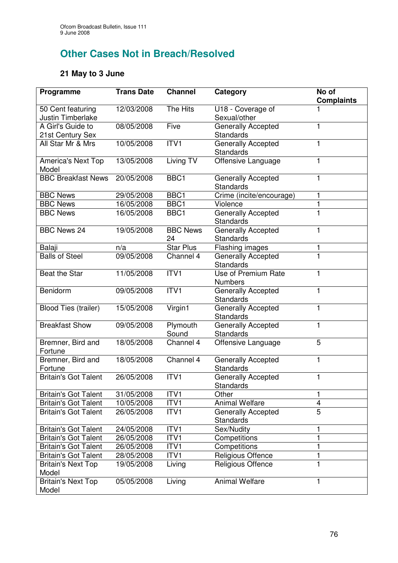# **Other Cases Not in Breach/Resolved**

## **21 May to 3 June**

| Programme                              | <b>Trans Date</b> | <b>Channel</b>        | Category                                      | No of<br><b>Complaints</b> |
|----------------------------------------|-------------------|-----------------------|-----------------------------------------------|----------------------------|
| 50 Cent featuring<br>Justin Timberlake | 12/03/2008        | The Hits              | U18 - Coverage of<br>Sexual/other             |                            |
| A Girl's Guide to<br>21st Century Sex  | 08/05/2008        | Five                  | <b>Generally Accepted</b><br><b>Standards</b> |                            |
| All Star Mr & Mrs                      | 10/05/2008        | ITV1                  | Generally Accepted<br>Standards               | 1                          |
| <b>America's Next Top</b><br>Model     | 13/05/2008        | Living TV             | Offensive Language                            | 1                          |
| <b>BBC Breakfast News</b>              | 20/05/2008        | BBC1                  | <b>Generally Accepted</b><br>Standards        | 1                          |
| <b>BBC News</b>                        | 29/05/2008        | BBC1                  | Crime (incite/encourage)                      | 1                          |
| <b>BBC News</b>                        | 16/05/2008        | BBC1                  | Violence                                      | 1                          |
| <b>BBC News</b>                        | 16/05/2008        | BBC1                  | Generally Accepted<br><b>Standards</b>        | $\mathbf{1}$               |
| <b>BBC News 24</b>                     | 19/05/2008        | <b>BBC News</b><br>24 | Generally Accepted<br><b>Standards</b>        | 1                          |
| Balaji                                 | n/a               | <b>Star Plus</b>      | Flashing images                               | 1                          |
| <b>Balls of Steel</b>                  | 09/05/2008        | Channel 4             | Generally Accepted<br>Standards               | $\mathbf{1}$               |
| Beat the Star                          | 11/05/2008        | ITVI                  | Use of Premium Rate<br><b>Numbers</b>         | 1                          |
| Benidorm                               | 09/05/2008        | ITV1                  | <b>Generally Accepted</b><br><b>Standards</b> | 1                          |
| <b>Blood Ties (trailer)</b>            | 15/05/2008        | Virgin1               | <b>Generally Accepted</b><br><b>Standards</b> | 1                          |
| <b>Breakfast Show</b>                  | 09/05/2008        | Plymouth<br>Sound     | <b>Generally Accepted</b><br><b>Standards</b> | $\mathbf{1}$               |
| Bremner, Bird and<br>Fortune           | 18/05/2008        | Channel 4             | Offensive Language                            | 5                          |
| Bremner, Bird and<br>Fortune           | 18/05/2008        | Channel 4             | <b>Generally Accepted</b><br><b>Standards</b> | 1                          |
| <b>Britain's Got Talent</b>            | 26/05/2008        | ITV <sub>1</sub>      | Generally Accepted<br>Standards               | 1                          |
| <b>Britain's Got Talent</b>            | 31/05/2008        | ITV1                  | Other                                         | 1                          |
| <b>Britain's Got Talent</b>            | 10/05/2008        | ITV1                  | <b>Animal Welfare</b>                         | 4                          |
| <b>Britain's Got Talent</b>            | 26/05/2008        | ITV1                  | <b>Generally Accepted</b><br><b>Standards</b> | $\overline{5}$             |
| <b>Britain's Got Talent</b>            | 24/05/2008        | ITV1                  | Sex/Nudity                                    | 1                          |
| <b>Britain's Got Talent</b>            | 26/05/2008        | ITV1                  | Competitions                                  | 1                          |
| <b>Britain's Got Talent</b>            | 26/05/2008        | ITV1                  | Competitions                                  | $\mathbf{1}$               |
| <b>Britain's Got Talent</b>            | 28/05/2008        | ITV1                  | <b>Religious Offence</b>                      | 1                          |
| <b>Britain's Next Top</b><br>Model     | 19/05/2008        | Living                | Religious Offence                             |                            |
| <b>Britain's Next Top</b><br>Model     | 05/05/2008        | Living                | <b>Animal Welfare</b>                         | 1                          |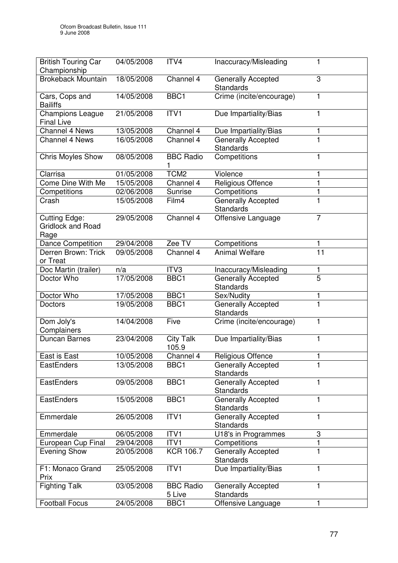| <b>British Touring Car</b><br>Championship               | 04/05/2008 | ITV4                       | Inaccuracy/Misleading                         |                         |
|----------------------------------------------------------|------------|----------------------------|-----------------------------------------------|-------------------------|
| <b>Brokeback Mountain</b>                                | 18/05/2008 | Channel 4                  | Generally Accepted<br><b>Standards</b>        | 3                       |
| Cars, Cops and<br><b>Bailiffs</b>                        | 14/05/2008 | BBC1                       | Crime (incite/encourage)                      | 1                       |
| <b>Champions League</b><br><b>Final Live</b>             | 21/05/2008 | ITV1                       | Due Impartiality/Bias                         | $\mathbf{1}$            |
| <b>Channel 4 News</b>                                    | 13/05/2008 | Channel 4                  | Due Impartiality/Bias                         |                         |
| <b>Channel 4 News</b>                                    | 16/05/2008 | Channel 4                  | <b>Generally Accepted</b><br><b>Standards</b> | $\overline{\mathbf{1}}$ |
| <b>Chris Moyles Show</b>                                 | 08/05/2008 | <b>BBC Radio</b>           | Competitions                                  | 1                       |
| Clarrisa                                                 | 01/05/2008 | TCM <sub>2</sub>           | Violence                                      |                         |
| Come Dine With Me                                        | 15/05/2008 | Channel 4                  | Religious Offence                             | 1                       |
| Competitions                                             | 02/06/2008 | Sunrise                    | Competitions                                  |                         |
| Crash                                                    | 15/05/2008 | Film4                      | <b>Generally Accepted</b><br><b>Standards</b> | 1                       |
| <b>Cutting Edge:</b><br><b>Gridlock and Road</b><br>Rage | 29/05/2008 | Channel 4                  | Offensive Language                            | $\overline{7}$          |
| <b>Dance Competition</b>                                 | 29/04/2008 | Zee TV                     | Competitions                                  | 1                       |
| Derren Brown: Trick<br>or Treat                          | 09/05/2008 | Channel 4                  | <b>Animal Welfare</b>                         | $\overline{11}$         |
| Doc Martin (trailer)                                     | n/a        | ITV3                       | Inaccuracy/Misleading                         |                         |
| Doctor Who                                               | 17/05/2008 | BBC1                       | Generally Accepted<br><b>Standards</b>        | 5                       |
| Doctor Who                                               | 17/05/2008 | BBC1                       | Sex/Nudity                                    | 1                       |
| <b>Doctors</b>                                           | 19/05/2008 | BBC1                       | <b>Generally Accepted</b><br><b>Standards</b> |                         |
| Dom Joly's<br>Complainers                                | 14/04/2008 | Five                       | Crime (incite/encourage)                      | 1                       |
| <b>Duncan Barnes</b>                                     | 23/04/2008 | <b>City Talk</b><br>105.9  | Due Impartiality/Bias                         | 1                       |
| East is East                                             | 10/05/2008 | Channel 4                  | Religious Offence                             | $\blacksquare$          |
| <b>EastEnders</b>                                        | 13/05/2008 | BBC1                       | <b>Generally Accepted</b><br><b>Standards</b> |                         |
| EastEnders                                               | 09/05/2008 | BBC1                       | <b>Generally Accepted</b><br><b>Standards</b> | 1                       |
| EastEnders                                               | 15/05/2008 | BBC1                       | <b>Generally Accepted</b><br><b>Standards</b> | 1                       |
| Emmerdale                                                | 26/05/2008 | ITV1                       | <b>Generally Accepted</b><br><b>Standards</b> | 1                       |
| Emmerdale                                                | 06/05/2008 | ITV1                       | U18's in Programmes                           | 3                       |
| European Cup Final                                       | 29/04/2008 | ITV1                       | Competitions                                  |                         |
| <b>Evening Show</b>                                      | 20/05/2008 | <b>KCR 106.7</b>           | <b>Generally Accepted</b><br><b>Standards</b> | 1                       |
| F1: Monaco Grand<br>Prix                                 | 25/05/2008 | ITV1                       | Due Impartiality/Bias                         | 1                       |
| <b>Fighting Talk</b>                                     | 03/05/2008 | <b>BBC Radio</b><br>5 Live | <b>Generally Accepted</b><br><b>Standards</b> | 1                       |
| <b>Football Focus</b>                                    | 24/05/2008 | BBC1                       | Offensive Language                            | 1                       |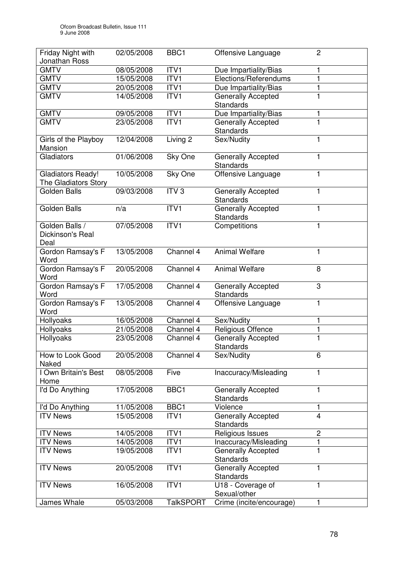| Friday Night with<br>Jonathan Ross                      | 02/05/2008               | BBC1             | Offensive Language                            | $\overline{c}$ |
|---------------------------------------------------------|--------------------------|------------------|-----------------------------------------------|----------------|
| <b>GMTV</b>                                             | 08/05/2008               | ITV <sub>1</sub> |                                               |                |
|                                                         |                          |                  | Due Impartiality/Bias                         |                |
| <b>GMTV</b>                                             | 15/05/2008<br>20/05/2008 | ITV1             | Elections/Referendums                         | 1              |
| <b>GMTV</b>                                             |                          | ITVI             | Due Impartiality/Bias                         |                |
| <b>GMTV</b>                                             | 14/05/2008               | ITV1             | <b>Generally Accepted</b><br><b>Standards</b> | 1              |
| <b>GMTV</b>                                             | 09/05/2008               | ITVI             | Due Impartiality/Bias                         | 1              |
| <b>GMTV</b>                                             | 23/05/2008               | ITV <sub>1</sub> | <b>Generally Accepted</b><br><b>Standards</b> | 1              |
| Girls of the Playboy<br>Mansion                         | 12/04/2008               | Living 2         | Sex/Nudity                                    | 1              |
| Gladiators                                              | 01/06/2008               | Sky One          | <b>Generally Accepted</b><br>Standards        | 1              |
| <b>Gladiators Ready!</b><br><b>The Gladiators Story</b> | 10/05/2008               | Sky One          | Offensive Language                            | 1              |
| <b>Golden Balls</b>                                     | 09/03/2008               | ITV <sub>3</sub> | <b>Generally Accepted</b><br><b>Standards</b> | 1              |
| <b>Golden Balls</b>                                     | n/a                      | ITVI             | <b>Generally Accepted</b><br><b>Standards</b> | 1              |
| Golden Balls /<br>Dickinson's Real<br>Deal              | 07/05/2008               | ITV1             | Competitions                                  | 1              |
| Gordon Ramsay's F<br>Word                               | 13/05/2008               | Channel 4        | <b>Animal Welfare</b>                         | 1              |
| Gordon Ramsay's F<br>Word                               | 20/05/2008               | Channel 4        | <b>Animal Welfare</b>                         | 8              |
| Gordon Ramsay's F<br>Word                               | 17/05/2008               | Channel 4        | <b>Generally Accepted</b><br><b>Standards</b> | 3              |
| Gordon Ramsay's F<br>Word                               | 13/05/2008               | Channel 4        | Offensive Language                            | $\mathbf{1}$   |
| Hollyoaks                                               | 16/05/2008               | Channel 4        | Sex/Nudity                                    | 1              |
| Hollyoaks                                               | 21/05/2008               | Channel 4        | Religious Offence                             | 1              |
| Hollyoaks                                               | 23/05/2008               | Channel 4        | Generally Accepted<br>Standards               | $\mathbf{1}$   |
| How to Look Good<br>Naked                               | 20/05/2008               | Channel 4        | Sex/Nudity                                    | 6              |
| I Own Britain's Best<br>Home                            | 08/05/2008               | Five             | Inaccuracy/Misleading                         | 1              |
| I'd Do Anything                                         | 17/05/2008               | BBC1             | <b>Generally Accepted</b><br><b>Standards</b> | 1              |
| I'd Do Anything                                         | 11/05/2008               | BBC1             | Violence                                      | 1              |
| <b>ITV News</b>                                         | 15/05/2008               | ITV1             | <b>Generally Accepted</b><br><b>Standards</b> | $\overline{4}$ |
| <b>ITV News</b>                                         | 14/05/2008               | ITV1             | Religious Issues                              | $\overline{c}$ |
| <b>ITV News</b>                                         | 14/05/2008               | ITV1             | Inaccuracy/Misleading                         | 1              |
| <b>ITV News</b>                                         | 19/05/2008               | ITV1             | <b>Generally Accepted</b><br><b>Standards</b> | 1              |
| <b>ITV News</b>                                         | 20/05/2008               | ITVI             | <b>Generally Accepted</b><br><b>Standards</b> | 1              |
| <b>ITV News</b>                                         | 16/05/2008               | ITV1             | U18 - Coverage of<br>Sexual/other             | 1              |
| James Whale                                             | 05/03/2008               | <b>TalkSPORT</b> | Crime (incite/encourage)                      |                |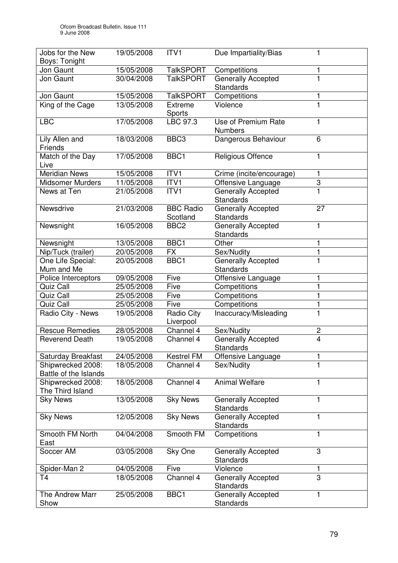| Jobs for the New                           | 19/05/2008 | ITV1                         | Due Impartiality/Bias                         | 1                       |
|--------------------------------------------|------------|------------------------------|-----------------------------------------------|-------------------------|
| Boys: Tonight                              |            |                              |                                               |                         |
| Jon Gaunt                                  | 15/05/2008 | <b>TalkSPORT</b>             | Competitions                                  | 1                       |
| Jon Gaunt                                  | 30/04/2008 | <b>TalkSPORT</b>             | <b>Generally Accepted</b><br><b>Standards</b> | 1                       |
| Jon Gaunt                                  | 15/05/2008 | <b>TalkSPORT</b>             | Competitions                                  | 1                       |
| King of the Cage                           | 13/05/2008 | <b>Extreme</b><br>Sports     | Violence                                      | $\mathbf{1}$            |
| <b>LBC</b>                                 | 17/05/2008 | LBC 97.3                     | Use of Premium Rate<br><b>Numbers</b>         | 1                       |
| Lily Allen and<br>Friends                  | 18/03/2008 | BBC <sub>3</sub>             | Dangerous Behaviour                           | 6                       |
| Match of the Day<br>Live                   | 17/05/2008 | BBC1                         | Religious Offence                             | 1                       |
| <b>Meridian News</b>                       | 15/05/2008 | ITV1                         | Crime (incite/encourage)                      | 1                       |
| <b>Midsomer Murders</b>                    | 11/05/2008 | ITV1                         | Offensive Language                            | 3                       |
| News at Ten                                | 21/05/2008 | ITV1                         | <b>Generally Accepted</b><br><b>Standards</b> | $\mathbf{1}$            |
| Newsdrive                                  | 21/03/2008 | <b>BBC Radio</b><br>Scotland | Generally Accepted<br><b>Standards</b>        | 27                      |
| Newsnight                                  | 16/05/2008 | BBC <sub>2</sub>             | <b>Generally Accepted</b><br>Standards        | 1                       |
| Newsnight                                  | 13/05/2008 | BBC1                         | Other                                         | 1                       |
| Nip/Tuck (trailer)                         | 20/05/2008 | <b>FX</b>                    | Sex/Nudity                                    | 1                       |
| One Life Special:<br>Mum and Me            | 20/05/2008 | BBC1                         | <b>Generally Accepted</b><br><b>Standards</b> |                         |
| Police Interceptors                        | 09/05/2008 | Five                         | Offensive Language                            | 1                       |
| Quiz Call                                  | 25/05/2008 | Five                         | Competitions                                  | $\mathbf 1$             |
| Quiz Call                                  | 25/05/2008 | Five                         | Competitions                                  | 1                       |
| Quiz Call                                  | 25/05/2008 | Five                         | Competitions                                  | 1                       |
| Radio City - News                          | 19/05/2008 | Radio City<br>Liverpool      | Inaccuracy/Misleading                         | $\mathbf{1}$            |
| <b>Rescue Remedies</b>                     | 28/05/2008 | Channel 4                    | Sex/Nudity                                    | $\overline{\mathbf{c}}$ |
| <b>Reverend Death</b>                      | 19/05/2008 | Channel 4                    | <b>Generally Accepted</b><br>Standards        | $\overline{\mathbf{4}}$ |
| <b>Saturday Breakfast</b>                  | 24/05/2008 | Kestrel FM                   | Offensive Language                            | 1                       |
| Shipwrecked 2008:<br>Battle of the Islands | 18/05/2008 | Channel 4                    | Sex/Nudity                                    |                         |
| Shipwrecked 2008:<br>The Third Island      | 18/05/2008 | Channel 4                    | <b>Animal Welfare</b>                         | 1                       |
| <b>Sky News</b>                            | 13/05/2008 | <b>Sky News</b>              | <b>Generally Accepted</b><br><b>Standards</b> | 1                       |
| <b>Sky News</b>                            | 12/05/2008 | <b>Sky News</b>              | Generally Accepted<br><b>Standards</b>        | 1                       |
| Smooth FM North<br>East                    | 04/04/2008 | Smooth FM                    | Competitions                                  | 1                       |
| Soccer AM                                  | 03/05/2008 | Sky One                      | Generally Accepted<br><b>Standards</b>        | 3                       |
| Spider-Man 2                               | 04/05/2008 | Five                         | Violence                                      |                         |
| T4                                         | 18/05/2008 | Channel 4                    | <b>Generally Accepted</b><br><b>Standards</b> | $\overline{3}$          |
| The Andrew Marr<br>Show                    | 25/05/2008 | BBC1                         | Generally Accepted<br>Standards               | 1                       |